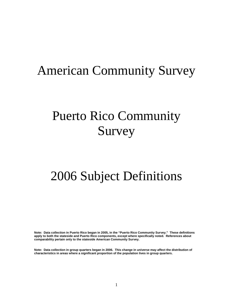# American Community Survey

# Puerto Rico Community Survey

# 2006 Subject Definitions

**Note: Data collection in Puerto Rico began in 2005, in the "Puerto Rico Community Survey." These definitions apply to both the stateside and Puerto Rico components, except where specifically noted. References about comparability pertain only to the stateside American Community Survey.**

**Note: Data collection in group quarters began in 2006. This change in universe may affect the distribution of characteristics in areas where a significant proportion of the population lives in group quarters.**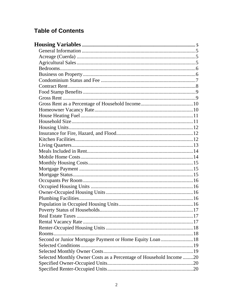# **Table of Contents**

| Poverty Status of Households                                        |  |
|---------------------------------------------------------------------|--|
|                                                                     |  |
|                                                                     |  |
|                                                                     |  |
|                                                                     |  |
| Second or Junior Mortgage Payment or Home Equity Loan  18           |  |
|                                                                     |  |
|                                                                     |  |
| Selected Monthly Owner Costs as a Percentage of Household Income 20 |  |
|                                                                     |  |
|                                                                     |  |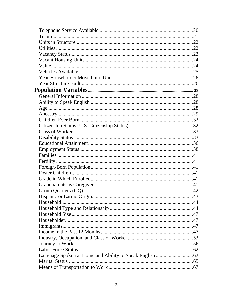| Household |  |
|-----------|--|
|           |  |
|           |  |
|           |  |
|           |  |
|           |  |
|           |  |
|           |  |
|           |  |
|           |  |
|           |  |
|           |  |
|           |  |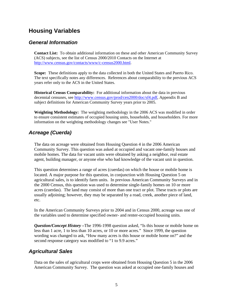# <span id="page-4-0"></span>**Housing Variables**

## *General Information*

**Contact List:** To obtain additional information on these and other American Community Survey (ACS) subjects, see the list of Census 2000/2010 Contacts on the Internet at <http://www.census.gov/contacts/www/c-census2000.html>.

**Scope:** These definitions apply to the data collected in both the United States and Puerto Rico. The text specifically notes any differences. References about comparability to the previous ACS years refer only to the ACS in the United States.

**Historical Census Comparability:** For additional information about the data in previous decennial censuses, see [http://www.census.gov/prod/cen2000/doc/sf4.pdf,](http://www.census.gov/prod/cen2000/doc/sf4.pdf) Appendix B and subject definitions for American Community Survey years prior to 2005.

**Weighting Methodology:** The weighting methodology in the 2006 ACS was modified in order to ensure consistent estimates of occupied housing units, households, and householders. For more information on the weighting methodology changes see "User Notes."

# *Acreage (Cuerda)*

The data on acreage were obtained from Housing Question 4 in the 2006 American Community Survey. This question was asked at occupied and vacant one-family houses and mobile homes. The data for vacant units were obtained by asking a neighbor, real estate agent, building manager, or anyone else who had knowledge of the vacant unit in question.

This question determines a range of acres (cuerdas) on which the house or mobile home is located. A major purpose for this question, in conjunction with Housing Question 5 on agricultural sales, is to identify farm units. In previous American Community Surveys and in the 2000 Census, this question was used to determine single-family homes on 10 or more acres (cuerdas). The land may consist of more than one tract or plot. These tracts or plots are usually adjoining; however, they may be separated by a road, creek, another piece of land, etc.

In the American Community Surveys prior to 2004 and in Census 2000, acreage was one of the variables used to determine specified owner- and renter-occupied housing units.

*Question/Concept History –*The 1996-1998 question asked, "Is this house or mobile home on less than 1 acre, 1 to less than 10 acres, or 10 or more acres." Since 1999, the question wording was changed to ask, "How many acres is this house or mobile home on?" and the second response category was modified to "1 to 9.9 acres."

## *Agricultural Sales*

Data on the sales of agricultural crops were obtained from Housing Question 5 in the 2006 American Community Survey. The question was asked at occupied one-family houses and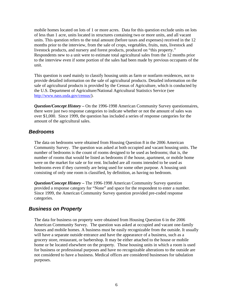<span id="page-5-0"></span>mobile homes located on lots of 1 or more acres. Data for this question exclude units on lots of less than 1 acre, units located in structures containing two or more units, and all vacant units. This question refers to the total amount (before taxes and expenses) received in the 12 months prior to the interview, from the sale of crops, vegetables, fruits, nuts, livestock and livestock products, and nursery and forest products, produced on "this property." Respondents new to a unit were to estimate total agricultural sales from the 12 months prior to the interview even if some portion of the sales had been made by previous occupants of the unit.

This question is used mainly to classify housing units as farm or nonfarm residences, not to provide detailed information on the sale of agricultural products. Detailed information on the sale of agricultural products is provided by the Census of Agriculture, which is conducted by the U.S. Department of Agriculture/National Agricultural Statistics Service (see <http://www.nass.usda.gov/census/>).

*Question/Concept History – On the 1996-1998 American Community Survey questionnaires,* there were just two response categories to indicate whether or not the amount of sales was over \$1,000. Since 1999, the question has included a series of response categories for the amount of the agricultural sales.

#### *Bedrooms*

The data on bedrooms were obtained from Housing Question 8 in the 2006 American Community Survey. The question was asked at both occupied and vacant housing units. The number of bedrooms is the count of rooms designed to be used as bedrooms; that is, the number of rooms that would be listed as bedrooms if the house, apartment, or mobile home were on the market for sale or for rent. Included are all rooms intended to be used as bedrooms even if they currently are being used for some other purpose. A housing unit consisting of only one room is classified, by definition, as having no bedroom.

*Question/Concept History* **–** The 1996-1998 American Community Survey question provided a response category for "None" and space for the respondent to enter a number. Since 1999, the American Community Survey question provided pre-coded response categories.

### *Business on Property*

The data for business on property were obtained from Housing Question 6 in the 2006 American Community Survey. The question was asked at occupied and vacant one-family houses and mobile homes. A business must be easily recognizable from the outside. It usually will have a separate outside entrance and have the appearance of a business, such as a grocery store, restaurant, or barbershop. It may be either attached to the house or mobile home or be located elsewhere on the property. Those housing units in which a room is used for business or professional purposes and have no recognizable alterations to the outside are not considered to have a business. Medical offices are considered businesses for tabulation purposes.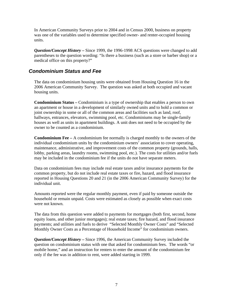<span id="page-6-0"></span>In American Community Surveys prior to 2004 and in Census 2000, business on property was one of the variables used to determine specified owner- and renter-occupied housing units.

*Question/Concept History* **–** Since 1999, the 1996-1998 ACS questions were changed to add parentheses to the question wording: "Is there a business (such as a store or barber shop) or a medical office on this property?"

## *Condominium Status and Fee*

The data on condominium housing units were obtained from Housing Question 16 in the 2006 American Community Survey. The question was asked at both occupied and vacant housing units.

**Condominium Status –** Condominium is a type of ownership that enables a person to own an apartment or house in a development of similarly owned units and to hold a common or joint ownership in some or all of the common areas and facilities such as land, roof, hallways, entrances, elevators, swimming pool, etc. Condominiums may be single-family houses as well as units in apartment buildings. A unit does not need to be occupied by the owner to be counted as a condominium.

**Condominium Fee –** A condominium fee normally is charged monthly to the owners of the individual condominium units by the condominium owners' association to cover operating, maintenance, administrative, and improvement costs of the common property (grounds, halls, lobby, parking areas, laundry rooms, swimming pool, etc.). The costs for utilities and/or fuels may be included in the condominium fee if the units do not have separate meters.

Data on condominium fees may include real estate taxes and/or insurance payments for the common property, but do not include real estate taxes or fire, hazard, and flood insurance reported in Housing Questions 20 and 21 (in the 2006 American Community Survey) for the individual unit.

Amounts reported were the regular monthly payment, even if paid by someone outside the household or remain unpaid. Costs were estimated as closely as possible when exact costs were not known.

The data from this question were added to payments for mortgages (both first, second, home equity loans, and other junior mortgages); real estate taxes; fire hazard, and flood insurance payments; and utilities and fuels to derive "Selected Monthly Owner Costs" and "Selected Monthly Owner Costs as a Percentage of Household Income" for condominium owners.

*Question/Concept History* **–** Since 1996, the American Community Survey included the question on condominium status with one that asked for condominium fees. The words "or mobile home," and an instruction for renters to enter the amount of the condominium fee only if the fee was in addition to rent, were added starting in 1999.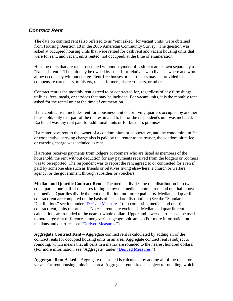## <span id="page-7-0"></span>*Contract Rent*

The data on contract rent (also referred to as "rent asked" for vacant units) were obtained from Housing Question 18 in the 2006 American Community Survey. The question was asked at occupied housing units that were rented for cash rent and vacant housing units that were for rent, and vacant units rented, not occupied, at the time of enumeration.

Housing units that are renter occupied without payment of cash rent are shown separately as "No cash rent." The unit may be owned by friends or relatives who live elsewhere and who allow occupancy without charge. Rent-free houses or apartments may be provided to compensate caretakers, ministers, tenant farmers, sharecroppers, or others.

Contract rent is the monthly rent agreed to or contracted for, regardless of any furnishings, utilities, fees, meals, or services that may be included. For vacant units, it is the monthly rent asked for the rental unit at the time of enumeration.

If the contract rent includes rent for a business unit or for living quarters occupied by another household, only that part of the rent estimated to be for the respondent's unit was included. Excluded was any rent paid for additional units or for business premises.

If a renter pays rent to the owner of a condominium or cooperative, and the condominium fee or cooperative carrying charge also is paid by the renter to the owner, the condominium fee or carrying charge was included as rent.

If a renter receives payments from lodgers or roomers who are listed as members of the household, the rent without deduction for any payments received from the lodgers or roomers was to be reported. The respondent was to report the rent agreed to or contracted for even if paid by someone else such as friends or relatives living elsewhere, a church or welfare agency, or the government through subsidies or vouchers.

**Median and Quartile Contract Rent –** The median divides the rent distribution into two equal parts: one-half of the cases falling below the median contract rent and one-half above the median. Quartiles divide the rent distribution into four equal parts. Median and quartile contract rent are computed on the basis of a standard distribution. (See the "Standard Distributions" section under "[Derived Measures."](#page-87-0)) In computing median and quartile contract rent, units reported as "No cash rent" are excluded. Median and quartile rent calculations are rounded to the nearest whole dollar. Upper and lower quartiles can be used to note large rent differences among various geographic areas. (For more information on medians and quartiles, see "[Derived Measures.](#page-87-0)")

**Aggregate Contract Rent –** Aggregate contract rent is calculated by adding all of the contract rents for occupied housing units in an area. Aggregate contract rent is subject to rounding, which means that all cells in a matrix are rounded to the nearest hundred dollars. (For more information, see "Aggregate" under ["Derived Measures.](#page-87-0)")

**Aggregate Rent Asked** – Aggregate rent asked is calculated by adding all of the rents for vacant-for-rent housing units in an area. Aggregate rent asked is subject to rounding, which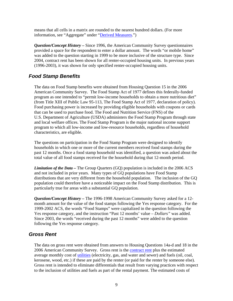<span id="page-8-0"></span>means that all cells in a matrix are rounded to the nearest hundred dollars. (For more information, see "Aggregate" under "[Derived Measures.](#page-87-0)")

*Question/Concept History* **–** Since 1996, the American Community Survey questionnaires provided a space for the respondent to enter a dollar amount. The words "or mobile home" was added to the question starting in 1999 to be more inclusive of the structure type. Since 2004, contract rent has been shown for all renter-occupied housing units. In previous years (1996-2003), it was shown for only specified renter-occupied housing units.

## *Food Stamp Benefits*

The data on Food Stamp benefits were obtained from Housing Question 15 in the 2006 American Community Survey. The Food Stamp Act of 1977 defines this federally-funded program as one intended to "permit low-income households to obtain a more nutritious diet" (from Title XIII of Public Law 95-113, The Food Stamp Act of 1977, declaration of policy). Food purchasing power is increased by providing eligible households with coupons or cards that can be used to purchase food. The Food and Nutrition Service (FNS) of the U.S. Department of Agriculture (USDA) administers the Food Stamp Program through state and local welfare offices. The Food Stamp Program is the major national income support program to which all low-income and low-resource households, regardless of household characteristics, are eligible.

The questions on participation in the Food Stamp Program were designed to identify households in which one or more of the current members received food stamps during the past 12 months. Once a food stamp household was identified, a question was asked about the total value of all food stamps received for the household during that 12-month period.

*Limitation of the Data* – The Group Quarters (GQ) population is included in the 2006 ACS and not included in prior years. Many types of GQ populations have Food Stamp distributions that are very different from the household population. The inclusion of the GQ population could therefore have a noticeable impact on the Food Stamp distribution. This is particularly true for areas with a substantial GQ population.

*Question/Concept History –* The 1996-1998 American Community Survey asked for a 12 month amount for the value of the food stamps following the Yes response category. For the 1999-2002 ACS, the words "Food Stamps" were capitalized in the question following the Yes response category, and the instruction "Past 12 months' value – *Dollars"* was added. Since 2003, the words "received during the past 12 months" were added to the question following the Yes response category.

## *Gross Rent*

The data on gross rent were obtained from answers to Housing Questions 14a-d and 18 in the 2006 American Community Survey. Gross rent is the [contract rent](#page-7-0) plus the estimated average monthly cost of [utilities](#page-21-0) (electricity, gas, and water and sewer) and fuels (oil, coal, kerosene, wood, etc.) if these are paid by the renter (or paid for the renter by someone else). Gross rent is intended to eliminate differentials that result from varying practices with respect to the inclusion of utilities and fuels as part of the rental payment. The estimated costs of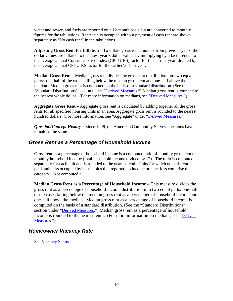<span id="page-9-0"></span>water and sewer, and fuels are reported on a 12-month basis but are converted to monthly figures for the tabulations. Renter units occupied without payment of cash rent are shown separately as "No cash rent" in the tabulations.

**Adjusting Gross Rent for Inflation –** To inflate gross rent amounts from previous years, the dollar values are inflated to the latest year's dollar values by multiplying by a factor equal to the average annual Consumer Price Index (CPI-U-RS) factor for the current year, divided by the average annual CPI-U-RS factor for the earlier/earliest year.

**Median Gross Rent** – Median gross rent divides the gross rent distribution into two equal parts: one-half of the cases falling below the median gross rent and one-half above the median. Median gross rent is computed on the basis of a standard distribution. (See the "Standard Distributions" section under "[Derived Measures.](#page-87-0)") Median gross rent is rounded to the nearest whole dollar. (For more information on medians, see ["Derived Measures](#page-87-0).")

**Aggregate Gross Rent –** Aggregate gross rent is calculated by adding together all the gross rents for all specified housing units in an area. Aggregate gross rent is rounded to the nearest hundred dollars. (For more information, see "Aggregate" under "[Derived Measures.](#page-87-0)")

*Question/Concept History* **–** Since 1996, the American Community Survey questions have remained the same.

## *Gross Rent as a Percentage of Household Income*

Gross rent as a percentage of household income is a computed ratio of monthly gross rent to monthly household income (total household income divided by 12). The ratio is computed separately for each unit and is rounded to the nearest tenth. Units for which no cash rent is paid and units occupied by households that reported no income or a net loss comprise the category, "Not computed."

**Median Gross Rent as a Percentage of Household Income –** This measure divides the gross rent as a percentage of household income distribution into two equal parts: one-half of the cases falling below the median gross rent as a percentage of household income and one-half above the median. Median gross rent as a percentage of household income is computed on the basis of a standard distribution. (See the "Standard Distributions" section under "[Derived Measures.](#page-87-0)") Median gross rent as a percentage of household income is rounded to the nearest tenth. (For more information on medians, see ["Derived](#page-87-0)  [Measures](#page-87-0).")

### *Homeowner Vacancy Rate*

See [Vacancy Status](#page-22-0)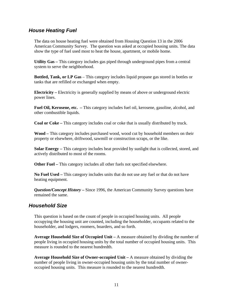## <span id="page-10-0"></span>*House Heating Fuel*

The data on house heating fuel were obtained from Housing Question 13 in the 2006 American Community Survey. The question was asked at occupied housing units. The data show the type of fuel used most to heat the house, apartment, or mobile home.

**Utility Gas –** This category includes gas piped through underground pipes from a central system to serve the neighborhood.

**Bottled, Tank, or LP Gas** – This category includes liquid propane gas stored in bottles or tanks that are refilled or exchanged when empty.

**Electricity –** Electricity is generally supplied by means of above or underground electric power lines.

**Fuel Oil, Kerosene, etc. –** This category includes fuel oil, kerosene, gasoline, alcohol, and other combustible liquids.

**Coal or Coke –** This category includes coal or coke that is usually distributed by truck.

**Wood –** This category includes purchased wood, wood cut by household members on their property or elsewhere, driftwood, sawmill or construction scraps, or the like.

**Solar Energy –** This category includes heat provided by sunlight that is collected, stored, and actively distributed to most of the rooms.

**Other Fuel –** This category includes all other fuels not specified elsewhere.

**No Fuel Used –** This category includes units that do not use any fuel or that do not have heating equipment.

*Question/Concept History* **–** Since 1996, the American Community Survey questions have remained the same.

## *Household Size*

This question is based on the count of people in occupied housing units. All people occupying the housing unit are counted, including the householder, occupants related to the householder, and lodgers, roomers, boarders, and so forth.

**Average Household Size of Occupied Unit –** A measure obtained by dividing the number of people living in occupied housing units by the total number of occupied housing units. This measure is rounded to the nearest hundredth.

**Average Household Size of Owner-occupied Unit –** A measure obtained by dividing the number of people living in owner-occupied housing units by the total number of owneroccupied housing units. This measure is rounded to the nearest hundredth.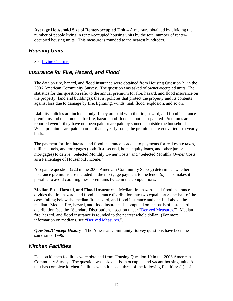<span id="page-11-0"></span>**Average Household Size of Renter-occupied Unit –** A measure obtained by dividing the number of people living in renter-occupied housing units by the total number of renteroccupied housing units. This measure is rounded to the nearest hundredth.

# *Housing Units*

See [Living Quarters](#page-12-0)

## *Insurance for Fire, Hazard, and Flood*

The data on fire, hazard, and flood insurance were obtained from Housing Question 21 in the 2006 American Community Survey. The question was asked of owner-occupied units. The statistics for this question refer to the annual premium for fire, hazard, and flood insurance on the property (land and buildings); that is, policies that protect the property and its contents against loss due to damage by fire, lightning, winds, hail, flood, explosion, and so on.

Liability policies are included only if they are paid with the fire, hazard, and flood insurance premiums and the amounts for fire, hazard, and flood cannot be separated. Premiums are reported even if they have not been paid or are paid by someone outside the household. When premiums are paid on other than a yearly basis, the premiums are converted to a yearly basis.

The payment for fire, hazard, and flood insurance is added to payments for real estate taxes, utilities, fuels, and mortgages (both first, second, home equity loans, and other junior mortgages) to derive "Selected Monthly Owner Costs" and "Selected Monthly Owner Costs as a Percentage of Household Income."

A separate question (22d in the 2006 American Community Survey) determines whether insurance premiums are included in the mortgage payment to the lender(s). This makes it possible to avoid counting these premiums twice in the computations.

**Median Fire, Hazard, and Flood Insurance –** Median fire, hazard, and flood insurance divides the fire, hazard, and flood insurance distribution into two equal parts: one-half of the cases falling below the median fire, hazard, and flood insurance and one-half above the median. Median fire, hazard, and flood insurance is computed on the basis of a standard distribution (see the "Standard Distributions" section under "[Derived Measures.](#page-87-0)") Median fire, hazard, and flood insurance is rounded to the nearest whole dollar. (For more information on medians, see ["Derived Measures](#page-87-0).")

*Question/Concept History* **–** The American Community Survey questions have been the same since 1996.

## *Kitchen Facilities*

Data on kitchen facilities were obtained from Housing Question 10 in the 2006 American Community Survey. The question was asked at both occupied and vacant housing units. A unit has complete kitchen facilities when it has all three of the following facilities: (1) a sink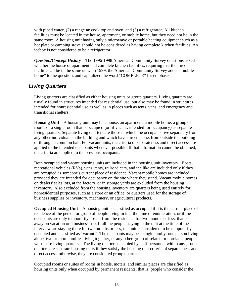<span id="page-12-0"></span>with piped water, (2) a range **or** cook top and oven, and (3) a refrigerator. All kitchen facilities must be located in the house, apartment, or mobile home, but they need not be in the same room. A housing unit having only a microwave or portable heating equipment such as a hot plate or camping stove should not be considered as having complete kitchen facilities. An icebox is not considered to be a refrigerator.

*Question/Concept History* **–** The 1996-1998 American Community Survey questions asked whether the house or apartment had complete kitchen facilities, requiring that the three facilities all be in the same unit. In 1999, the American Community Survey added "mobile home" to the question, and capitalized the word "COMPLETE" for emphasis.

# *Living Quarters*

Living quarters are classified as either housing units or group quarters. Living quarters are usually found in structures intended for residential use, but also may be found in structures intended for nonresidential use as well as in places such as tents, vans, and emergency and transitional shelters.

**Housing Unit –** A housing unit may be a house, an apartment, a mobile home, a group of rooms or a single room that is occupied (or, if vacant, intended for occupancy) as separate living quarters. Separate living quarters are those in which the occupants live separately from any other individuals in the building and which have direct access from outside the building or through a common hall. For vacant units, the criteria of separateness and direct access are applied to the intended occupants whenever possible. If that information cannot be obtained, the criteria are applied to the previous occupants.

Both occupied and vacant housing units are included in the housing unit inventory. Boats, recreational vehicles (RVs), vans, tents, railroad cars, and the like are included only if they are occupied as someone's current place of residence. Vacant mobile homes are included provided they are intended for occupancy on the site where they stand. Vacant mobile homes on dealers' sales lots, at the factory, or in storage yards are excluded from the housing inventory. Also excluded from the housing inventory are quarters being used entirely for nonresidential purposes, such as a store or an office, or quarters used for the storage of business supplies or inventory, machinery, or agricultural products.

**Occupied Housing Unit** – A housing unit is classified as occupied if it is the current place of residence of the person or group of people living in it at the time of enumeration, or if the occupants are only temporarily absent from the residence for two months or less, that is, away on vacation or a business trip. If all the people staying in the unit at the time of the interview are staying there for two months or less, the unit is considered to be temporarily occupied and classified as "vacant." The occupants may be a single family, one person living alone, two or more families living together, or any other group of related or unrelated people who share living quarters. The living quarters occupied by staff personnel within any group quarters are separate housing units if they satisfy the housing unit criteria of separateness and direct access; otherwise, they are considered group quarters.

Occupied rooms or suites of rooms in hotels, motels, and similar places are classified as housing units only when occupied by permanent residents, that is, people who consider the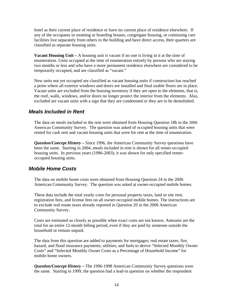<span id="page-13-0"></span>hotel as their current place of residence or have no current place of residence elsewhere. If any of the occupants in rooming or boarding houses, congregate housing, or continuing care facilities live separately from others in the building and have direct access, their quarters are classified as separate housing units.

**Vacant Housing Unit –** A housing unit is vacant if no one is living in it at the time of enumeration. Units occupied at the time of enumeration entirely by persons who are staying two months or less and who have a more permanent residence elsewhere are considered to be temporarily occupied, and are classified as "vacant."

New units not yet occupied are classified as vacant housing units if construction has reached a point where all exterior windows and doors are installed and final usable floors are in place. Vacant units are excluded from the housing inventory if they are open to the elements, that is, the roof, walls, windows, and/or doors no longer protect the interior from the elements. Also, excluded are vacant units with a sign that they are condemned or they are to be demolished.

## *Meals Included in Rent*

The data on meals included in the rent were obtained from Housing Question 18b in the 2006 American Community Survey. The question was asked of occupied housing units that were rented for cash rent and vacant housing units that were for rent at the time of enumeration.

*Question/Concept History* **–** Since 1996, the American Community Survey questions have been the same. Starting in 2004, meals included in rent is shown for all renter-occupied housing units. In previous years (1996-2003), it was shown for only specified renteroccupied housing units.

## *Mobile Home Costs*

The data on mobile home costs were obtained from Housing Question 24 in the 2006 American Community Survey. The question was asked at owner-occupied mobile homes.

These data include the total yearly costs for personal property taxes, land or site rent, registration fees, and license fees on all owner-occupied mobile homes. The instructions are to exclude real estate taxes already reported in Question 20 in the 2006 American Community Survey.

Costs are estimated as closely as possible when exact costs are not known. Amounts are the total for an entire 12-month billing period, even if they are paid by someone outside the household or remain unpaid.

The data from this question are added to payments for mortgages; real estate taxes; fire, hazard, and flood insurance payments; utilities; and fuels to derive "Selected Monthly Owner Costs" and "Selected Monthly Owner Costs as a Percentage of Household Income" for mobile home owners.

*Question/Concept History* **–** The 1996-1998 American Community Survey questions were the same. Starting in 1999, the question had a lead-in question on whether the respondent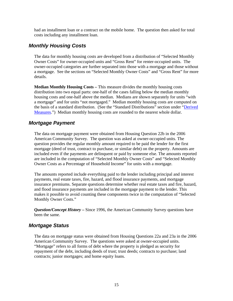<span id="page-14-0"></span>had an installment loan or a contract on the mobile home. The question then asked for total costs including any installment loan.

## *Monthly Housing Costs*

The data for monthly housing costs are developed from a distribution of "Selected Monthly Owner Costs" for owner-occupied units and "Gross Rent" for renter-occupied units. The owner-occupied categories are further separated into those with a mortgage and those without a mortgage. See the sections on "Selected Monthly Owner Costs" and "Gross Rent" for more details.

**Median Monthly Housing Costs –** This measure divides the monthly housing costs distribution into two equal parts: one-half of the cases falling below the median monthly housing costs and one-half above the median. Medians are shown separately for units "with a mortgage" and for units "not mortgaged." Median monthly housing costs are computed on the basis of a standard distribution. (See the "Standard Distributions" section under ["Derived](#page-87-0)  [Measures](#page-87-0).") Median monthly housing costs are rounded to the nearest whole dollar.

## *Mortgage Payment*

The data on mortgage payment were obtained from Housing Question 22b in the 2006 American Community Survey. The question was asked at owner-occupied units. The question provides the regular monthly amount required to be paid the lender for the first mortgage (deed of trust, contract to purchase, or similar debt) on the property. Amounts are included even if the payments are delinquent or paid by someone else. The amounts reported are included in the computation of "Selected Monthly Owner Costs" and "Selected Monthly Owner Costs as a Percentage of Household Income" for units with a mortgage.

The amounts reported include everything paid to the lender including principal and interest payments, real estate taxes, fire, hazard, and flood insurance payments, and mortgage insurance premiums. Separate questions determine whether real estate taxes and fire, hazard, and flood insurance payments are included in the mortgage payment to the lender. This makes it possible to avoid counting these components twice in the computation of "Selected Monthly Owner Costs."

*Question/Concept History* **–** Since 1996, the American Community Survey questions have been the same.

## *Mortgage Status*

The data on mortgage status were obtained from Housing Questions 22a and 23a in the 2006 American Community Survey. The questions were asked at owner-occupied units. "Mortgage" refers to all forms of debt where the property is pledged as security for repayment of the debt, including deeds of trust; trust deeds; contracts to purchase; land contracts; junior mortgages; and home equity loans.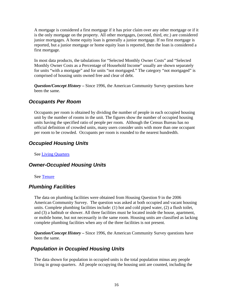<span id="page-15-0"></span>A mortgage is considered a first mortgage if it has prior claim over any other mortgage or if it is the only mortgage on the property. All other mortgages, (second, third, etc.) are considered junior mortgages. A home equity loan is generally a junior mortgage. If no first mortgage is reported, but a junior mortgage or home equity loan is reported, then the loan is considered a first mortgage.

In most data products, the tabulations for "Selected Monthly Owner Costs" and "Selected Monthly Owner Costs as a Percentage of Household Income" usually are shown separately for units "with a mortgage" and for units "not mortgaged." The category "not mortgaged" is comprised of housing units owned free and clear of debt.

*Question/Concept History* **–** Since 1996, the American Community Survey questions have been the same.

## *Occupants Per Room*

Occupants per room is obtained by dividing the number of people in each occupied housing unit by the number of rooms in the unit. The figures show the number of occupied housing units having the specified ratio of people per room. Although the Census Bureau has no official definition of crowded units, many users consider units with more than one occupant per room to be crowded. Occupants per room is rounded to the nearest hundredth.

## *Occupied Housing Units*

See [Living Quarters](#page-12-0)

## *Owner-Occupied Housing Units*

See [Tenure](#page-20-0)

## *Plumbing Facilities*

The data on plumbing facilities were obtained from Housing Question 9 in the 2006 American Community Survey. The question was asked at both occupied and vacant housing units. Complete plumbing facilities include: (1) hot and cold piped water, (2) a flush toilet, and (3) a bathtub or shower. All three facilities must be located inside the house, apartment, or mobile home, but not necessarily in the same room. Housing units are classified as lacking complete plumbing facilities when any of the three facilities is not present.

*Question/Concept History –* Since 1996, the American Community Survey questions have been the same.

## *Population in Occupied Housing Units*

The data shown for population in occupied units is the total population minus any people living in group quarters. All people occupying the housing unit are counted, including the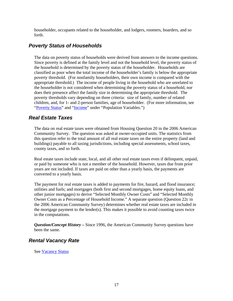<span id="page-16-0"></span>householder, occupants related to the householder, and lodgers, roomers, boarders, and so forth.

## *Poverty Status of Households*

The data on poverty status of households were derived from answers to the income questions. Since poverty is defined at the family level and not the household level, the poverty status of the household is determined by the poverty status of the householder. Households are classified as poor when the total income of the householder's family is below the appropriate poverty threshold. (For nonfamily householders, their own income is compared with the appropriate threshold.) The income of people living in the household who are unrelated to the householder is not considered when determining the poverty status of a household, nor does their presence affect the family size in determining the appropriate threshold. The poverty thresholds vary depending on three criteria: size of family, number of related children, and, for 1- and 2-person families, age of householder. (For more information, see ["Poverty Status"](#page-68-0) and ["Income"](#page-46-0) under "Population Variables.")

## *Real Estate Taxes*

The data on real estate taxes were obtained from Housing Question 20 in the 2006 American Community Survey. The question was asked at owner-occupied units. The statistics from this question refer to the total amount of all real estate taxes on the entire property (land and buildings) payable to all taxing jurisdictions, including special assessments, school taxes, county taxes, and so forth.

Real estate taxes include state, local, and all other real estate taxes even if delinquent, unpaid, or paid by someone who is not a member of the household. However, taxes due from prior years are not included. If taxes are paid on other than a yearly basis, the payments are converted to a yearly basis.

The payment for real estate taxes is added to payments for fire, hazard, and flood insurance; utilities and fuels; and mortgages (both first and second mortgages, home equity loans, and other junior mortgages) to derive "Selected Monthly Owner Costs" and "Selected Monthly Owner Costs as a Percentage of Household Income." A separate question (Question 22c in the 2006 American Community Survey) determines whether real estate taxes are included in the mortgage payment to the lender(s). This makes it possible to avoid counting taxes twice in the computations.

*Question/Concept History –* Since 1996, the American Community Survey questions have been the same.

### *Rental Vacancy Rate*

See [Vacancy Status](#page-22-0)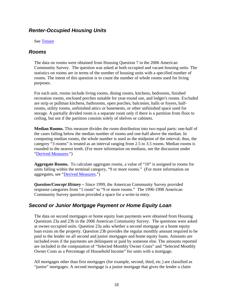## <span id="page-17-0"></span>*Renter-Occupied Housing Units*

#### See [Tenure](#page-20-0)

### *Rooms*

The data on rooms were obtained from Housing Question 7 in the 2006 American Community Survey. The question was asked at both occupied and vacant housing units. The statistics on rooms are in terms of the number of housing units with a specified number of rooms. The intent of this question is to count the number of whole rooms used for living purposes.

For each unit, rooms include living rooms, dining rooms, kitchens, bedrooms, finished recreation rooms, enclosed porches suitable for year-round use, and lodger's rooms. Excluded are strip or pullman kitchens, bathrooms, open porches, balconies, halls or foyers, halfrooms, utility rooms, unfinished attics or basements, or other unfinished space used for storage. A partially divided room is a separate room only if there is a partition from floor to ceiling, but not if the partition consists solely of shelves or cabinets.

**Median Rooms.** This measure divides the room distribution into two equal parts: one-half of the cases falling below the median number of rooms and one-half above the median. In computing median rooms, the whole number is used as the midpoint of the interval; thus, the category "3 rooms" is treated as an interval ranging from 2.5 to 3.5 rooms. Median rooms is rounded to the nearest tenth. (For more information on medians, see the discussion under ["Derived Measures](#page-87-0).")

**Aggregate Rooms.** To calculate aggregate rooms, a value of "10" is assigned to rooms for units falling within the terminal category, "9 or more rooms." (For more information on aggregates, see "[Derived Measures.](#page-87-0)")

*Question/Concept History –* Since 1999, the American Community Survey provided response categories from "1 room" to "9 or more rooms." The 1996-1998 American Community Survey question provided a space for a write-in entry.

## *Second or Junior Mortgage Payment or Home Equity Loan*

The data on second mortgages or home equity loan payments were obtained from Housing Questions 23a and 23b in the 2006 American Community Survey. The questions were asked at owner-occupied units. Question 23a asks whether a second mortgage or a home equity loan exists on the property. Question 23b provides the regular monthly amount required to be paid to the lender on all second and junior mortgages and home equity loans. Amounts are included even if the payments are delinquent or paid by someone else. The amounts reported are included in the computation of "Selected Monthly Owner Costs" and "Selected Monthly Owner Costs as a Percentage of Household Income" for units with a mortgage.

All mortgages other than first mortgages (for example, second, third, etc.) are classified as "junior" mortgages. A second mortgage is a junior mortgage that gives the lender a claim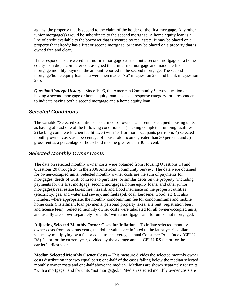<span id="page-18-0"></span>against the property that is second to the claim of the holder of the first mortgage. Any other junior mortgage $(s)$  would be subordinate to the second mortgage. A home equity loan is a line of credit available to the borrower that is secured by real estate. It may be placed on a property that already has a first or second mortgage, or it may be placed on a property that is owned free and clear.

If the respondents answered that no first mortgage existed, but a second mortgage or a home equity loan did, a computer edit assigned the unit a first mortgage and made the first mortgage monthly payment the amount reported in the second mortgage. The second mortgage/home equity loan data were then made "No" in Question 23a and blank in Question 23b.

*Question/Concept History –* Since 1996, the American Community Survey question on having a second mortgage or home equity loan has had a response category for a respondent to indicate having both a second mortgage and a home equity loan.

## *Selected Conditions*

The variable "Selected Conditions" is defined for owner- and renter-occupied housing units as having at least one of the following conditions: 1) lacking complete plumbing facilities, 2) lacking complete kitchen facilities, 3) with 1.01 or more occupants per room, 4) selected monthly owner costs as a percentage of household income greater than 30 percent, and 5) gross rent as a percentage of household income greater than 30 percent.

## *Selected Monthly Owner Costs*

The data on selected monthly owner costs were obtained from Housing Questions 14 and Questions 20 through 24 in the 2006 American Community Survey. The data were obtained for owner-occupied units. Selected monthly owner costs are the sum of payments for mortgages, deeds of trust, contracts to purchase, or similar debts on the property (including payments for the first mortgage, second mortgages, home equity loans, and other junior mortgages); real estate taxes; fire, hazard, and flood insurance on the property; utilities (electricity, gas, and water and sewer); and fuels (oil, coal, kerosene, wood, etc.). It also includes, where appropriate, the monthly condominium fee for condominiums and mobile home costs (installment loan payments, personal property taxes, site rent, registration fees, and license fees). Selected monthly owner costs were tabulated for all owner-occupied units, and usually are shown separately for units "with a mortgage" and for units "not mortgaged.

**Adjusting Selected Monthly Owner Costs for Inflation –** To inflate selected monthly owner costs from previous years, the dollar values are inflated to the latest year's dollar values by multiplying by a factor equal to the average annual Consumer Price Index (CPI-U-RS) factor for the current year, divided by the average annual CPI-U-RS factor for the earlier/earliest year.

**Median Selected Monthly Owner Costs –** This measure divides the selected monthly owner costs distribution into two equal parts: one-half of the cases falling below the median selected monthly owner costs and one-half above the median. Medians are shown separately for units "with a mortgage" and for units "not mortgaged." Median selected monthly owner costs are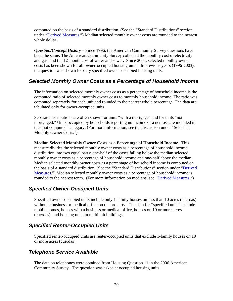<span id="page-19-0"></span>computed on the basis of a standard distribution. (See the "Standard Distributions" section under ["Derived Measures](#page-87-0).") Median selected monthly owner costs are rounded to the nearest whole dollar.

*Question/Concept History –* Since 1996, the American Community Survey questions have been the same. The American Community Survey collected the monthly cost of electricity and gas, and the 12-month cost of water and sewer. Since 2004, selected monthly owner costs has been shown for all owner-occupied housing units. In previous years (1996-2003), the question was shown for only specified owner-occupied housing units.

## *Selected Monthly Owner Costs as a Percentage of Household Income*

The information on selected monthly owner costs as a percentage of household income is the computed ratio of selected monthly owner costs to monthly household income. The ratio was computed separately for each unit and rounded to the nearest whole percentage. The data are tabulated only for owner-occupied units.

Separate distributions are often shown for units "with a mortgage" and for units "not mortgaged." Units occupied by households reporting no income or a net loss are included in the "not computed" category. (For more information, see the discussion under "Selected Monthly Owner Costs.")

**Median Selected Monthly Owner Costs as a Percentage of Household Income.** This measure divides the selected monthly owner costs as a percentage of household income distribution into two equal parts: one-half of the cases falling below the median selected monthly owner costs as a percentage of household income and one-half above the median. Median selected monthly owner costs as a percentage of household income is computed on the basis of a standard distribution. (See the "Standard Distributions" section under "[Derived](#page-87-0)  [Measures](#page-87-0).") Median selected monthly owner costs as a percentage of household income is rounded to the nearest tenth. (For more information on medians, see "[Derived Measures.](#page-87-0)")

### *Specified Owner-Occupied Units*

Specified owner-occupied units include only 1-family houses on less than 10 acres (cuerdas) without a business or medical office on the property. The data for "specified units" exclude mobile homes, houses with a business or medical office, houses on 10 or more acres (cuerdas), and housing units in multiunit buildings.

## *Specified Renter-Occupied Units*

Specified renter-occupied units are renter-occupied units that exclude 1-family houses on 10 or more acres (cuerdas).

### *Telephone Service Available*

The data on telephones were obtained from Housing Question 11 in the 2006 American Community Survey. The question was asked at occupied housing units.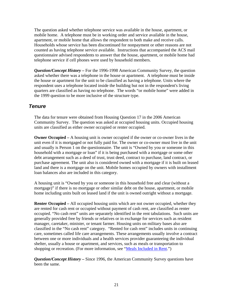<span id="page-20-0"></span>The question asked whether telephone service was available in the house, apartment, or mobile home. A telephone must be in working order and service available in the house, apartment, or mobile home that allows the respondent to both make and receive calls. Households whose service has been discontinued for nonpayment or other reasons are not counted as having telephone service available. Instructions that accompanied the ACS mail questionnaire advised respondents to answer that the house, apartment, or mobile home had telephone service if cell phones were used by household members.

*Question/Concept History –* For the 1996-1998 American Community Survey, the question asked whether there was a telephone in the house or apartment. A telephone must be inside the house or apartment for the unit to be classified as having a telephone. Units where the respondent uses a telephone located inside the building but not in the respondent's living quarters are classified as having no telephone. The words "or mobile home" were added in the 1999 question to be more inclusive of the structure type.

## *Tenure*

The data for tenure were obtained from Housing Question 17 in the 2006 American Community Survey. The question was asked at occupied housing units. Occupied housing units are classified as either owner occupied or renter occupied.

**Owner Occupied** – A housing unit is owner occupied if the owner or co-owner lives in the unit even if it is mortgaged or not fully paid for. The owner or co-owner must live in the unit and usually is Person 1 on the questionnaire. The unit is "Owned by you or someone in this household with a mortgage or loan" if it is being purchased with a mortgage or some other debt arrangement such as a deed of trust, trust deed, contract to purchase, land contract, or purchase agreement. The unit also is considered owned with a mortgage if it is built on leased land and there is a mortgage on the unit. Mobile homes occupied by owners with installment loan balances also are included in this category.

A housing unit is "Owned by you or someone in this household free and clear (without a mortgage)" if there is no mortgage or other similar debt on the house, apartment, or mobile home including units built on leased land if the unit is owned outright without a mortgage.

**Renter Occupied – All occupied housing units which are not owner occupied, whether they** are rented for cash rent or occupied without payment of cash rent, are classified as renter occupied. "No cash rent" units are separately identified in the rent tabulations. Such units are generally provided free by friends or relatives or in exchange for services such as resident manager, caretaker, minister, or tenant farmer. Housing units on military bases also are classified in the "No cash rent" category. "Rented for cash rent" includes units in continuing care, sometimes called life care arrangements. These arrangements usually involve a contract between one or more individuals and a health services provider guaranteeing the individual shelter, usually a house or apartment, and services, such as meals or transportation to shopping or recreation. (For more information, see ["Meals Included in Rent.](#page-13-0)")

*Question/Concept History –* Since 1996, the American Community Survey questions have been the same.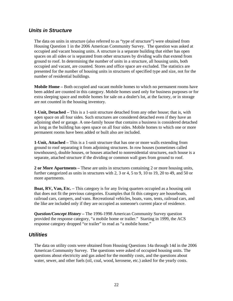### <span id="page-21-0"></span>*Units in Structure*

The data on units in structure (also referred to as "type of structure") were obtained from Housing Question 1 in the 2006 American Community Survey. The question was asked at occupied and vacant housing units. A structure is a separate building that either has open spaces on all sides or is separated from other structures by dividing walls that extend from ground to roof. In determining the number of units in a structure, all housing units, both occupied and vacant, are counted. Stores and office space are excluded. The statistics are presented for the number of housing units in structures of specified type and size, not for the number of residential buildings.

**Mobile Home –** Both occupied and vacant mobile homes to which no permanent rooms have been added are counted in this category. Mobile homes used only for business purposes or for extra sleeping space and mobile homes for sale on a dealer's lot, at the factory, or in storage are not counted in the housing inventory.

**1-Unit, Detached –** This is a 1-unit structure detached from any other house; that is, with open space on all four sides. Such structures are considered detached even if they have an adjoining shed or garage. A one-family house that contains a business is considered detached as long as the building has open space on all four sides. Mobile homes to which one or more permanent rooms have been added or built also are included.

**1-Unit, Attached –** This is a 1-unit structure that has one or more walls extending from ground to roof separating it from adjoining structures. In row houses (sometimes called townhouses), double houses, or houses attached to nonresidential structures, each house is a separate, attached structure if the dividing or common wall goes from ground to roof.

**2 or More Apartments –** These are units in structures containing 2 or more housing units, further categorized as units in structures with 2, 3 or 4, 5 to 9, 10 to 19, 20 to 49, and 50 or more apartments.

**Boat, RV, Van, Etc.** – This category is for any living quarters occupied as a housing unit that does not fit the previous categories. Examples that fit this category are houseboats, railroad cars, campers, and vans. Recreational vehicles, boats, vans, tents, railroad cars, and the like are included only if they are occupied as someone's current place of residence.

*Question/Concept History –* The 1996-1998 American Community Survey question provided the response category, "a mobile home or trailer." Starting in 1999, the ACS response category dropped "or trailer" to read as "a mobile home."

### *Utilities*

The data on utility costs were obtained from Housing Questions 14a through 14d in the 2006 American Community Survey. The questions were asked of occupied housing units. The questions about electricity and gas asked for the monthly costs, and the questions about water, sewer, and other fuels (oil, coal, wood, kerosene, etc.) asked for the yearly costs.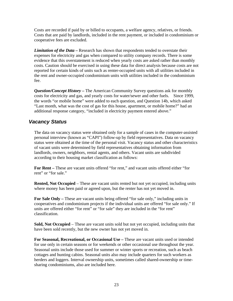<span id="page-22-0"></span>Costs are recorded if paid by or billed to occupants, a welfare agency, relatives, or friends. Costs that are paid by landlords, included in the rent payment, or included in condominium or cooperative fees are excluded.

**Limitation of the Data** – Research has shown that respondents tended to overstate their expenses for electricity and gas when compared to utility company records. There is some evidence that this overstatement is reduced when yearly costs are asked rather than monthly costs. Caution should be exercised in using these data for direct analysis because costs are not reported for certain kinds of units such as renter-occupied units with all utilities included in the rent and owner-occupied condominium units with utilities included in the condominium fee.

*Question/Concept History –* The American Community Survey questions ask for monthly costs for electricity and gas, and yearly costs for water/sewer and other fuels. Since 1999, the words "or mobile home" were added to each question, and Question 14b, which asked "Last month, what was the cost of gas for this house, apartment, or mobile home?" had an additional response category, "included in electricity payment entered above."

## *Vacancy Status*

The data on vacancy status were obtained only for a sample of cases in the computer-assisted personal interview (known as "CAPI") follow-up by field representatives. Data on vacancy status were obtained at the time of the personal visit. Vacancy status and other characteristics of vacant units were determined by field representatives obtaining information from landlords, owners, neighbors, rental agents, and others. Vacant units are subdivided according to their housing market classification as follows:

**For Rent –** These are vacant units offered "for rent," and vacant units offered either "for rent" or "for sale."

**Rented, Not Occupied** – These are vacant units rented but not yet occupied, including units where money has been paid or agreed upon, but the renter has not yet moved in.

For Sale Only – These are vacant units being offered "for sale only," including units in cooperatives and condominium projects if the individual units are offered "for sale only." If units are offered either "for rent" or "for sale" they are included in the "for rent" classification.

**Sold, Not Occupied** – These are vacant units sold but not yet occupied, including units that have been sold recently, but the new owner has not yet moved in.

**For Seasonal, Recreational, or Occasional Use –** These are vacant units used or intended for use only in certain seasons or for weekends or other occasional use throughout the year. Seasonal units include those used for summer or winter sports or recreation, such as beach cottages and hunting cabins. Seasonal units also may include quarters for such workers as herders and loggers. Interval ownership units, sometimes called shared-ownership or timesharing condominiums, also are included here.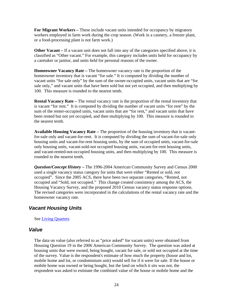<span id="page-23-0"></span>**For Migrant Workers –** These include vacant units intended for occupancy by migratory workers employed in farm work during the crop season. (Work in a cannery, a freezer plant, or a food-processing plant is not farm work.)

**Other Vacant** – If a vacant unit does not fall into any of the categories specified above, it is classified as "Other vacant." For example, this category includes units held for occupancy by a caretaker or janitor, and units held for personal reasons of the owner.

**Homeowner Vacancy Rate** – The homeowner vacancy rate is the proportion of the homeowner inventory that is vacant "for sale." It is computed by dividing the number of vacant units "for sale only" by the sum of the owner-occupied units, vacant units that are "for sale only," and vacant units that have been sold but not yet occupied, and then multiplying by 100. This measure is rounded to the nearest tenth.

**Rental Vacancy Rate** – The rental vacancy rate is the proportion of the rental inventory that is vacant "for rent." It is computed by dividing the number of vacant units "for rent" by the sum of the renter-occupied units, vacant units that are "for rent," and vacant units that have been rented but not yet occupied, and then multiplying by 100. This measure is rounded to the nearest tenth.

**Available Housing Vacancy Rate –** The proportion of the housing inventory that is vacantfor-sale only and vacant-for-rent. It is computed by dividing the sum of vacant-for-sale only housing units and vacant-for-rent housing units, by the sum of occupied units, vacant-for-sale only housing units, vacant-sold-not occupied housing units, vacant-for-rent housing units, and vacant-rented-not-occupied housing units, and then multiplying by 100. This measure is rounded to the nearest tenth.

*Question/Concept History –* The 1996-2004 American Community Survey and Census 2000 used a single vacancy status category for units that were either "Rented or sold, not occupied". Since the 2005 ACS, there have been two separate categories, "Rented, not occupied and "Sold, not occupied." This change created consistency among the ACS, the Housing Vacancy Survey, and the proposed 2010 Census vacancy status response options. The revised categories were incorporated in the calculations of the rental vacancy rate and the homeowner vacancy rate.

## *Vacant Housing Units*

See [Living Quarters](#page-12-0)

#### *Value*

The data on value (also referred to as "price asked" for vacant units) were obtained from Housing Question 19 in the 2006 American Community Survey. The question was asked at housing units that were owned, being bought, vacant for sale, or sold not occupied at the time of the survey. Value is the respondent's estimate of how much the property (house and lot, mobile home and lot, or condominium unit) would sell for if it were for sale. If the house or mobile home was owned or being bought, but the land on which it sits was not, the respondent was asked to estimate the combined value of the house or mobile home and the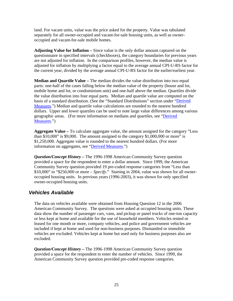<span id="page-24-0"></span>land. For vacant units, value was the price asked for the property. Value was tabulated separately for all owner-occupied and vacant-for-sale housing units, as well as owneroccupied and vacant-for-sale mobile homes.

**Adjusting Value for Inflation –** Since value is the only dollar amount captured on the questionnaire in specified intervals (checkboxes), the category boundaries for previous years are not adjusted for inflation. In the comparison profiles, however, the median value is adjusted for inflation by multiplying a factor equal to the average annual CPI-U-RS factor for the current year, divided by the average annual CPI-U-RS factor for the earlier/earliest year.

**Median and Quartile Value –** The median divides the value distribution into two equal parts: one-half of the cases falling below the median value of the property (house and lot, mobile home and lot, or condominium unit) and one-half above the median. Quartiles divide the value distribution into four equal parts. Median and quartile value are computed on the basis of a standard distribution. (See the "Standard Distributions" section under "[Derived](#page-87-0)  [Measures](#page-87-0).") Median and quartile value calculations are rounded to the nearest hundred dollars. Upper and lower quartiles can be used to note large value differences among various geographic areas. (For more information on medians and quartiles, see ["Derived](#page-87-0)  [Measures](#page-87-0).")

**Aggregate Value –** To calculate aggregate value, the amount assigned for the category "Less than \$10,000" is \$9,000. The amount assigned to the category \$1,000,000 or more" is \$1,250,000. Aggregate value is rounded to the nearest hundred dollars. (For more information on aggregates, see ["Derived Measures](#page-87-0).")

*Question/Concept History –* The 1996-1998 American Community Survey question provided a space for the respondent to enter a dollar amount. Since 1999, the American Community Survey question provided 19 pre-coded response categories from "Less than \$10,000" to "\$250,000 or more – *Specify*." Starting in 2004, value was shown for all owneroccupied housing units. In previous years (1996-2003), it was shown for only specified owner-occupied housing units.

## *Vehicles Available*

The data on vehicles available were obtained from Housing Question 12 in the 2006 American Community Survey. The questions were asked at occupied housing units. These data show the number of passenger cars, vans, and pickup or panel trucks of one-ton capacity or less kept at home and available for the use of household members. Vehicles rented or leased for one month or more, company vehicles, and police and government vehicles are included if kept at home and used for non-business purposes. Dismantled or immobile vehicles are excluded. Vehicles kept at home but used only for business purposes also are excluded.

*Question/Concept History –* The 1996-1998 American Community Survey question provided a space for the respondent to enter the number of vehicles. Since 1999, the American Community Survey question provided pre-coded response categories.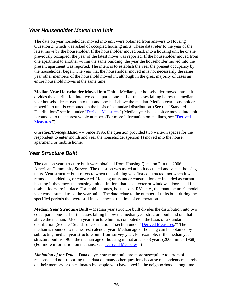## <span id="page-25-0"></span>*Year Householder Moved into Unit*

The data on year householder moved into unit were obtained from answers to Housing Question 3, which was asked of occupied housing units. These data refer to the year of the latest move by the householder. If the householder moved back into a housing unit he or she previously occupied, the year of the latest move was reported. If the householder moved from one apartment to another within the same building, the year the householder moved into the present apartment was reported. The intent is to establish the year the present occupancy by the householder began. The year that the householder moved in is not necessarily the same year other members of the household moved in, although in the great majority of cases an entire household moves at the same time.

**Median Year Householder Moved into Unit –** Median year householder moved into unit divides the distribution into two equal parts: one-half of the cases falling below the median year householder moved into unit and one-half above the median. Median year householder moved into unit is computed on the basis of a standard distribution. (See the "Standard Distributions" section under "[Derived Measures.](#page-87-0)") Median year householder moved into unit is rounded to the nearest whole number. (For more information on medians, see "[Derived](#page-87-0)  [Measures](#page-87-0).")

*Question/Concept History –* Since 1996, the question provided two write-in spaces for the respondent to enter month and year the householder (person 1) moved into the house, apartment, or mobile home.

## *Year Structure Built*

The data on year structure built were obtained from Housing Question 2 in the 2006 American Community Survey. The question was asked at both occupied and vacant housing units. Year structure built refers to when the building was first constructed, not when it was remodeled, added to, or converted. Housing units under construction are included as vacant housing if they meet the housing unit definition, that is, all exterior windows, doors, and final usable floors are in place. For mobile homes, houseboats, RVs, etc., the manufacturer's model year was assumed to be the year built. The data relate to the number of units built during the specified periods that were still in existence at the time of enumeration.

**Median Year Structure Built –** Median year structure built divides the distribution into two equal parts: one-half of the cases falling below the median year structure built and one-half above the median. Median year structure built is computed on the basis of a standard distribution (See the "Standard Distributions" section under "[Derived Measures.](#page-87-0)") The median is rounded to the nearest calendar year. Median age of housing can be obtained by subtracting median year structure built from survey year. For example, if the median year structure built is 1968, the median age of housing in that area is 38 years (2006 minus 1968). (For more information on medians, see ["Derived Measures](#page-87-0).")

*Limitation of the Data* **–** Data on year structure built are more susceptible to errors of response and non-reporting than data on many other questions because respondents must rely on their memory or on estimates by people who have lived in the neighborhood a long time.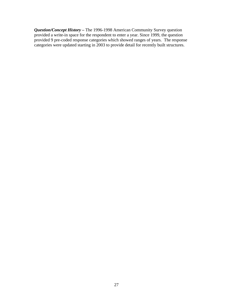*Question/Concept History –* The 1996-1998 American Community Survey question provided a write-in space for the respondent to enter a year. Since 1999, the question provided 9 pre-coded response categories which showed ranges of years. The response categories were updated starting in 2003 to provide detail for recently built structures.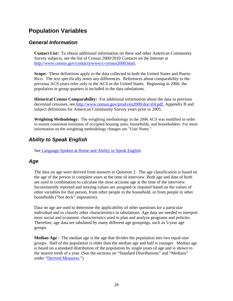# <span id="page-27-0"></span>**Population Variables**

## *General Information*

**Contact List:** To obtain additional information on these and other American Community Survey subjects, see the list of Census 2000/2010 Contacts on the Internet at [http://www.census.gov/contacts/www/c-census2000.html.](http://www.census.gov/contacts/www/c-census2000.html)

**Scope:** These definitions apply to the data collected in both the United States and Puerto Rico. The text specifically notes any differences. References about comparability to the previous ACS years refer only to the ACS in the United States. Beginning in 2006, the population in group quarters is included in the data tabulations.

**Historical Census Comparability:** For additional information about the data in previous decennial censuses, see<http://www.census.gov/prod/cen2000/doc/sf4.pdf>, Appendix B and subject definitions for American Community Survey years prior to 2005.

**Weighting Methodology:** The weighting methodology in the 2006 ACS was modified in order to ensure consistent estimates of occupied housing units, households, and householders. For more information on the weighting methodology changes see "User Notes."

# *Ability to Speak English*

See [Language Spoken at Home and Ability to Speak English](#page-61-0)

## *Age*

The data on age were derived from answers to Question 2. The age classification is based on the age of the person in complete years at the time of interview. Both age and date of birth are used in combination to calculate the most accurate age at the time of the interview. Inconsistently reported and missing values are assigned or imputed based on the values of other variables for that person, from other people in the household, or from people in other households ("hot deck" imputation).

Data on age are used to determine the applicability of other questions for a particular individual and to classify other characteristics in tabulations. Age data are needed to interpret most social and economic characteristics used to plan and analyze programs and policies. Therefore, age data are tabulated by many different age groupings, such as 5-year age groups.

**Median Age** – The median age is the age that divides the population into two equal-size groups. Half of the population is older than the median age and half is younger. Median age is based on a standard distribution of the population by single years of age and is shown to the nearest tenth of a year. (See the sections on "Standard Distributions" and "Medians" under ["Derived Measures](#page-87-0).")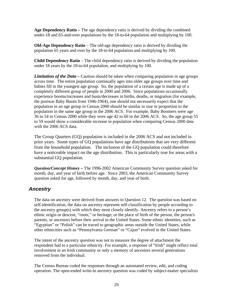<span id="page-28-0"></span>**Age Dependency Ratio –** The age dependency ratio is derived by dividing the combined under-18 and 65-and-over populations by the 18-to-64 population and multiplying by 100.

**Old-Age Dependency Ratio** – The old-age dependency ratio is derived by dividing the population 65 years and over by the 18-to-64 population and multiplying by 100.

**Child Dependency Ratio** – The child dependency ratio is derived by dividing the population under 18 years by the 18-to-64 population, and multiplying by 100.

*Limitation of the Data –* Caution should be taken when comparing population in age groups across time. The entire population continually ages into older age groups over time and babies fill in the youngest age group. So, the population of a certain age is made up of a completely different group of people in 2000 and 2006. Since populations occasionally experience booms/increases and busts/decreases in births, deaths, or migration (for example, the postwar Baby Boom from 1946-1964), one should not necessarily expect that the population in an age group in Census 2000 should be similar in size or proportion to the population in the same age group in the 2006 ACS. For example, Baby Boomers were age 36 to 54 in Census 2000 while they were age 42 to 60 in the 2006 ACS. So, the age group 55 to 59 would show a considerable increase in population when comparing Census 2000 data with the 2006 ACS data.

The Group Quarters (GQ) population is included in the 2006 ACS and not included in prior years. Some types of GQ populations have age distributions that are very different from the household population. The inclusion of the GQ population could therefore have a noticeable impact on the age distribution. This is particularly true for areas with a substantial GQ population.

*Question/Concept History –* The 1996-2002 American Community Survey question asked for month, day, and year of birth before age. Since 2003, the American Community Survey question asked for age, followed by month, day, and year of birth.

## *Ancestry*

The data on ancestry were derived from answers to Question 12. The question was based on self-identification; the data on ancestry represent self-classification by people according to the ancestry group(s) with which they most closely identify. Ancestry refers to a person's ethnic origin or descent, "roots," or heritage; or the place of birth of the person, the person's parents, or ancestors before their arrival in the United States. Some ethnic identities, such as "Egyptian" or "Polish" can be traced to geographic areas outside the United States, while other ethnicities such as "Pennsylvania German" or "Cajun" evolved in the United States.

The intent of the ancestry question was not to measure the degree of attachment the respondent had to a particular ethnicity. For example, a response of "Irish" might reflect total involvement in an Irish community or only a memory of ancestors several generations removed from the individual.

The Census Bureau coded the responses through an automated review, edit, and coding operation*.* The open-ended write-in ancestry question was coded by subject-matter specialists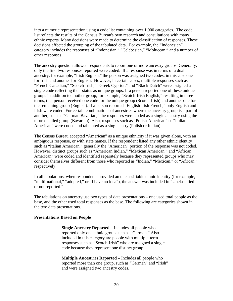into a numeric representation using a code list containing over 1,000 categories. The code list reflects the results of the Census Bureau's own research and consultations with many ethnic experts. Many decisions were made to determine the classification of responses. These decisions affected the grouping of the tabulated data. For example, the "Indonesian" category includes the responses of "Indonesian," "Celebesian," "Moluccan," and a number of other responses.

The ancestry question allowed respondents to report one or more ancestry groups. Generally, only the first two responses reported were coded. If a response was in terms of a dual ancestry, for example, "Irish English," the person was assigned two codes, in this case one for Irish and another for English. However, in certain cases, multiple responses such as "French Canadian," "Scotch-Irish," "Greek Cypriot," and "Black Dutch" were assigned a single code reflecting their status as unique groups. If a person reported one of these unique groups in addition to another group, for example, "Scotch-Irish English," resulting in three terms, that person received one code for the unique group (Scotch-Irish) and another one for the remaining group (English). If a person reported "English Irish French," only English and Irish were coded. For certain combinations of ancestries where the ancestry group is a part of another, such as "German Bavarian," the responses were coded as a single ancestry using the more detailed group (Bavarian). Also, responses such as "Polish-American" or "Italian-American" were coded and tabulated as a single entry (Polish or Italian).

The Census Bureau accepted "American" as a unique ethnicity if it was given alone, with an ambiguous response, or with state names. If the respondent listed any other ethnic identity such as "Italian American," generally the "American" portion of the response was not coded. However, distinct groups such as "American Indian," "Mexican American," and "African American" were coded and identified separately because they represented groups who may consider themselves different from those who reported as "Indian," "Mexican," or "African," respectively.

In all tabulations, when respondents provided an unclassifiable ethnic identity (for example, "multi-national," "adopted," or "I have no idea"), the answer was included in "Unclassified or not reported."

The tabulations on ancestry use two types of data presentations – one used total people as the base, and the other used total responses as the base. The following are categories shown in the two data presentations.

#### **Presentations Based on People**

**Single Ancestry Reported –** Includes all people who reported only one ethnic group such as "German." Also included in this category are people with multiple-term responses such as "Scotch-Irish" who are assigned a single code because they represent one distinct group.

**Multiple Ancestries Reported –** Includes all people who reported more than one group, such as "German" and "Irish" and were assigned two ancestry codes.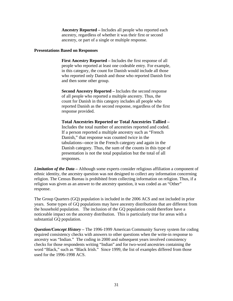**Ancestry Reported –** Includes all people who reported each ancestry, regardless of whether it was their first or second ancestry, or part of a single or multiple response.

#### **Presentations Based on Responses**

**First Ancestry Reported –** Includes the first response of all people who reported at least one codeable entry. For example, in this category, the count for Danish would include all those who reported only Danish and those who reported Danish first and then some other group.

**Second Ancestry Reported –** Includes the second response of all people who reported a multiple ancestry. Thus, the count for Danish in this category includes all people who reported Danish as the second response, regardless of the first response provided.

**Total Ancestries Reported or Total Ancestries Tallied –**  Includes the total number of ancestries reported and coded. If a person reported a multiple ancestry such as "French Danish," that response was counted twice in the tabulations--once in the French category and again in the Danish category. Thus, the sum of the counts in this type of presentation is not the total population but the total of all responses.

*Limitation of the Data* **–** Although some experts consider religious affiliation a component of ethnic identity, the ancestry question was not designed to collect any information concerning religion. The Census Bureau is prohibited from collecting information on religion. Thus, if a religion was given as an answer to the ancestry question, it was coded as an "Other" response.

The Group Quarters (GQ) population is included in the 2006 ACS and not included in prior years. Some types of GQ populations may have ancestry distributions that are different from the household population. The inclusion of the GQ population could therefore have a noticeable impact on the ancestry distribution. This is particularly true for areas with a substantial GQ population.

*Question/Concept History –* The 1996-1999 American Community Survey system for coding required consistency checks with answers to other questions when the write-in response to ancestry was "Indian." The coding in 2000 and subsequent years involved consistency checks for those respondents writing "Indian" and for two-word ancestries containing the word "Black," such as "Black Irish." Since 1999, the list of examples differed from those used for the 1996-1998 ACS.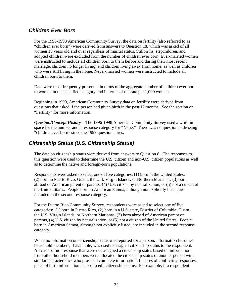## <span id="page-31-0"></span>*Children Ever Born*

For the 1996-1998 American Community Survey, the data on fertility (also referred to as "children ever born") were derived from answers to Question 18, which was asked of all women 15 years old and over regardless of marital status. Stillbirths, stepchildren, and adopted children were excluded from the number of children ever born. Ever-married women were instructed to include all children born to them before and during their most recent marriage, children no longer living, and children living away from home, as well as children who were still living in the home. Never-married women were instructed to include all children born to them.

Data were most frequently presented in terms of the aggregate number of children ever born to women in the specified category and in terms of the rate per 1,000 women.

Beginning in 1999, American Community Survey data on fertility were derived from questions that asked if the person had given birth in the past 12 months. See the section on "Fertility" for more information.

*Question/Concept History –* The 1996-1998 American Community Survey used a write-in space for the number and a response category for "None." There was no question addressing "children ever born" since the 1999 questionnaires.

## *Citizenship Status (U.S. Citizenship Status)*

The data on citizenship status were derived from answers to Question 8. The responses to this question were used to determine the U.S. citizen and non-U.S. citizen populations as well as to determine the native and foreign-born populations.

Respondents were asked to select one of five categories: (1) born in the United States, (2) born in Puerto Rico, Guam, the U.S. Virgin Islands, or Northern Marianas, (3) born abroad of American parent or parents, (4) U.S. citizen by naturalization, or (5) not a citizen of the United States. People born in American Samoa, although not explicitly listed, are included in the second response category.

For the Puerto Rico Community Survey, respondents were asked to select one of five categories: (1) born in Puerto Rico, (2) born in a U.S. state, District of Columbia, Guam, the U.S. Virgin Islands, or Northern Marianas, (3) born abroad of American parent or parents, (4) U.S. citizen by naturalization, or (5) not a citizen of the United States. People born in American Samoa, although not explicitly listed, are included in the second response category.

When no information on citizenship status was reported for a person, information for other household members, if available, was used to assign a citizenship status to the respondent. All cases of nonresponse that were not assigned a citizenship status based on information from other household members were allocated the citizenship status of another person with similar characteristics who provided complete information. In cases of conflicting responses, place of birth information is used to edit citizenship status. For example, if a respondent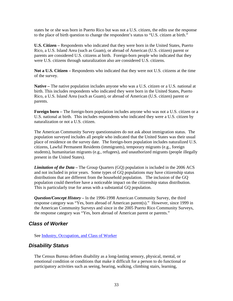<span id="page-32-0"></span>states he or she was born in Puerto Rico but was not a U.S. citizen, the edits use the response to the place of birth question to change the respondent's status to "U.S. citizen at birth."

**U.S. Citizen –** Respondents who indicated that they were born in the United States, Puerto Rico, a U.S. Island Area (such as Guam), or abroad of American (U.S. citizen) parent or parents are considered U.S. citizens at birth. Foreign-born people who indicated that they were U.S. citizens through naturalization also are considered U.S. citizens.

**Not a U.S. Citizen –** Respondents who indicated that they were not U.S. citizens at the time of the survey.

**Native –** The native population includes anyone who was a U.S. citizen or a U.S. national at birth. This includes respondents who indicated they were born in the United States, Puerto Rico, a U.S. Island Area (such as Guam), or abroad of American (U.S. citizen) parent or parents.

**Foreign born –** The foreign-born population includes anyone who was not a U.S. citizen or a U.S. national at birth. This includes respondents who indicated they were a U.S. citizen by naturalization or not a U.S. citizen.

The American Community Survey questionnaires do not ask about immigration status. The population surveyed includes all people who indicated that the United States was their usual place of residence on the survey date. The foreign-born population includes naturalized U.S. citizens, Lawful Permanent Residents (immigrants), temporary migrants (e.g., foreign students), humanitarian migrants (e.g., refugees), and unauthorized migrants (people illegally present in the United States).

*Limitation of the Data* – The Group Quarters (GQ) population is included in the 2006 ACS and not included in prior years. Some types of GQ populations may have citizenship status distributions that are different from the household population. The inclusion of the GQ population could therefore have a noticeable impact on the citizenship status distribution. This is particularly true for areas with a substantial GQ population.

*Question/Concept History –* In the 1996-1998 American Community Survey, the third response category was "Yes, born abroad of American parent(s)." However, since 1999 in the American Community Surveys and since in the 2005 Puerto Rico Community Surveys, the response category was "Yes, born abroad of American parent or parents."

## *Class of Worker*

See <u>[Industry, Occupation, and Class of Worker](#page-52-0)</u>

## *Disability Status*

The Census Bureau defines disability as a long-lasting sensory, physical, mental, or emotional condition or conditions that make it difficult for a person to do functional or participatory activities such as seeing, hearing, walking, climbing stairs, learning,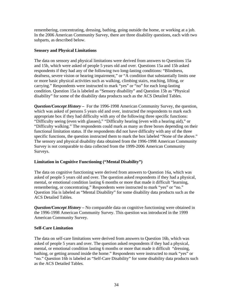remembering, concentrating, dressing, bathing, going outside the home, or working at a job. In the 2006 American Community Survey, there are three disability questions, each with two subparts, as described below.

#### **Sensory and Physical Limitations**

The data on sensory and physical limitations were derived from answers to Questions 15a and 15b, which were asked of people 5 years old and over. Questions 15a and 15b asked respondents if they had any of the following two long-lasting conditions: "Blindness, deafness, severe vision or hearing impairment," or "A condition that substantially limits one or more basic physical activities such as walking, climbing stairs, reaching, lifting, or carrying." Respondents were instructed to mark "yes" or "no" for each long-lasting condition. Question 15a is labeled as "Sensory disability" and Question 15b as "Physical disability" for some of the disability data products such as the ACS Detailed Tables.

*Question/Concept History* – For the 1996-1998 American Community Survey, the question, which was asked of persons 5 years old and over, instructed the respondents to mark each appropriate box if they had difficulty with any of the following three specific functions: "Difficulty seeing (even with glasses)," "Difficulty hearing (even with a hearing aid)," or "Difficulty walking." The respondents could mark as many as three boxes depending on their functional limitation status. If the respondents did not have difficulty with any of the three specific functions, the question instructed them to mark the box labeled "None of the above." The sensory and physical disability data obtained from the 1996-1998 American Community Survey is not comparable to data collected from the 1999-2006 American Community Surveys.

#### **Limitation in Cognitive Functioning ("Mental Disability")**

The data on cognitive functioning were derived from answers to Question 16a, which was asked of people 5 years old and over. The question asked respondents if they had a physical, mental, or emotional condition lasting 6 months or more that made it difficult "learning, remembering, or concentrating." Respondents were instructed to mark "yes" or "no." Question 16a is labeled as "Mental Disability" for some disability data products such as the ACS Detailed Tables.

*Question/Concept History –* No comparable data on cognitive functioning were obtained in the 1996-1998 American Community Survey. This question was introduced in the 1999 American Community Survey.

#### **Self-Care Limitation**

The data on self-care limitations were derived from answers to Question 16b, which was asked of people 5 years and over. The question asked respondents if they had a physical, mental, or emotional condition lasting 6 months or more that made it difficult "dressing, bathing, or getting around inside the home." Respondents were instructed to mark "yes" or "no." Question 16b is labeled as "Self-Care Disability" for some disability data products such as the ACS Detailed Tables.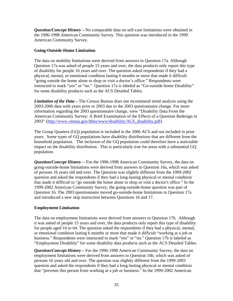*Question/Concept History –* No comparable data on self-care limitations were obtained in the 1996-1998 American Community Survey. This question was introduced in the 1999 American Community Survey.

#### **Going-Outside-Home Limitation**

The data on mobility limitations were derived from answers to Question 17a. Although Question 17a was asked of people 15 years and over, the data products only report this type of disability for people 16 years and over. The question asked respondents if they had a physical, mental, or emotional condition lasting 6 months or more that made it difficult "going outside the home alone to shop or visit a doctor's office." Respondents were instructed to mark "yes" or "no." Question 17a is labeled as "Go-outside-home Disability" for some disability products such as the ACS Detailed Tables.

*Limitation of the Data – The Census Bureau does not recommend trend analysis using the* 2003-2006 data with years prior to 2003 due to the 2003 questionnaire change. For more information regarding the 2003 questionnaire change, view "Disability Data From the American Community Survey: A Brief Examination of the Effects of a Question Redesign in 2003" ([http://www.census.gov/hhes/www/disability/ACS\\_disability.pdf\)](http://www.census.gov/hhes/www/disability/ACS_disability.pdf).

The Group Quarters (GQ) population is included in the 2006 ACS and not included in prior years. Some types of GQ populations have disability distributions that are different from the household population. The inclusion of the GQ population could therefore have a noticeable impact on the disability distribution. This is particularly true for areas with a substantial GQ population.

*Question/Concept History --* For the 1996-1998 American Community Survey, the data on going-outside-home limitations were derived from answers to Question 16a, which was asked of persons 16 years old and over. The Question was slightly different from the 1999-2002 question and asked the respondents if they had a long-lasting physical or mental condition that made it difficult to "go outside the home alone to shop or visit a doctor's office." In the 1999-2002 American Community Survey, the going-outside-home question was part of Question 16. The 2003 questionnaire moved go-outside-home limitations to Question 17a and introduced a new skip instruction between Questions 16 and 17.

#### **Employment Limitation**

The data on employment limitations were derived from answers to Question 17b. Although it was asked of people 15 years and over, the data products only report this type of disability for people aged 16 to 64. The question asked the respondents if they had a physical, mental, or emotional condition lasting 6 months or more that made it difficult "working at a job or business." Respondents were instructed to mark "yes" or "no." Question 17b is labeled as "Employment Disability" for some disability data products such as the ACS Detailed Tables.

*Question/Concept History –* For the 1996-1998 American Community Survey, the data on employment limitations were derived from answers to Question 16b, which was asked of persons 16 years old and over. The question was slightly different from the 1999-2003 question and asked the respondents if they had a long-lasting physical or mental condition that "prevents this person from working at a job or business." In the 1999-2002 American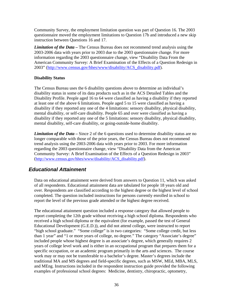<span id="page-35-0"></span>Community Survey, the employment limitation question was part of Question 16. The 2003 questionnaire moved the employment limitations to Question 17b and introduced a new skip instruction between Questions 16 and 17.

*Limitation of the Data – The Census Bureau does not recommend trend analysis using the* 2003-2006 data with years prior to 2003 due to the 2003 questionnaire change. For more information regarding the 2003 questionnaire change, view "Disability Data From the American Community Survey: A Brief Examination of the Effects of a Question Redesign in 2003" ([http://www.census.gov/hhes/www/disability/ACS\\_disability.pdf\)](http://www.census.gov/hhes/www/disability/ACS_disability.pdf).

#### **Disability Status**

The Census Bureau uses the 6 disability questions above to determine an individual's disability status in some of its data products such as in the ACS Detailed Tables and the Disability Profile. People aged 16 to 64 were classified as having a disability if they reported at least one of the above 6 limitations. People aged 5 to 15 were classified as having a disability if they reported any one of the 4 limitations: sensory disability, physical disability, mental disability, or self-care disability. People 65 and over were classified as having a disability if they reported any one of the 5 limitations: sensory disability, physical disability, mental disability, self-care disability, or going-outside-home disability.

*Limitation of the Data –* Since 2 of the 6 questions used to determine disability status are no longer comparable with those of the prior years, the Census Bureau does not recommend trend analysis using the 2003-2006 data with years prior to 2003. For more information regarding the 2003 questionnaire change, view "Disability Data from the American Community Survey: A Brief Examination of the Effects of a Question Redesign in 2003" ([http://www.census.gov/hhes/www/disability/ACS\\_disability.pdf\)](http://www.census.gov/hhes/www/disability/ACS_disability.pdf).

## *Educational Attainment*

Data on educational attainment were derived from answers to Question 11, which was asked of all respondents. Educational attainment data are tabulated for people 18 years old and over. Respondents are classified according to the highest degree or the highest level of school completed. The question included instructions for persons currently enrolled in school to report the level of the previous grade attended or the highest degree received.

The educational attainment question included a response category that allowed people to report completing the 12th grade without receiving a high school diploma. Respondents who received a high school diploma or the equivalent (for example, passed the test of General Educational Development (G.E.D.)), and did not attend college, were instructed to report "high school graduate." "Some college" is in two categories: "Some college credit, but less than 1 year" and "1 or more years of college, no degree." The category "Associate's degree" included people whose highest degree is an associate's degree, which generally requires 2 years of college level work and is either in an occupational program that prepares them for a specific occupation, or an academic program primarily in the arts and sciences. The course work may or may not be transferable to a bachelor's degree. Master's degrees include the traditional MA and MS degrees and field-specific degrees, such as MSW, MEd, MBA, MLS, and MEng. Instructions included in the respondent instruction guide provided the following examples of professional school degrees: Medicine, dentistry, chiropractic, optometry,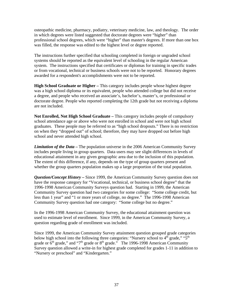osteopathic medicine, pharmacy, podiatry, veterinary medicine, law, and theology. The order in which degrees were listed suggested that doctorate degrees were "higher" than professional school degrees, which were "higher" than master's degrees. If more than one box was filled, the response was edited to the highest level or degree reported.

The instructions further specified that schooling completed in foreign or ungraded school systems should be reported as the equivalent level of schooling in the regular American system. The instructions specified that certificates or diplomas for training in specific trades or from vocational, technical or business schools were not to be reported. Honorary degrees awarded for a respondent's accomplishments were not to be reported.

**High School Graduate or Higher –** This category includes people whose highest degree was a high school diploma or its equivalent, people who attended college but did not receive a degree, and people who received an associate's, bachelor's, master's, or professional or doctorate degree. People who reported completing the 12th grade but not receiving a diploma are not included.

**Not Enrolled, Not High School Graduate –** This category includes people of compulsory school attendance age or above who were not enrolled in school and were not high school graduates. These people may be referred to as "high school dropouts." There is no restriction on when they "dropped out" of school; therefore, they may have dropped out before high school and never attended high school.

*Limitation of the Data –* The population universe in the 2006 American Community Survey includes people living in group quarters. Data users may see slight differences in levels of educational attainment in any given geographic area due to the inclusion of this population. The extent of this difference, if any, depends on the type of group quarters present and whether the group quarters population makes up a large proportion of the total population.

*Question/Concept History –* Since 1999, the American Community Survey question does not have the response category for "Vocational, technical, or business school degree" that the 1996-1998 American Community Surveys question had. Starting in 1999, the American Community Survey question had two categories for some college: "Some college credit, but less than 1 year" and "1 or more years of college, no degree." The 1996-1998 American Community Survey question had one category: "Some college but no degree."

In the 1996-1998 American Community Survey, the educational attainment question was used to estimate level of enrollment. Since 1999, in the American Community Survey, a question regarding grade of enrollment was included.

Since 1999, the American Community Survey attainment question grouped grade categories below high school into the following three categories: "Nursery school to  $4<sup>th</sup>$  grade," "5<sup>th</sup> grade or  $6<sup>th</sup>$  grade," and "7<sup>th</sup> grade or  $8<sup>th</sup>$  grade." The 1996-1998 American Community Survey question allowed a write-in for highest grade completed for grades 1-11 in addition to "Nursery or preschool" and "Kindergarten."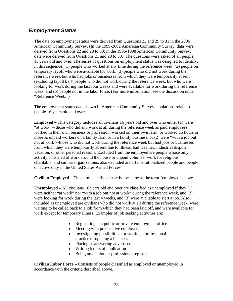## <span id="page-37-0"></span>*Employment Status*

The data on employment status were derived from Questions 23 and 29 to 31 in the 2006 American Community Survey. (In the 1999-2002 American Community Survey, data were derived from Questions 22 and 28 to 30; in the 1996-1998 American Community Survey, data were derived from Questions 21 and 28 to 30.) The questions were asked of all people 15 years old and over. The series of questions on employment status was designed to identify, in this sequence: (1) people who worked at any time during the reference week; (2) people on temporary layoff who were available for work; (3) people who did not work during the reference week but who had jobs or businesses from which they were temporarily absent (excluding layoff); (4) people who did not work during the reference week, but who were looking for work during the last four weeks and were available for work during the reference week; and (5) people not in the labor force. (For more information, see the discussion under "Reference Week.")

The employment status data shown in American Community Survey tabulations relate to people 16 years old and over.

**Employed –** This category includes all civilians 16 years old and over who either (1) were "at work" – those who did any work at all during the reference week as paid employees, worked in their own business or profession, worked on their own farm, or worked 15 hours or more as unpaid workers on a family farm or in a family business; or (2) were "with a job but not at work"--those who did not work during the reference week but had jobs or businesses from which they were temporarily absent due to illness, bad weather, industrial dispute, vacation, or other personal reasons. Excluded from the employed are people whose only activity consisted of work around the house or unpaid volunteer work for religious, charitable, and similar organizations; also excluded are all institutionalized people and people on active duty in the United States Armed Forces.

**Civilian Employed –** This term is defined exactly the same as the term "employed" above.

**Unemployed –** All civilians 16 years old and over are classified as unemployed if they (1) were neither "at work" nor "with a job but not at work" during the reference week, and (2) were looking for work during the last 4 weeks, and (3) were available to start a job. Also included as unemployed are civilians who did not work at all during the reference week, were waiting to be called back to a job from which they had been laid off, and were available for work except for temporary illness. Examples of job seeking activities are:

- Registering at a public or private employment office
- Meeting with prospective employers
- Investigating possibilities for starting a professional practice or opening a business
- Placing or answering advertisements
- Writing letters of application
- Being on a union or professional register

**Civilian Labor Force –** Consists of people classified as employed or unemployed in accordance with the criteria described above.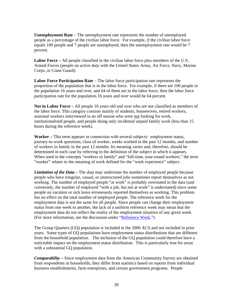**Unemployment Rate** – The unemployment rate represents the number of unemployed people as a percentage of the civilian labor force. For example, if the civilian labor force equals 100 people and 7 people are unemployed, then the unemployment rate would be 7 percent.

**Labor Force –** All people classified in the civilian labor force plus members of the U.S. Armed Forces (people on active duty with the United States Army, Air Force, Navy, Marine Corps, or Coast Guard).

**Labor Force Participation Rate** – The labor force participation rate represents the proportion of the population that is in the labor force. For example, if there are 100 people in the population 16 years and over, and 64 of them are in the labor force, then the labor force participation rate for the population 16 years and over would be 64 percent.

**Not in Labor Force –** All people 16 years old and over who are not classified as members of the labor force. This category consists mainly of students, housewives, retired workers, seasonal workers interviewed in an off season who were not looking for work, institutionalized people, and people doing only incidental unpaid family work (less than 15 hours during the reference week).

**Worker –** This term appears in connection with several subjects: employment status, journey-to-work questions, class of worker, weeks worked in the past 12 months, and number of workers in family in the past 12 months. Its meaning varies and, therefore, should be determined in each case by referring to the definition of the subject in which it appears. When used in the concepts "workers in family" and "full-time, year-round workers," the term "worker" relates to the meaning of work defined for the "work experience" subject.

*Limitation of the Data* – The data may understate the number of employed people because people who have irregular, casual, or unstructured jobs sometimes report themselves as not working. The number of employed people "at work" is probably overstated in the data (and conversely, the number of employed "with a job, but not at work" is understated) since some people on vacation or sick leave erroneously reported themselves as working. This problem has no effect on the total number of employed people. The reference week for the employment data is not the same for all people. Since people can change their employment status from one week to another, the lack of a uniform reference week may mean that the employment data do not reflect the reality of the employment situation of any given week. (For more information, see the discussion under "[Reference Week.](#page-79-0)")

The Group Quarters (GQ) population is included in the 2006 ACS and not included in prior years. Some types of GQ populations have employment status distributions that are different from the household population. The inclusion of the GQ population could therefore have a noticeable impact on the employment status distribution. This is particularly true for areas with a substantial GQ population.

*Comparability –* Since employment data from the American Community Survey are obtained from respondents in households, they differ from statistics based on reports from individual business establishments, farm enterprises, and certain government programs. People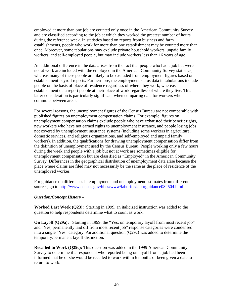employed at more than one job are counted only once in the American Community Survey and are classified according to the job at which they worked the greatest number of hours during the reference week. In statistics based on reports from business and farm establishments, people who work for more than one establishment may be counted more than once. Moreover, some tabulations may exclude private household workers, unpaid family workers, and self-employed people, but may include workers less than 16 years of age.

An additional difference in the data arises from the fact that people who had a job but were not at work are included with the employed in the American Community Survey statistics, whereas many of these people are likely to be excluded from employment figures based on establishment payroll reports. Furthermore, the employment status data in tabulations include people on the basis of place of residence regardless of where they work, whereas establishment data report people at their place of work regardless of where they live. This latter consideration is particularly significant when comparing data for workers who commute between areas.

For several reasons, the unemployment figures of the Census Bureau are not comparable with published figures on unemployment compensation claims. For example, figures on unemployment compensation claims exclude people who have exhausted their benefit rights, new workers who have not earned rights to unemployment insurance, and people losing jobs not covered by unemployment insurance systems (including some workers in agriculture, domestic services, and religious organizations, and self-employed and unpaid family workers). In addition, the qualifications for drawing unemployment compensation differ from the definition of unemployment used by the Census Bureau. People working only a few hours during the week and people with a job but not at work are sometimes eligible for unemployment compensation but are classified as "Employed" in the American Community Survey. Differences in the geographical distribution of unemployment data arise because the place where claims are filed may not necessarily be the same as the place of residence of the unemployed worker.

For guidance on differences in employment and unemployment estimates from different sources, go to [http://www.census.gov/hhes/www/laborfor/laborguidance082504.html.](http://www.census.gov/hhes/www/laborfor/laborguidance082504.html)

#### *Question/Concept History –*

**Worked Last Week (Q23):** Starting in 1999, an italicized instruction was added to the question to help respondents determine what to count as work.

**On Layoff (Q29a):** Starting in 1999, the "Yes, on temporary layoff from most recent job" and "Yes, permanently laid off from most recent job" response categories were condensed into a single "Yes" category. An additional question (Q29c) was added to determine the temporary/permanent layoff distinction.

**Recalled to Work (Q29c):** This question was added in the 1999 American Community Survey to determine if a respondent who reported being on layoff from a job had been informed that he or she would be recalled to work within 6 months or been given a date to return to work.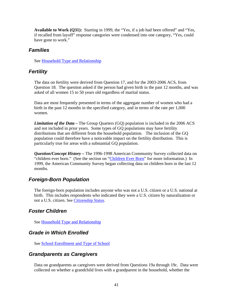<span id="page-40-0"></span>**Available to Work (Q31):** Starting in 1999, the "Yes, if a job had been offered" and "Yes, if recalled from layoff" response categories were condensed into one category, "Yes, could have gone to work."

### *Families*

See [Household Type and Relationship](#page-43-0)

## *Fertility*

The data on fertility were derived from Question 17, and for the 2003-2006 ACS, from Question 18. The question asked if the person had given birth in the past 12 months, and was asked of all women 15 to 50 years old regardless of marital status.

Data are most frequently presented in terms of the aggregate number of women who had a birth in the past 12 months in the specified category, and in terms of the rate per 1,000 women.

*Limitation of the Data* – The Group Quarters (GQ) population is included in the 2006 ACS and not included in prior years. Some types of GQ populations may have fertility distributions that are different from the household population. The inclusion of the GQ population could therefore have a noticeable impact on the fertility distribution. This is particularly true for areas with a substantial GQ population.

*Question/Concept History –* The 1996-1998 American Community Survey collected data on "children ever born." (See the section on ["Children Ever Born"](#page-31-0) for more information.) In 1999, the American Community Survey began collecting data on children born in the last 12 months.

# *Foreign-Born Population*

The foreign-born population includes anyone who was not a U.S. citizen or a U.S. national at birth. This includes respondents who indicated they were a U.S. citizen by naturalization or not a U.S. citizen. See [Citizenship Status.](#page-31-0)

# *Foster Children*

See [Household Type and Relationship](#page-43-0)

## *Grade in Which Enrolled*

See [School Enrollment and Type of School](#page-81-0)

### *Grandparents as Caregivers*

Data on grandparents as caregivers were derived from Questions 19a through 19c. Data were collected on whether a grandchild lives with a grandparent in the household, whether the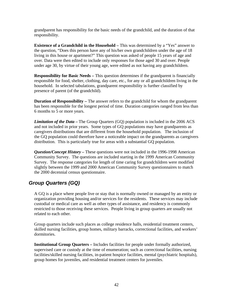grandparent has responsibility for the basic needs of the grandchild, and the duration of that responsibility.

**Existence of a Grandchild in the Household – This was determined by a "Yes" answer to** the question, "Does this person have any of his/her own grandchildren under the age of 18 living in this house or apartment?" This question was asked of people 15 years of age and over. Data were then edited to include only responses for those aged 30 and over. People under age 30, by virtue of their young age, were edited as not having any grandchildren.

**Responsibility for Basic Needs –** This question determines if the grandparent is financially responsible for food, shelter, clothing, day care, etc., for any or all grandchildren living in the household. In selected tabulations, grandparent responsibility is further classified by presence of parent (of the grandchild).

**Duration of Responsibility** – The answer refers to the grandchild for whom the grandparent has been responsible for the longest period of time. Duration categories ranged from less than 6 months to 5 or more years.

*Limitation of the Data* – The Group Quarters (GQ) population is included in the 2006 ACS and not included in prior years. Some types of GQ populations may have grandparents as caregivers distributions that are different from the household population. The inclusion of the GQ population could therefore have a noticeable impact on the grandparents as caregivers distribution. This is particularly true for areas with a substantial GQ population.

*Question/Concept History –* These questions were not included in the 1996-1998 American Community Survey. The questions are included starting in the 1999 American Community Survey. The response categories for length of time caring for grandchildren were modified slightly between the 1999 and 2000 American Community Survey questionnaires to match the 2000 decennial census questionnaire.

# *Group Quarters (GQ)*

A GQ is a place where people live or stay that is normally owned or managed by an entity or organization providing housing and/or services for the residents. These services may include custodial or medical care as well as other types of assistance, and residency is commonly restricted to those receiving these services. People living in group quarters are usually not related to each other.

Group quarters include such places as college residence halls, residential treatment centers, skilled nursing facilities, group homes, military barracks, correctional facilities, and workers' dormitories.

**Institutional Group Quarters –** Includes facilities for people under formally authorized, supervised care or custody at the time of enumeration; such as correctional facilities, nursing facilities/skilled nursing facilities, in-patient hospice facilities, mental (psychiatric hospitals), group homes for juveniles, and residential treatment centers for juveniles.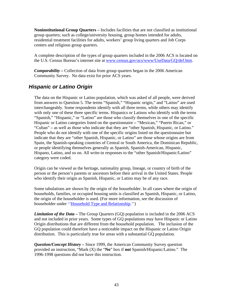**Noninstitutional Group Quarters –** Includes facilities that are not classified as institutional group quarters; such as college/university housing, group homes intended for adults, residential treatment facilities for adults, workers' group living quarters and Job Corps centers and religious group quarters.

A complete description of the types of group quarters included in the 2006 ACS is located on the U.S. Census Bureau's internet site at [www.census.gov/acs/www/UseData/GQ/def.htm.](http://www.census.gov/acs/www/UseData/GQ/def.htm)

*Comparability –* Collection of data from group quarters began in the 2006 American Community Survey. No data exist for prior ACS years.

# *Hispanic or Latino Origin*

The data on the Hispanic or Latino population, which was asked of all people, were derived from answers to Question 5. The terms "Spanish," "Hispanic origin," and "Latino" are used interchangeably. Some respondents identify with all three terms, while others may identify with only one of these three specific terms. Hispanics or Latinos who identify with the terms "Spanish," "Hispanic," or "Latino" are those who classify themselves in one of the specific Hispanic or Latino categories listed on the questionnaire *–* "Mexican," "Puerto Rican," or "Cuban" *–* as well as those who indicate that they are "other Spanish, Hispanic, or Latino." People who do not identify with one of the specific origins listed on the questionnaire but indicate that they are "other Spanish, Hispanic, or Latino" are those whose origins are from Spain, the Spanish-speaking countries of Central or South America, the Dominican Republic, or people identifying themselves generally as Spanish, Spanish-American, Hispanic, Hispano, Latino, and so on. All write-in responses to the "other Spanish/Hispanic/Latino" category were coded.

Origin can be viewed as the heritage, nationality group, lineage, or country of birth of the person or the person's parents or ancestors before their arrival in the United States. People who identify their origin as Spanish, Hispanic, or Latino may be of any race.

Some tabulations are shown by the origin of the householder. In all cases where the origin of households, families, or occupied housing units is classified as Spanish, Hispanic, or Latino, the origin of the householder is used. (For more information, see the discussion of householder under ''[Household Type and Relationship.](#page-43-0)'')

*Limitation of the Data* – The Group Quarters (GQ) population is included in the 2006 ACS and not included in prior years. Some types of GQ populations may have Hispanic or Latino Origin distributions that are different from the household population. The inclusion of the GQ population could therefore have a noticeable impact on the Hispanic or Latino Origin distribution. This is particularly true for areas with a substantial GQ population.

*Question/Concept History –* Since 1999, the American Community Survey question provided an instruction, "Mark (X) the "**No**" box if **not** Spanish/Hispanic/Latino." The 1996-1998 questions did not have this instruction.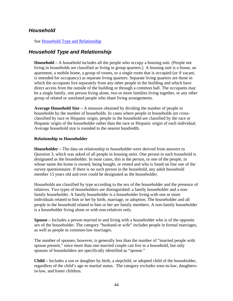### <span id="page-43-0"></span>*Household*

#### See [Household Type and Relationship](#page-43-0)

# *Household Type and Relationship*

**Household –** A household includes all the people who occupy a housing unit. (People not living in households are classified as living in group quarters.) A housing unit is a house, an apartment, a mobile home, a group of rooms, or a single room that is occupied (or if vacant, is intended for occupancy) as separate living quarters. Separate living quarters are those in which the occupants live separately from any other people in the building and which have direct access from the outside of the building or through a common hall. The occupants may be a single family, one person living alone, two or more families living together, or any other group of related or unrelated people who share living arrangements.

**Average Household Size –** A measure obtained by dividing the number of people in households by the number of households. In cases where people in households are crossclassified by race or Hispanic origin, people in the household are classified by the race or Hispanic origin of the householder rather than the race or Hispanic origin of each individual. Average household size is rounded to the nearest hundredth.

#### **Relationship to Householder**

**Householder –** The data on relationship to householder were derived from answers to Question 3, which was asked of all people in housing units. One person in each household is designated as the householder. In most cases, this is the person, or one of the people, in whose name the home is owned, being bought, or rented and who is listed on line one of the survey questionnaire. If there is no such person in the household, any adult household member 15 years old and over could be designated as the householder.

Households are classified by type according to the sex of the householder and the presence of relatives. Two types of householders are distinguished: a family householder and a nonfamily householder. A family householder is a householder living with one or more individuals related to him or her by birth, marriage, or adoption. The householder and all people in the household related to him or her are family members. A non-family householder is a householder living alone or with non-relatives only.

**Spouse –** Includes a person married to and living with a householder who is of the opposite sex of the householder. The category "husband or wife" includes people in formal marriages, as well as people in common-law marriages.

The number of spouses, however, is generally less than the number of "married people with spouse present," since more than one married couple can live in a household, but only spouses of householders are specifically identified as "spouse."

**Child –** Includes a son or daughter by birth, a stepchild, or adopted child of the householder, regardless of the child's age or marital status. The category excludes sons-in-law, daughtersin-law, and foster children.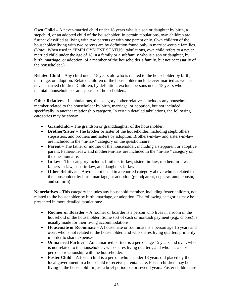**Own Child –** A never-married child under 18 years who is a son or daughter by birth, a stepchild, or an adopted child of the householder. In certain tabulations, own children are further classified as living with two parents or with one parent only. Own children of the householder living with two parents are by definition found only in married-couple families. (Note: When used in "EMPLOYMENT STATUS" tabulations, own child refers to a never married child under the age of 18 in a family or a subfamily who is a son or daughter, by birth, marriage, or adoption, of a member of the householder's family, but not necessarily of the householder.)

**Related Child –** Any child under 18 years old who is related to the householder by birth, marriage, or adoption. Related children of the householder include ever-married as well as never-married children. Children, by definition, exclude persons under 18 years who maintain households or are spouses of householders.

**Other Relatives –** In tabulations, the category "other relatives" includes any household member related to the householder by birth, marriage, or adoption, but not included specifically in another relationship category. In certain detailed tabulations, the following categories may be shown:

- **Grandchild** The grandson or granddaughter of the householder.
- **Brother/Sister** The brother or sister of the householder, including stepbrothers, stepsisters, and brothers and sisters by adoption. Brothers-in-law and sisters-in-law are included in the "In-law" category on the questionnaire.
- **Parent** The father or mother of the householder, including a stepparent or adoptive parent. Fathers-in-law and mothers-in-law are included in the "In-law" category on the questionnaire.
- **In-law** This category includes brothers-in-law, sisters-in-law, mothers-in-law, fathers-in-law, sons-in-law, and daughters-in-law.
- **Other Relatives** Anyone not listed in a reported category above who is related to the householder by birth, marriage, or adoption (grandparent, nephew, aunt, cousin, and so forth).

**Nonrelatives –** This category includes any household member, including foster children, not related to the householder by birth, marriage, or adoption. The following categories may be presented in more detailed tabulations:

- **Roomer or Boarder** A roomer or boarder is a person who lives in a room in the household of the householder. Some sort of cash or noncash payment (e.g., chores) is usually made for their living accommodations.
- **Housemate or Roommate** A housemate or roommate is a person age 15 years and over, who is not related to the householder, and who shares living quarters primarily in order to share expenses.
- **Unmarried Partner –** An unmarried partner is a person age 15 years and over, who is not related to the householder, who shares living quarters, and who has a close personal relationship with the householder.
- **Foster Child** A foster child is a person who is under 18 years old placed by the local government in a household to receive parental care. Foster children may be living in the household for just a brief period or for several years. Foster children are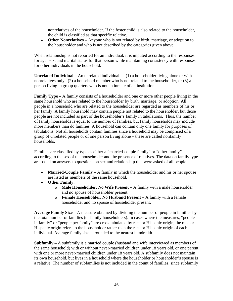nonrelatives of the householder. If the foster child is also related to the householder, the child is classified as that specific relative.

• **Other Nonrelatives –** Anyone who is not related by birth, marriage, or adoption to the householder and who is not described by the categories given above.

When relationship is not reported for an individual, it is imputed according to the responses for age, sex, and marital status for that person while maintaining consistency with responses for other individuals in the household.

**Unrelated Individual –** An unrelated individual is: (1) a householder living alone or with nonrelatives only, (2) a household member who is not related to the householder, or (3) a person living in group quarters who is not an inmate of an institution.

**Family Type** – A family consists of a householder and one or more other people living in the same household who are related to the householder by birth, marriage, or adoption. All people in a household who are related to the householder are regarded as members of his or her family. A family household may contain people not related to the householder, but those people are not included as part of the householder's family in tabulations. Thus, the number of family households is equal to the number of families, but family households may include more members than do families. A household can contain only one family for purposes of tabulations. Not all households contain families since a household may be comprised of a group of unrelated people or of one person living alone – these are called nonfamily households.

Families are classified by type as either a "married-couple family" or "other family" according to the sex of the householder and the presence of relatives. The data on family type are based on answers to questions on sex and relationship that were asked of all people.

- **Married-Couple Family** A family in which the householder and his or her spouse are listed as members of the same household.
- **Other Family:** 
	- o **Male Householder, No Wife Present –** A family with a male householder and no spouse of householder present.
	- o **Female Householder, No Husband Present –** A family with a female householder and no spouse of householder present.

**Average Family Size –** A measure obtained by dividing the number of people in families by the total number of families (or family householders). In cases where the measures, "people in family" or "people per family" are cross-tabulated by race or Hispanic origin, the race or Hispanic origin refers to the householder rather than the race or Hispanic origin of each individual. Average family size is rounded to the nearest hundredth.

**Subfamily –** A subfamily is a married couple (husband and wife interviewed as members of the same household) with or without never-married children under 18 years old, or one parent with one or more never-married children under 18 years old. A subfamily does not maintain its own household, but lives in a household where the householder or householder's spouse is a relative. The number of subfamilies is not included in the count of families, since subfamily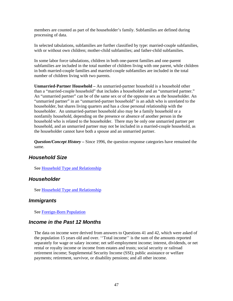members are counted as part of the householder's family. Subfamilies are defined during processing of data.

In selected tabulations, subfamilies are further classified by type: married-couple subfamilies, with or without own children; mother-child subfamilies; and father-child subfamilies.

In some labor force tabulations, children in both one-parent families and one-parent subfamilies are included in the total number of children living with one parent, while children in both married-couple families and married-couple subfamilies are included in the total number of children living with two parents.

**Unmarried-Partner Household –** An unmarried-partner household is a household other than a "married-couple household" that includes a householder and an "unmarried partner." An "unmarried partner" can be of the same sex or of the opposite sex as the householder. An "unmarried partner" in an "unmarried-partner household" is an adult who is unrelated to the householder, but shares living quarters and has a close personal relationship with the householder. An unmarried-partner household also may be a family household or a nonfamily household, depending on the presence or absence of another person in the household who is related to the householder. There may be only one unmarried partner per household, and an unmarried partner may not be included in a married-couple household, as the householder cannot have both a spouse and an unmarried partner.

*Question/Concept History –* Since 1996, the question response categories have remained the same.

## *Household Size*

See [Household Type and Relationship](#page-43-0)

### *Householder*

See [Household Type and Relationship](#page-43-0)

### *Immigrants*

See [Foreign-Born Population](#page-40-0)

### *Income in the Past 12 Months*

The data on income were derived from answers to Questions 41 and 42, which were asked of the population 15 years old and over. ''Total income'' is the sum of the amounts reported separately for wage or salary income; net self-employment income; interest, dividends, or net rental or royalty income or income from estates and trusts; social security or railroad retirement income; Supplemental Security Income (SSI); public assistance or welfare payments; retirement, survivor, or disability pensions; and all other income.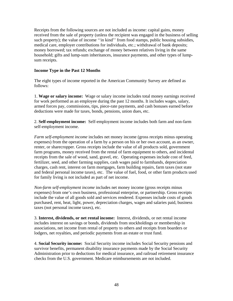Receipts from the following sources are not included as income: capital gains, money received from the sale of property (unless the recipient was engaged in the business of selling such property); the value of income "in kind" from food stamps, public housing subsidies, medical care, employer contributions for individuals, etc.; withdrawal of bank deposits; money borrowed; tax refunds; exchange of money between relatives living in the same household; gifts and lump-sum inheritances, insurance payments, and other types of lumpsum receipts.

#### **Income Type in the Past 12 Months**

The eight types of income reported in the American Community Survey are defined as follows:

1. **Wage or salary income:** Wage or salary income includes total money earnings received for work performed as an employee during the past 12 months. It includes wages, salary, armed forces pay, commissions, tips, piece-rate payments, and cash bonuses earned before deductions were made for taxes, bonds, pensions, union dues, etc.

2. **Self-employment income:** Self-employment income includes both farm and non-farm self-employment income.

*Farm self-employment income* includes net money income (gross receipts minus operating expenses) from the operation of a farm by a person on his or her own account, as an owner, renter, or sharecropper. Gross receipts include the value of all products sold, government farm programs, money received from the rental of farm equipment to others, and incidental receipts from the sale of wood, sand, gravel, etc. Operating expenses include cost of feed, fertilizer, seed, and other farming supplies, cash wages paid to farmhands, depreciation charges, cash rent, interest on farm mortgages, farm building repairs, farm taxes (not state and federal personal income taxes), etc. The value of fuel, food, or other farm products used for family living is not included as part of net income.

*Non-farm self-employment income* includes net money income (gross receipts minus expenses) from one's own business, professional enterprise, or partnership. Gross receipts include the value of all goods sold and services rendered. Expenses include costs of goods purchased, rent, heat, light, power, depreciation charges, wages and salaries paid, business taxes (not personal income taxes), etc.

3. **Interest, dividends, or net rental income:** Interest, dividends, or net rental income includes interest on savings or bonds, dividends from stockholdings or membership in associations, net income from rental of property to others and receipts from boarders or lodgers, net royalties, and periodic payments from an estate or trust fund.

4. **Social Security income:** Social Security income includes Social Security pensions and survivor benefits, permanent disability insurance payments made by the Social Security Administration prior to deductions for medical insurance, and railroad retirement insurance checks from the U.S. government. Medicare reimbursements are not included.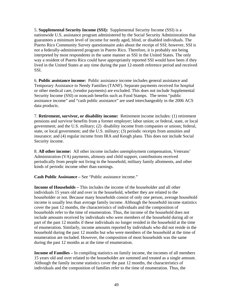5. **Supplemental Security Income (SSI):** Supplemental Security Income (SSI) is a nationwide U.S. assistance program administered by the Social Security Administration that guarantees a minimum level of income for needy aged, blind, or disabled individuals. The Puerto Rico Community Survey questionnaire asks about the receipt of SSI; however, SSI is not a federally-administered program in Puerto Rico. Therefore, it is probably not being interpreted by most respondents in the same manner as SSI in the United States. The only way a resident of Puerto Rico could have appropriately reported SSI would have been if they lived in the United States at any time during the past 12-month reference period and received SSI.

6. **Public assistance income:** Public assistance income includes general assistance and Temporary Assistance to Needy Families (TANF). Separate payments received for hospital or other medical care, (vendor payments) are excluded. This does not include Supplemental Security Income (SSI) or noncash benefits such as Food Stamps. The terms "public assistance income" and "cash public assistance" are used interchangeably in the 2006 ACS data products.

7. **Retirement, survivor, or disability income:** Retirement income includes: (1) retirement pensions and survivor benefits from a former employer; labor union; or federal, state, or local government; and the U.S. military; (2) disability income from companies or unions; federal, state, or local government; and the U.S. military; (3) periodic receipts from annuities and insurance; and (4) regular income from IRA and Keogh plans. This does not include Social Security income.

8. **All other income:** All other income includes unemployment compensation, Veterans' Administration (VA) payments, alimony and child support, contributions received periodically from people not living in the household, military family allotments, and other kinds of periodic income other than earnings.

**Cash Public Assistance –** See "Public assistance income."

**Income of Households –** This includes the income of the householder and all other individuals 15 years old and over in the household, whether they are related to the householder or not. Because many households consist of only one person, average household income is usually less than average family income. Although the household income statistics cover the past 12 months, the characteristics of individuals and the composition of households refer to the time of enumeration. Thus, the income of the household does not include amounts received by individuals who were members of the household during all or part of the past 12 months if these individuals no longer resided in the household at the time of enumeration. Similarly, income amounts reported by individuals who did not reside in the household during the past 12 months but who were members of the household at the time of enumeration are included. However, the composition of most households was the same during the past 12 months as at the time of enumeration.

**Income of Families –** In compiling statistics on family income, the incomes of all members 15 years old and over related to the householder are summed and treated as a single amount. Although the family income statistics cover the past 12 months, the characteristics of individuals and the composition of families refer to the time of enumeration. Thus, the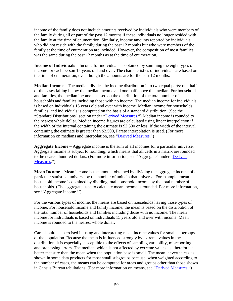income of the family does not include amounts received by individuals who were members of the family during all or part of the past 12 months if these individuals no longer resided with the family at the time of enumeration. Similarly, income amounts reported by individuals who did not reside with the family during the past 12 months but who were members of the family at the time of enumeration are included. However, the composition of most families was the same during the past 12 months as at the time of enumeration.

**Income of Individuals –** Income for individuals is obtained by summing the eight types of income for each person 15 years old and over. The characteristics of individuals are based on the time of enumeration, even though the amounts are for the past 12 months.

**Median Income –** The median divides the income distribution into two equal parts: one-half of the cases falling below the median income and one-half above the median. For households and families, the median income is based on the distribution of the total number of households and families including those with no income. The median income for individuals is based on individuals 15 years old and over with income. Median income for households, families, and individuals is computed on the basis of a standard distribution. (See the "Standard Distributions" section under "[Derived Measures.](#page-87-0)") Median income is rounded to the nearest whole dollar. Median income figures are calculated using linear interpolation if the width of the interval containing the estimate is \$2,500 or less. If the width of the interval containing the estimate is greater than \$2,500, Pareto interpolation is used. (For more information on medians and interpolation, see ["Derived Measures](#page-87-0).")

**Aggregate Income –** Aggregate income is the sum of all incomes for a particular universe. Aggregate income is subject to rounding, which means that all cells in a matrix are rounded to the nearest hundred dollars. (For more information, see "Aggregate" under "Derived [Measures](#page-87-0).")

**Mean Income –** Mean income is the amount obtained by dividing the aggregate income of a particular statistical universe by the number of units in that universe. For example, mean household income is obtained by dividing total household income by the total number of households. (The aggregate used to calculate mean income is rounded. For more information, see ''Aggregate income.'')

For the various types of income, the means are based on households having those types of income. For household income and family income, the mean is based on the distribution of the total number of households and families including those with no income. The mean income for individuals is based on individuals 15 years old and over with income. Mean income is rounded to the nearest whole dollar.

Care should be exercised in using and interpreting mean income values for small subgroups of the population. Because the mean is influenced strongly by extreme values in the distribution, it is especially susceptible to the effects of sampling variability, misreporting, and processing errors. The median, which is not affected by extreme values, is, therefore, a better measure than the mean when the population base is small. The mean, nevertheless, is shown in some data products for most small subgroups because, when weighted according to the number of cases, the means can be computed for areas and groups other than those shown in Census Bureau tabulations. (For more information on means, see "[Derived Measures.](#page-87-0)")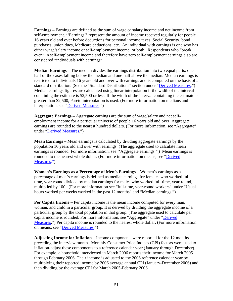**Earnings –** Earnings are defined as the sum of wage or salary income and net income from self-employment. ''Earnings'' represent the amount of income received regularly for people 16 years old and over before deductions for personal income taxes, Social Security, bond purchases, union dues, Medicare deductions, etc. An individual with earnings is one who has either wage/salary income or self-employment income, or both. Respondents who "break even" in self-employment income and therefore have zero self-employment earnings also are considered "individuals with earnings"

**Median Earnings –** The median divides the earnings distribution into two equal parts: onehalf of the cases falling below the median and one-half above the median. Median earnings is restricted to individuals 16 years old and over with earnings and is computed on the basis of a standard distribution. (See the "Standard Distributions" section under ["Derived Measures](#page-87-0).") Median earnings figures are calculated using linear interpolation if the width of the interval containing the estimate is \$2,500 or less. If the width of the interval containing the estimate is greater than \$2,500, Pareto interpolation is used. (For more information on medians and interpolation, see ["Derived Measures](#page-87-0).")

**Aggregate Earnings –** Aggregate earnings are the sum of wage/salary and net selfemployment income for a particular universe of people 16 years old and over. Aggregate earnings are rounded to the nearest hundred dollars. (For more information, see "Aggregate" under ["Derived Measures](#page-87-0).")

**Mean Earnings –** Mean earnings is calculated by dividing aggregate earnings by the population 16 years old and over with earnings. (The aggregate used to calculate mean earnings is rounded. For more information, see ''Aggregate earnings.'') Mean earnings is rounded to the nearest whole dollar. (For more information on means, see "[Derived](#page-87-0)  [Measures](#page-87-0).")

**Women's Earnings as a Percentage of Men's Earnings –** Women's earnings as a percentage of men's earnings is defined as median earnings for females who worked fulltime, year-round divided by median earnings for males who worked full-time, year-round, multiplied by 100. (For more information see "full-time, year-round workers" under "Usual hours worked per weeks worked in the past 12 months" and "Median earnings.")

**Per Capita Income** – Per capita income is the mean income computed for every man, woman, and child in a particular group. It is derived by dividing the aggregate income of a particular group by the total population in that group. (The aggregate used to calculate per capita income is rounded. For more information, see "Aggregate" under ["Derived](#page-87-0)  [Measures](#page-87-0).") Per capita income is rounded to the nearest whole dollar. (For more information on means, see ["Derived Measures](#page-87-0).")

**Adjusting Income for Inflation –** Income components were reported for the 12 months preceding the interview month. Monthly Consumer Price Indices (CPI) factors were used to inflation-adjust these components to a reference calendar year (January through December). For example, a household interviewed in March 2006 reports their income for March 2005 through February 2006. Their income is adjusted to the 2006 reference calendar year by multiplying their reported income by 2006 average annual CPI (January-December 2006) and then dividing by the average CPI for March 2005-February 2006.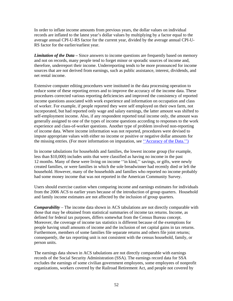In order to inflate income amounts from previous years, the dollar values on individual records are inflated to the latest year's dollar values by multiplying by a factor equal to the average annual CPI-U-RS factor for the current year, divided by the average annual CPI-U-RS factor for the earlier/earliest year.

*Limitation of the Data* – Since answers to income questions are frequently based on memory and not on records, many people tend to forget minor or sporadic sources of income and, therefore, underreport their income. Underreporting tends to be more pronounced for income sources that are not derived from earnings, such as public assistance, interest, dividends, and net rental income.

Extensive computer editing procedures were instituted in the data processing operation to reduce some of these reporting errors and to improve the accuracy of the income data. These procedures corrected various reporting deficiencies and improved the consistency of reported income questions associated with work experience and information on occupation and class of worker. For example, if people reported they were self employed on their own farm, not incorporated, but had reported only wage and salary earnings, the latter amount was shifted to self-employment income. Also, if any respondent reported total income only, the amount was generally assigned to one of the types of income questions according to responses to the work experience and class-of-worker questions. Another type of problem involved non-reporting of income data. Where income information was not reported, procedures were devised to impute appropriate values with either no income or positive or negative dollar amounts for the missing entries. (For more information on imputation, see [''Accuracy of the Data.''\)](http://www.census.gov/acs/www/Downloads/ACS/accuracy2006.pdf)

In income tabulations for households and families, the lowest income group (for example, less than \$10,000) includes units that were classified as having no income in the past 12 months. Many of these were living on income ''in kind,'' savings, or gifts, were newly created families, or were families in which the sole breadwinner had recently died or left the household. However, many of the households and families who reported no income probably had some money income that was not reported in the American Community Survey.

Users should exercise caution when comparing income and earnings estimates for individuals from the 2006 ACS to earlier years because of the introduction of group quarters. Household and family income estimates are not affected by the inclusion of group quarters.

*Comparability* – The income data shown in ACS tabulations are not directly comparable with those that may be obtained from statistical summaries of income tax returns. Income, as defined for federal tax purposes, differs somewhat from the Census Bureau concept. Moreover, the coverage of income tax statistics is different because of the exemptions for people having small amounts of income and the inclusion of net capital gains in tax returns. Furthermore, members of some families file separate returns and others file joint returns; consequently, the tax reporting unit is not consistent with the census household, family, or person units.

The earnings data shown in ACS tabulations are not directly comparable with earnings records of the Social Security Administration (SSA). The earnings record data for SSA excludes the earnings of some civilian government employees, some employees of nonprofit organizations, workers covered by the Railroad Retirement Act, and people not covered by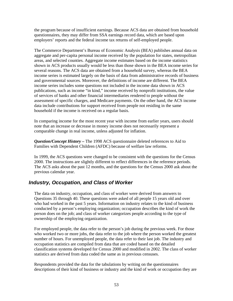<span id="page-52-0"></span>the program because of insufficient earnings. Because ACS data are obtained from household questionnaires, they may differ from SSA earnings record data, which are based upon employers' reports and the federal income tax returns of self-employed people.

The Commerce Department's Bureau of Economic Analysis (BEA) publishes annual data on aggregate and per-capita personal income received by the population for states, metropolitan areas, and selected counties. Aggregate income estimates based on the income statistics shown in ACS products usually would be less than those shown in the BEA income series for several reasons. The ACS data are obtained from a household survey, whereas the BEA income series is estimated largely on the basis of data from administrative records of business and governmental sources. Moreover, the definitions of income are different. The BEA income series includes some questions not included in the income data shown in ACS publications, such as income "in kind," income received by nonprofit institutions, the value of services of banks and other financial intermediaries rendered to people without the assessment of specific charges, and Medicare payments. On the other hand, the ACS income data include contributions for support received from people not residing in the same household if the income is received on a regular basis.

In comparing income for the most recent year with income from earlier years, users should note that an increase or decrease in money income does not necessarily represent a comparable change in real income, unless adjusted for inflation.

*Question/Concept History –* The 1998 ACS questionnaire deleted references to Aid to Families with Dependent Children (AFDC) because of welfare law reforms.

In 1999, the ACS questions were changed to be consistent with the questions for the Census 2000. The instructions are slightly different to reflect differences in the reference periods. The ACS asks about the past 12 months, and the questions for the Census 2000 ask about the previous calendar year.

## *Industry, Occupation, and Class of Worker*

The data on industry, occupation, and class of worker were derived from answers to Questions 35 through 40. These questions were asked of all people 15 years old and over who had worked in the past 5 years. Information on industry relates to the kind of business conducted by a person's employing organization; occupation describes the kind of work the person does on the job; and class of worker categorizes people according to the type of ownership of the employing organization.

For employed people, the data refer to the person's job during the previous week. For those who worked two or more jobs, the data refer to the job where the person worked the greatest number of hours. For unemployed people, the data refer to their last job. The industry and occupation statistics are compiled from data that are coded based on the detailed classification systems developed for Census 2000 and modified in 2002. The class of worker statistics are derived from data coded the same as in previous censuses.

Respondents provided the data for the tabulations by writing on the questionnaires descriptions of their kind of business or industry and the kind of work or occupation they are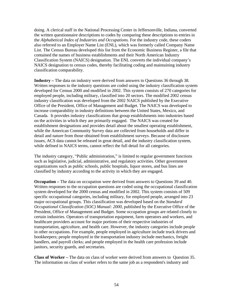doing. A clerical staff in the National Processing Center in Jeffersonville, Indiana, converted the written questionnaire descriptions to codes by comparing these descriptions to entries in the *Alphabetical Index of Industries and Occupations.* For the industry code, these coders also referred to an Employer Name List (ENL), which was formerly called Company Name List. The Census Bureau developed this list from the Economic Business Register, a file that contained the names of business establishments and their North American Industry Classification System (NAICS) designation. The ENL converts the individual company's NAICS designation to census codes, thereby facilitating coding and maintaining industry classification comparability.

**Industry –** The data on industry were derived from answers to Questions 36 through 38. Written responses to the industry questions are coded using the industry classification system developed for Census 2000 and modified in 2002. This system consists of 270 categories for employed people, including military, classified into 20 sectors. The modified 2002 census industry classification was developed from the 2002 NAICS published by the Executive Office of the President, Office of Management and Budget. The NAICS was developed to increase comparability in industry definitions between the United States, Mexico, and Canada. It provides industry classifications that group establishments into industries based on the activities in which they are primarily engaged. The NAICS was created for establishment designations and provides detail about the smallest operating establishment, while the American Community Survey data are collected from households and differ in detail and nature from those obtained from establishment surveys. Because of disclosure issues, ACS data cannot be released in great detail, and the industry classification system, while defined in NAICS terms, cannot reflect the full detail for all categories.

The industry category, "Public administration," is limited to regular government functions such as legislative, judicial, administrative, and regulatory activities. Other government organizations such as public schools, public hospitals, liquor stores, and bus lines are classified by industry according to the activity in which they are engaged.

**Occupation –** The data on occupation were derived from answers to Questions 39 and 40. Written responses to the occupation questions are coded using the occupational classification system developed for the 2000 census and modified in 2002. This system consists of 509 specific occupational categories, including military, for employed people, arranged into 23 major occupational groups. This classification was developed based on the *Standard Occupational Classification (SOC) Manual: 2000*, published by the Executive Office of the President, Office of Management and Budget. Some occupation groups are related closely to certain industries. Operators of transportation equipment, farm operators and workers, and healthcare providers account for major portions of their respective industries of transportation, agriculture, and health care. However, the industry categories include people in other occupations. For example, people employed in agriculture include truck drivers and bookkeepers; people employed in the transportation industry include mechanics, freight handlers, and payroll clerks; and people employed in the health care profession include janitors, security guards, and secretaries.

**Class of Worker –** The data on class of worker were derived from answers to Question 35. The information on class of worker refers to the same job as a respondent's industry and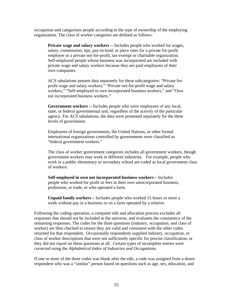occupation and categorizes people according to the type of ownership of the employing organization. The class of worker categories are defined as follows:

**Private wage and salary workers --** Includes people who worked for wages, salary, commission, tips, pay-in-kind, or piece rates for a private for-profit employer or a private not-for-profit, tax-exempt or charitable organization. Self-employed people whose business was incorporated are included with private wage and salary workers because they are paid employees of their own companies.

ACS tabulations present data separately for these subcategories: "Private forprofit wage and salary workers," "Private not-for-profit wage and salary workers," "Self-employed in own incorporated business workers," and "Own not incorporated business workers."

**Government workers --** Includes people who were employees of any local, state, or federal governmental unit, regardless of the activity of the particular agency. For ACS tabulations, the data were presented separately for the three levels of government.

Employees of foreign governments, the United Nations, or other formal international organizations controlled by governments were classified as "federal government workers."

The class of worker government categories includes all government workers, though government workers may work in different industries. For example, people who work in a public elementary or secondary school are coded as local government class of workers.

**Self-employed in own not incorporated business workers** *–* Includes people who worked for profit or fees in their own unincorporated business, profession, or trade, or who operated a farm.

**Unpaid family workers** *–* Includes people who worked 15 hours or more a week without pay in a business or on a farm operated by a relative.

Following the coding operation, a computer edit and allocation process excludes all responses that should not be included in the universe, and evaluates the consistency of the remaining responses. The codes for the three questions (industry, occupation, and class of worker) are then checked to ensure they are valid and consistent with the other codes returned for that respondent. Occasionally respondents supplied industry, occupation, or class of worker descriptions that were not sufficiently specific for precise classification, or they did not report on these questions at all. Certain types of incomplete entries were corrected using the *Alphabetical Index of Industries and Occupations*.

If one or more of the three codes was blank after the edit, a code was assigned from a donor respondent who was a "similar" person based on questions such as age, sex, education, and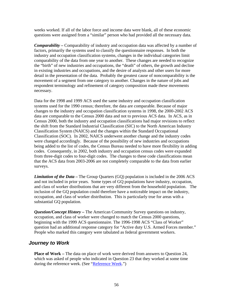<span id="page-55-0"></span>weeks worked. If all of the labor force and income data were blank, all of these economic questions were assigned from a "similar" person who had provided all the necessary data.

*Comparability –* Comparability of industry and occupation data was affected by a number of factors, primarily the systems used to classify the questionnaire responses. In both the industry and occupation classification systems, changes in the individual categories limit comparability of the data from one year to another. These changes are needed to recognize the "birth" of new industries and occupations, the "death" of others, the growth and decline in existing industries and occupations, and the desire of analysts and other users for more detail in the presentation of the data. Probably the greatest cause of noncomparability is the movement of a segment from one category to another. Changes in the nature of jobs and respondent terminology and refinement of category composition made these movements necessary.

Data for the 1998 and 1999 ACS used the same industry and occupation classification systems used for the 1990 census; therefore, the data are comparable. Because of major changes to the industry and occupation classification systems in 1998, the 2000-2002 ACS data are comparable to the Census 2000 data and not to previous ACS data. In ACS, as in Census 2000, both the industry and occupation classifications had major revisions to reflect the shift from the Standard Industrial Classification (SIC) to the North American Industry Classification System (NAICS) and the changes within the Standard Occupational Classification (SOC). In 2002, NAICS underwent another change and the industry codes were changed accordingly. Because of the possibility of new industries and occupations being added to the list of codes, the Census Bureau needed to have more flexibility in adding codes. Consequently, in 2002, both industry and occupation census codes were expanded from three-digit codes to four-digit codes. The changes to these code classifications mean that the ACS data from 2003-2006 are not completely comparable to the data from earlier surveys.

*Limitation of the Data* – The Group Quarters (GQ) population is included in the 2006 ACS and not included in prior years. Some types of GQ populations have industry, occupation, and class of worker distributions that are very different from the household population. The inclusion of the GQ population could therefore have a noticeable impact on the industry, occupation, and class of worker distribution. This is particularly true for areas with a substantial GQ population.

*Question/Concept History –* The American Community Survey questions on industry, occupation, and class of worker were changed to match the Census 2000 questions, beginning with the 1999 ACS questionnaire. The 1996-1998 ACS "Class of Worker" question had an additional response category for "Active duty U.S. Armed Forces member." People who marked this category were tabulated as federal government workers.

### *Journey to Work*

**Place of Work –** The data on place of work were derived from answers to Question 24, which was asked of people who indicated in Question 23 that they worked at some time during the reference week. (See "[Reference Week](#page-79-0).")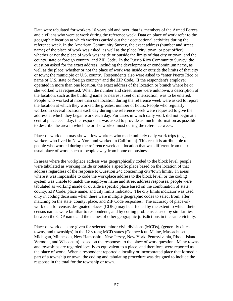Data were tabulated for workers 16 years old and over, that is, members of the Armed Forces and civilians who were at work during the reference week. Data on place of work refer to the geographic location at which workers carried out their occupational activities during the reference week. In the American Community Survey, the exact address (number and street name) of the place of work was asked, as well as the place (city, town, or post office); whether or not the place of work was inside or outside the limits of that city or town; and the county, state or foreign country, and ZIP Code. In the Puerto Rico Community Survey, the question asked for the exact address, including the development or condominium name, as well as the place; whether or not the place of work was inside or outside the limits of that city or town; the municipio or U.S. county. Respondents also were asked to "enter Puerto Rico or name of U.S. state or foreign country" and the ZIP Code. If the respondent's employer operated in more than one location, the exact address of the location or branch where he or she worked was requested. When the number and street name were unknown, a description of the location, such as the building name or nearest street or intersection, was to be entered. People who worked at more than one location during the reference week were asked to report the location at which they worked the greatest number of hours. People who regularly worked in several locations each day during the reference week were requested to give the address at which they began work each day. For cases in which daily work did not begin at a central place each day, the respondent was asked to provide as much information as possible to describe the area in which he or she worked most during the reference week.

Place-of-work data may show a few workers who made unlikely daily work trips (e.g., workers who lived in New York and worked in California). This result is attributable to people who worked during the reference week at a location that was different from their usual place of work, such as people away from home on business.

In areas where the workplace address was geographically coded to the block level, people were tabulated as working inside or outside a specific place based on the location of that address regardless of the response to Question 24c concerning city/town limits. In areas where it was impossible to code the workplace address to the block level, or the coding system was unable to match the employer name and street address responses, people were tabulated as working inside or outside a specific place based on the combination of state, county, ZIP Code, place name, and city limits indicator. The city limits indicator was used only in coding decisions when there were multiple geographic codes to select from, after matching on the state, county, place, and ZIP Code responses. The accuracy of place-ofwork data for census designated places (CDPs) may be affected by the extent to which their census names were familiar to respondents, and by coding problems caused by similarities between the CDP name and the names of other geographic jurisdictions in the same vicinity.

Place-of-work data are given for selected minor civil divisions (MCDs), (generally cities, towns, and townships) in the 12 strong MCD states (Connecticut, Maine, Massachusetts, Michigan, Minnesota, New Hampshire, New Jersey, New York, Pennsylvania, Rhode Island, Vermont, and Wisconsin), based on the responses to the place of work question. Many towns and townships are regarded locally as equivalent to a place, and therefore, were reported as the place of work. When a respondent reported a locality or incorporated place that formed a part of a township or town, the coding and tabulating procedure was designed to include the response in the total for the township or town.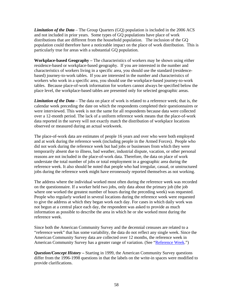*Limitation of the Data* – The Group Quarters (GQ) population is included in the 2006 ACS and not included in prior years. Some types of GQ populations have place of work distributions that are different from the household population. The inclusion of the GQ population could therefore have a noticeable impact on the place of work distribution. This is particularly true for areas with a substantial GQ population.

**Workplace-based Geography –** The characteristics of workers may be shown using either residence-based or workplace-based geography. If you are interested in the number and characteristics of workers living in a specific area, you should use the standard (residencebased) journey-to-work tables. If you are interested in the number and characteristics of workers who work in a specific area, you should use the workplace-based journey-to-work tables. Because place-of-work information for workers cannot always be specified below the place level, the workplace-based tables are presented only for selected geographic areas.

*Limitation of the Data* – The data on place of work is related to a reference week; that is, the calendar week preceding the date on which the respondents completed their questionnaires or were interviewed. This week is not the same for all respondents because data were collected over a 12-month period. The lack of a uniform reference week means that the place-of-work data reported in the survey will not exactly match the distribution of workplace locations observed or measured during an actual workweek.

The place-of-work data are estimates of people 16 years and over who were both employed and at work during the reference week (including people in the Armed Forces). People who did not work during the reference week but had jobs or businesses from which they were temporarily absent due to illness, bad weather, industrial dispute, vacation, or other personal reasons are not included in the place-of-work data. Therefore, the data on place of work understate the total number of jobs or total employment in a geographic area during the reference week. It also should be noted that people who had irregular, casual, or unstructured jobs during the reference week might have erroneously reported themselves as not working.

The address where the individual worked most often during the reference week was recorded on the questionnaire. If a worker held two jobs, only data about the primary job (the job where one worked the greatest number of hours during the preceding week) was requested. People who regularly worked in several locations during the reference week were requested to give the address at which they began work each day. For cases in which daily work was not begun at a central place each day, the respondent was asked to provide as much information as possible to describe the area in which he or she worked most during the reference week.

Since both the American Community Survey and the decennial censuses are related to a "reference week" that has some variability, the data do not reflect any single week. Since the American Community Survey data are collected over 12 months, the reference week in American Community Survey has a greater range of variation. (See ["Reference Week.](#page-79-0)")

*Question/Concept History –* Starting in 1999, the American Community Survey questions differ from the 1996-1998 questions in that the labels on the write-in spaces were modified to provide clarifications.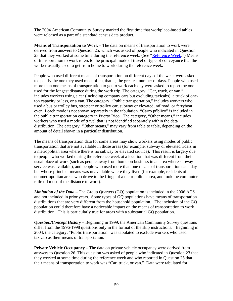The 2004 American Community Survey marked the first time that workplace-based tables were released as a part of a standard census data product.

**Means of Transportation to Work** – The data on means of transportation to work were derived from answers to Question 25, which was asked of people who indicated in Question 23 that they worked at some time during the reference week. (See ["Reference Week](#page-79-0).") Means of transportation to work refers to the principal mode of travel or type of conveyance that the worker usually used to get from home to work during the reference week.

People who used different means of transportation on different days of the week were asked to specify the one they used most often, that is, the greatest number of days. People who used more than one means of transportation to get to work each day were asked to report the one used for the longest distance during the work trip. The category, "Car, truck, or van," includes workers using a car (including company cars but excluding taxicabs), a truck of oneton capacity or less, or a van. The category, "Public transportation," includes workers who used a bus or trolley bus, streetcar or trolley car, subway or elevated, railroad, or ferryboat, even if each mode is not shown separately in the tabulation. "Carro público" is included in the public transportation category in Puerto Rico. The category, "Other means," includes workers who used a mode of travel that is not identified separately within the data distribution. The category, "Other means," may vary from table to table, depending on the amount of detail shown in a particular distribution.

The means of transportation data for some areas may show workers using modes of public transportation that are not available in those areas (for example, subway or elevated riders in a metropolitan area where there is no subway or elevated service). This result is largely due to people who worked during the reference week at a location that was different from their usual place of work (such as people away from home on business in an area where subway service was available), and people who used more than one means of transportation each day but whose principal means was unavailable where they lived (for example, residents of nonmetropolitan areas who drove to the fringe of a metropolitan area, and took the commuter railroad most of the distance to work).

*Limitation of the Data* – The Group Quarters (GQ) population is included in the 2006 ACS and not included in prior years. Some types of GQ populations have means of transportation distributions that are very different from the household population. The inclusion of the GQ population could therefore have a noticeable impact on the means of transportation to work distribution. This is particularly true for areas with a substantial GQ population.

*Question/Concept History –* Beginning in 1999, the American Community Survey questions differ from the 1996-1998 questions only in the format of the skip instructions. Beginning in 2004, the category, "Public transportation" was tabulated to exclude workers who used taxicab as their means of transportation.

**Private Vehicle Occupancy –** The data on private vehicle occupancy were derived from answers to Question 26. This question was asked of people who indicated in Question 23 that they worked at some time during the reference week and who reported in Question 25 that their means of transportation to work was "Car, truck, or van." Data were tabulated for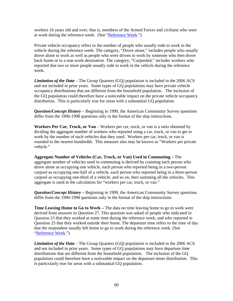workers 16 years old and over, that is, members of the Armed Forces and civilians who were at work during the reference week. (See ["Reference Week.](#page-79-0)")

Private vehicle occupancy refers to the number of people who usually rode to work in the vehicle during the reference week. The category, "Drove alone," includes people who usually drove alone to work as well as people who were driven to work by someone who then drove back home or to a non-work destination. The category, "Carpooled," includes workers who reported that two or more people usually rode to work in the vehicle during the reference week.

*Limitation of the Data* – The Group Quarters (GQ) population is included in the 2006 ACS and not included in prior years. Some types of GQ populations may have private vehicle occupancy distributions that are different from the household population. The inclusion of the GQ population could therefore have a noticeable impact on the private vehicle occupancy distribution. This is particularly true for areas with a substantial GQ population.

*Question/Concept History* – Beginning in 1999, the American Community Survey questions differ from the 1996-1998 questions only in the format of the skip instructions.

**Workers Per Car, Truck, or Van** – Workers per car, truck, or van is a ratio obtained by dividing the aggregate number of workers who reported using a car, truck, or van to get to work by the number of such vehicles that they used. Workers per car, truck, or van is rounded to the nearest hundredth. This measure also may be known as "Workers per private vehicle."

**Aggregate Number of Vehicles (Car, Truck, or Van) Used in Commuting –** The aggregate number of vehicles used in commuting is derived by counting each person who drove alone as occupying one vehicle, each person who reported being in a two-person carpool as occupying one-half of a vehicle, each person who reported being in a three-person carpool as occupying one-third of a vehicle, and so on, then summing all the vehicles. This aggregate is used in the calculation for "workers per car, truck, or van."

*Question/Concept History –* Beginning in 1999, the American Community Survey questions differ from the 1996-1998 questions only in the format of the skip instructions.

**Time Leaving Home to Go to Work – The data on time leaving home to go to work were** derived from answers to Question 27. This question was asked of people who indicated in Question 23 that they worked at some time during the reference week, and who reported in Question 25 that they worked outside their home. The departure time refers to the time of day that the respondent usually left home to go to work during the reference week. (See ["Reference Week](#page-79-0).")

*Limitation of the Data* – The Group Quarters (GQ) population is included in the 2006 ACS and not included in prior years. Some types of GQ populations may have departure time distributions that are different from the household population. The inclusion of the GQ population could therefore have a noticeable impact on the departure times distribution. This is particularly true for areas with a substantial GQ population.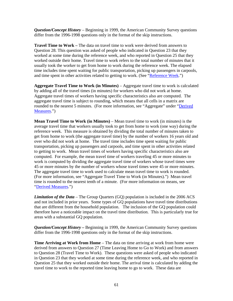*Question/Concept History* – Beginning in 1999, the American Community Survey questions differ from the 1996-1998 questions only in the format of the skip instructions.

**Travel Time to Work** – The data on travel time to work were derived from answers to Question 28. This question was asked of people who indicated in Question 23 that they worked at some time during the reference week, and who reported in Question 25 that they worked outside their home. Travel time to work refers to the total number of minutes that it usually took the worker to get from home to work during the reference week. The elapsed time includes time spent waiting for public transportation, picking up passengers in carpools, and time spent in other activities related to getting to work. (See ["Reference Week](#page-79-0).")

**Aggregate Travel Time to Work (in Minutes)** – Aggregate travel time to work is calculated by adding all of the travel times (in minutes) for workers who did not work at home. Aggregate travel times of workers having specific characteristics also are computed. The aggregate travel time is subject to rounding, which means that all cells in a matrix are rounded to the nearest 5 minutes. (For more information, see "Aggregate" under "Derived [Measures](#page-87-0).")

**Mean Travel Time to Work (in Minutes)** – Mean travel time to work (in minutes) is the average travel time that workers usually took to get from home to work (one way) during the reference week. This measure is obtained by dividing the total number of minutes taken to get from home to work (the aggregate travel time) by the number of workers 16 years old and over who did not work at home. The travel time includes time spent waiting for public transportation, picking up passengers and carpools, and time spent in other activities related to getting to work. Mean travel times of workers having specific characteristics also are computed. For example, the mean travel time of workers traveling 45 or more minutes to work is computed by dividing the aggregate travel time of workers whose travel times were 45 or more minutes by the number of workers whose travel times were 45 or more minutes. The aggregate travel time to work used to calculate mean travel time to work is rounded. (For more information, see "Aggregate Travel Time to Work (in Minutes).") Mean travel time is rounded to the nearest tenth of a minute. (For more information on means, see ["Derived Measures](#page-87-0).")

*Limitation of the Data* – The Group Quarters (GQ) population is included in the 2006 ACS and not included in prior years. Some types of GQ populations have travel time distributions that are different from the household population. The inclusion of the GQ population could therefore have a noticeable impact on the travel time distribution. This is particularly true for areas with a substantial GQ population.

*Question/Concept History –* Beginning in 1999, the American Community Survey questions differ from the 1996-1998 questions only in the format of the skip instructions.

**Time Arriving at Work from Home** – The data on time arriving at work from home were derived from answers to Question 27 (Time Leaving Home to Go to Work) and from answers to Question 28 (Travel Time to Work). These questions were asked of people who indicated in Question 23 that they worked at some time during the reference week, and who reported in Question 25 that they worked outside their home. The arrival time is calculated by adding the travel time to work to the reported time leaving home to go to work. These data are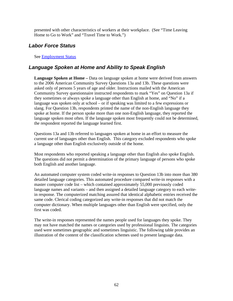presented with other characteristics of workers at their workplace. (See "Time Leaving Home to Go to Work" and "Travel Time to Work.")

# *Labor Force Status*

See [Employment Status](#page-37-0)

# *Language Spoken at Home and Ability to Speak English*

**Language Spoken at Home –** Data on language spoken at home were derived from answers to the 2006 American Community Survey Questions 13a and 13b. These questions were asked only of persons 5 years of age and older. Instructions mailed with the American Community Survey questionnaire instructed respondents to mark "Yes" on Question 13a if they sometimes or always spoke a language other than English at home, and "No" if a language was spoken only at school – or if speaking was limited to a few expressions or slang. For Question 13b, respondents printed the name of the non-English language they spoke at home. If the person spoke more than one non-English language, they reported the language spoken most often. If the language spoken most frequently could not be determined, the respondent reported the language learned first.

Questions 13a and 13b referred to languages spoken at home in an effort to measure the current use of languages other than English. This category excluded respondents who spoke a language other than English exclusively outside of the home.

Most respondents who reported speaking a language other than English also spoke English. The questions did not permit a determination of the primary language of persons who spoke both English and another language.

An automated computer system coded write-in responses to Question 13b into more than 380 detailed language categories. This automated procedure compared write-in responses with a master computer code list – which contained approximately 55,000 previously coded language names and variants – and then assigned a detailed language category to each writein response. The computerized matching assured that identical alphabetic entries received the same code. Clerical coding categorized any write-in responses that did not match the computer dictionary. When multiple languages other than English were specified, only the first was coded.

The write-in responses represented the names people used for languages they spoke. They may not have matched the names or categories used by professional linguists. The categories used were sometimes geographic and sometimes linguistic. The following table provides an illustration of the content of the classification schemes used to present language data.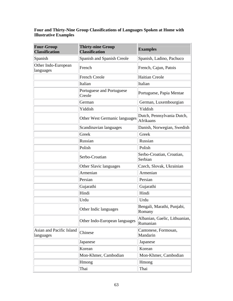**Four and Thirty-Nine Group Classifications of Languages Spoken at Home with Illustrative Examples**

| <b>Four-Group</b><br><b>Classification</b> | <b>Thirty-nine Group</b><br><b>Classification</b> | <b>Examples</b>                           |  |  |  |
|--------------------------------------------|---------------------------------------------------|-------------------------------------------|--|--|--|
| Spanish                                    | Spanish and Spanish Creole                        | Spanish, Ladino, Pachuco                  |  |  |  |
| Other Indo-European<br>languages           | French                                            | French, Cajun, Patois                     |  |  |  |
|                                            | <b>French Creole</b>                              | <b>Haitian Creole</b>                     |  |  |  |
|                                            | Italian                                           | Italian                                   |  |  |  |
|                                            | Portuguese and Portuguese<br>Creole               | Portuguese, Papia Mentae                  |  |  |  |
|                                            | German                                            | German, Luxembourgian                     |  |  |  |
|                                            | Yiddish                                           | Yiddish                                   |  |  |  |
|                                            | Other West Germanic languages                     | Dutch, Pennsylvania Dutch,<br>Afrikaans   |  |  |  |
|                                            | Scandinavian languages                            | Danish, Norwegian, Swedish                |  |  |  |
|                                            | Greek                                             | Greek                                     |  |  |  |
|                                            | Russian                                           | Russian                                   |  |  |  |
|                                            | Polish                                            | Polish                                    |  |  |  |
|                                            | Serbo-Croatian                                    | Serbo-Croatian, Croatian,<br>Serbian      |  |  |  |
|                                            | Other Slavic languages                            | Czech, Slovak, Ukrainian                  |  |  |  |
|                                            | Armenian                                          | Armenian                                  |  |  |  |
|                                            | Persian                                           | Persian                                   |  |  |  |
|                                            | Gujarathi                                         | Gujarathi                                 |  |  |  |
|                                            | Hindi                                             | Hindi                                     |  |  |  |
|                                            | Urdu                                              | Urdu                                      |  |  |  |
|                                            | Other Indic languages                             | Bengali, Marathi, Punjabi,<br>Romany      |  |  |  |
|                                            | Other Indo-European languages                     | Albanian, Gaelic, Lithuanian,<br>Rumanian |  |  |  |
| Asian and Pacific Island<br>languages      | Chinese                                           | Cantonese, Formosan,<br>Mandarin          |  |  |  |
|                                            | Japanese                                          | Japanese                                  |  |  |  |
|                                            | Korean                                            | Korean                                    |  |  |  |
|                                            | Mon-Khmer, Cambodian                              | Mon-Khmer, Cambodian                      |  |  |  |
|                                            | Hmong                                             | Hmong                                     |  |  |  |
|                                            | Thai                                              | Thai                                      |  |  |  |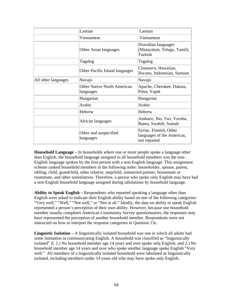|                     | Laotian                                         |                                                                      |  |  |  |
|---------------------|-------------------------------------------------|----------------------------------------------------------------------|--|--|--|
|                     | Vietnamese                                      | Vietnamese                                                           |  |  |  |
|                     | Other Asian languages                           | Dravidian languages<br>(Malayalam, Telugu, Tamil),<br>Turkish        |  |  |  |
|                     | Tagalog                                         | Tagalog                                                              |  |  |  |
|                     | Other Pacific Island languages                  | Chamorro, Hawaiian,<br>Ilocano, Indonesian, Samoan                   |  |  |  |
| All other languages | Navajo                                          | Navajo                                                               |  |  |  |
|                     | <b>Other Native North American</b><br>languages | Apache, Cherokee, Dakota,<br>Pima, Yupik                             |  |  |  |
|                     | Hungarian                                       | Hungarian                                                            |  |  |  |
|                     | Arabic                                          | Arabic                                                               |  |  |  |
|                     | Hebrew                                          | Hebrew                                                               |  |  |  |
|                     | African languages                               | Amharic, Ibo, Twi, Yoruba,<br>Bantu, Swahili, Somali                 |  |  |  |
|                     | Other and unspecified<br>languages              | Syriac, Finnish, Other<br>languages of the Americas,<br>not reported |  |  |  |

**Household Language –** In households where one or more people spoke a language other than English, the household language assigned to all household members was the non-English language spoken by the first person with a non-English language. This assignment scheme ranked household members in the following order: householder, spouse, parent, sibling, child, grandchild, other relative, stepchild, unmarried partner, housemate or roommate, and other nonrelatives. Therefore, a person who spoke only English may have had a non-English household language assigned during tabulations by household language.

**Ability to Speak English –** Respondents who reported speaking a language other than English were asked to indicate their English ability based on one of the following categories: "Very well," "Well," "Not well," or "Not at all." Ideally, the data on ability to speak English represented a person's perception of their own ability. However, because one household member usually completes American Community Survey questionnaires, the responses may have represented the perception of another household member. Respondents were not instructed on how to interpret the response categories in Question 13c.

**Linguistic Isolation –** A linguistically isolated household was one in which all adults had some limitation in communicating English. A household was classified as "linguistically isolated" if, 1.) No household member age 14 years and over spoke only English, and 2.) No household member age 14 years and over who spoke another language spoke English "Very well." All members of a linguistically isolated household were tabulated as linguistically isolated, including members under 14 years old who may have spoke only English.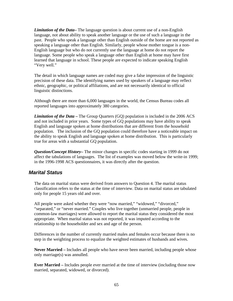*Limitation of the Data***–** The language question is about current use of a non-English language, not about ability to speak another language or the use of such a language in the past. People who speak a language other than English outside of the home are not reported as speaking a language other than English. Similarly, people whose mother tongue is a non-English language but who do not currently use the language at home do not report the language. Some people who speak a language other than English at home may have first learned that language in school. These people are expected to indicate speaking English "Very well."

The detail in which language names are coded may give a false impression of the linguistic precision of these data. The identifying names used by speakers of a language may reflect ethnic, geographic, or political affiliations, and are not necessarily identical to official linguistic distinctions.

Although there are more than 6,000 languages in the world, the Census Bureau codes all reported languages into approximately 380 categories.

*Limitation of the Data* – The Group Quarters (GQ) population is included in the 2006 ACS and not included in prior years. Some types of GQ populations may have ability to speak English and language spoken at home distributions that are different from the household population. The inclusion of the GQ population could therefore have a noticeable impact on the ability to speak English and language spoken at home distribution. This is particularly true for areas with a substantial GQ population.

*Question/Concept History–* The minor changes in specific codes starting in 1999 do not affect the tabulations of languages. The list of examples was moved below the write-in 1999; in the 1996-1998 ACS questionnaires, it was directly after the question.

### *Marital Status*

The data on marital status were derived from answers to Question 4. The marital status classification refers to the status at the time of interview. Data on marital status are tabulated only for people 15 years old and over.

All people were asked whether they were "now married," "widowed," "divorced," "separated," or "never married." Couples who live together (unmarried people, people in common-law marriages) were allowed to report the marital status they considered the most appropriate. When marital status was not reported, it was imputed according to the relationship to the householder and sex and age of the person.

Differences in the number of currently married males and females occur because there is no step in the weighting process to equalize the weighted estimates of husbands and wives.

**Never Married –** Includes all people who have never been married, including people whose only marriage(s) was annulled.

**Ever Married –** Includes people ever married at the time of interview (including those now married, separated, widowed, or divorced).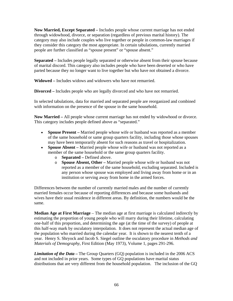**Now Married, Except Separated –** Includes people whose current marriage has not ended through widowhood, divorce, or separation (regardless of previous marital history). The category may also include couples who live together or people in common-law marriages if they consider this category the most appropriate. In certain tabulations, currently married people are further classified as "spouse present" or "spouse absent."

**Separated –** Includes people legally separated or otherwise absent from their spouse because of marital discord. This category also includes people who have been deserted or who have parted because they no longer want to live together but who have not obtained a divorce.

**Widowed –** Includes widows and widowers who have not remarried.

**Divorced –** Includes people who are legally divorced and who have not remarried.

In selected tabulations, data for married and separated people are reorganized and combined with information on the presence of the spouse in the same household.

**Now Married –** All people whose current marriage has not ended by widowhood or divorce. This category includes people defined above as "separated."

- **Spouse Present** Married people whose wife or husband was reported as a member of the same household or same group quarters facility, including those whose spouses may have been temporarily absent for such reasons as travel or hospitalization.
- **Spouse Absent** Married people whose wife or husband was not reported as a member of the same household or the same group quarters facility.
	- o **Separated** Defined above.
	- o **Spouse Absent, Other –** Married people whose wife or husband was not reported as a member of the same household, excluding separated. Included is any person whose spouse was employed and living away from home or in an institution or serving away from home in the armed forces.

Differences between the number of currently married males and the number of currently married females occur because of reporting differences and because some husbands and wives have their usual residence in different areas. By definition, the numbers would be the same.

**Median Age at First Marriage** – The median age at first marriage is calculated indirectly by estimating the proportion of young people who will marry during their lifetime, calculating one-half of this proportion, and determining the age (at the time of the survey) of people at this half-way mark by osculatory interpolation. It does not represent the actual median age of the population who married during the calendar year. It is shown to the nearest tenth of a year. Henry S. Shryock and Jacob S. Siegel outline the osculatory procedure in *Methods and Materials of Demography*, First Edition (May 1973), Volume 1, pages 291-296.

*Limitation of the Data* – The Group Quarters (GO) population is included in the 2006 ACS and not included in prior years. Some types of GQ populations have marital status distributions that are very different from the household population. The inclusion of the GQ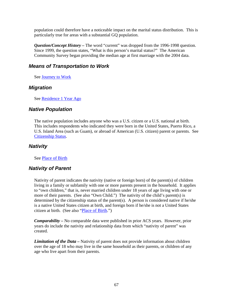population could therefore have a noticeable impact on the marital status distribution. This is particularly true for areas with a substantial GQ population.

*Question/Concept History –* The word "current" was dropped from the 1996-1998 question. Since 1999, the question states, "What is this person's marital status?" The American Community Survey began providing the median age at first marriage with the 2004 data.

### *Means of Transportation to Work*

See [Journey to Work](#page-55-0)

### *Migration*

See [Residence 1 Year Ago](#page-79-0)

### *Native Population*

The native population includes anyone who was a U.S. citizen or a U.S. national at birth. This includes respondents who indicated they were born in the United States, Puerto Rico, a U.S. Island Area (such as Guam), or abroad of American (U.S. citizen) parent or parents. See [Citizenship Status](#page-31-0).

### *Nativity*

See [Place of Birth](#page-67-0)

### *Nativity of Parent*

Nativity of parent indicates the nativity (native or foreign born) of the parent(s) of children living in a family or subfamily with one or more parents present in the household. It applies to "own children," that is, never married children under 18 years of age living with one or more of their parents. (See also "Own Child.") The nativity of the child's parent(s) is determined by the citizenship status of the parent(s). A person is considered native if he/she is a native United States citizen at birth, and foreign born if he/she is not a United States citizen at birth. (See also "[Place of Birth.](#page-67-0)")

*Comparability –* No comparable data were published in prior ACS years. However, prior years do include the nativity and relationship data from which "nativity of parent" was created.

**Limitation of the Data** – Nativity of parent does not provide information about children over the age of 18 who may live in the same household as their parents, or children of any age who live apart from their parents.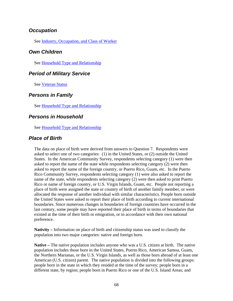### <span id="page-67-0"></span>*Occupation*

See [Industry, Occupation, and Class of Worker](#page-52-0)

### *Own Children*

See [Household Type and Relationship](#page-43-0)

### *Period of Military Service*

See [Veteran Status](#page-83-0)

## *Persons in Family*

See [Household Type and Relationship](#page-43-0)

## *Persons in Household*

See [Household Type and Relationship](#page-43-0)

### *Place of Birth*

The data on place of birth were derived from answers to Question 7. Respondents were asked to select one of two categories: (1) in the United States, or (2) outside the United States. In the American Community Survey, respondents selecting category (1) were then asked to report the name of the state while respondents selecting category (2) were then asked to report the name of the foreign country, or Puerto Rico, Guam, etc. In the Puerto Rico Community Survey, respondents selecting category (1) were also asked to report the name of the state, while respondents selecting category (2) were then asked to print Puerto Rico or name of foreign country, or U.S. Virgin Islands, Guam, etc. People not reporting a place of birth were assigned the state or country of birth of another family member, or were allocated the response of another individual with similar characteristics. People born outside the United States were asked to report their place of birth according to current international boundaries. Since numerous changes in boundaries of foreign countries have occurred in the last century, some people may have reported their place of birth in terms of boundaries that existed at the time of their birth or emigration, or in accordance with their own national preference.

**Nativity –** Information on place of birth and citizenship status was used to classify the population into two major categories: native and foreign born.

**Native –** The native population includes anyone who was a U.S. citizen at birth. The native population includes those born in the United States, Puerto Rico, American Samoa, Guam, the Northern Marianas, or the U.S. Virgin Islands, as well as those born abroad of at least one American (U.S. citizen) parent. The native population is divided into the following groups: people born in the state in which they resided at the time of the survey; people born in a different state, by region; people born in Puerto Rico or one of the U.S. Island Areas; and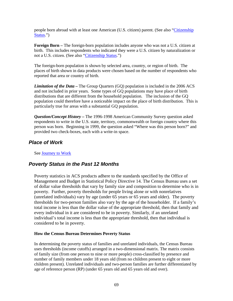people born abroad with at least one American (U.S. citizen) parent. (See also "[Citizenship](#page-31-0)  [Status](#page-31-0).")

**Foreign Born –** The foreign-born population includes anyone who was not a U.S. citizen at birth. This includes respondents who indicated they were a U.S. citizen by naturalization or not a U.S. citizen. (See also ["Citizenship Status.](#page-31-0)")

The foreign-born population is shown by selected area, country, or region of birth. The places of birth shown in data products were chosen based on the number of respondents who reported that area or country of birth.

*Limitation of the Data* – The Group Quarters (GQ) population is included in the 2006 ACS and not included in prior years. Some types of GQ populations may have place of birth distributions that are different from the household population. The inclusion of the GQ population could therefore have a noticeable impact on the place of birth distribution. This is particularly true for areas with a substantial GQ population.

*Question/Concept History –* The 1996-1998 American Community Survey question asked respondents to write in the U.S. state, territory, commonwealth or foreign country where this person was born. Beginning in 1999, the question asked "Where was this person born?" and provided two check-boxes, each with a write-in space.

## *Place of Work*

See [Journey to Work](#page-55-0)

## *Poverty Status in the Past 12 Months*

Poverty statistics in ACS products adhere to the standards specified by the Office of Management and Budget in Statistical Policy Directive 14. The Census Bureau uses a set of dollar value thresholds that vary by family size and composition to determine who is in poverty. Further, poverty thresholds for people living alone or with nonrelatives (unrelated individuals) vary by age (under 65 years or 65 years and older). The poverty thresholds for two-person families also vary by the age of the householder. If a family's total income is less than the dollar value of the appropriate threshold, then that family and every individual in it are considered to be in poverty. Similarly, if an unrelated individual's total income is less than the appropriate threshold, then that individual is considered to be in poverty.

#### **How the Census Bureau Determines Poverty Status**

In determining the poverty status of families and unrelated individuals, the Census Bureau uses thresholds (income cutoffs) arranged in a two-dimensional matrix. The matrix consists of family size (from one person to nine or more people) cross-classified by presence and number of family members under 18 years old (from no children present to eight or more children present). Unrelated individuals and two-person families are further differentiated by age of reference person (RP) (under 65 years old and 65 years old and over).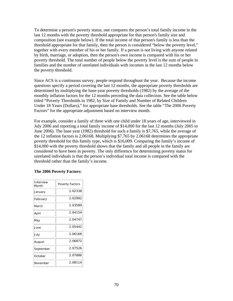To determine a person's poverty status, one compares the person's total family income in the last 12 months with the poverty threshold appropriate for that person's family size and composition (see example below). If the total income of that person's family is less than the threshold appropriate for that family, then the person is considered "below the poverty level," together with every member of his or her family. If a person is not living with anyone related by birth, marriage, or adoption, then the person's own income is compared with his or her poverty threshold. The total number of people below the poverty level is the sum of people in families and the number of unrelated individuals with incomes in the last 12 months below the poverty threshold.

Since ACS is a continuous survey, people respond throughout the year. Because the income questions specify a period covering the last 12 months, the appropriate poverty thresholds are determined by multiplying the base-year poverty thresholds (1982) by the average of the monthly inflation factors for the 12 months preceding the data collection. See the table below titled "Poverty Thresholds in 1982, by Size of Family and Number of Related Children Under 18 Years (Dollars)," for appropriate base thresholds. See the table "The 2006 Poverty Factors" for the appropriate adjustment based on interview month.

For example, consider a family of three with one child under 18 years of age, interviewed in July 2006 and reporting a total family income of \$14,000 for the last 12 months (July 2005 to June 2006). The base year (1982) threshold for such a family is \$7,765, while the average of the 12 inflation factors is 2.06168. Multiplying \$7,765 by 2.06168 determines the appropriate poverty threshold for this family type, which is \$16,009. Comparing the family's income of \$14,000 with the poverty threshold shows that the family and all people in the family are considered to have been in poverty. The only difference for determining poverty status for unrelated individuals is that the person's individual total income is compared with the threshold rather than the family's income.

| Interview<br>Month | Poverty Factors |
|--------------------|-----------------|
| January            | 2.02338         |
| February           | 2.02992         |
| March              | 2.03589         |
| April              | 2.04154         |
| May                | 2.04747         |
| June               | 2.05442         |
| July               | 2.06168         |
| August             | 2.06872         |
| September          | 2.07526         |
| October            | 2.07886         |
| November           | 2.08114         |

#### **The 2006 Poverty Factors:**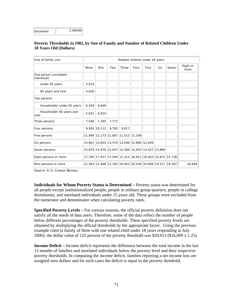#### **Poverty Thresholds in 1982, by Size of Family and Number of Related Children Under 18 Years Old (Dollars)**

| Size of family unit                  | Related children under 18 years |         |       |                                                         |      |      |            |        |                  |
|--------------------------------------|---------------------------------|---------|-------|---------------------------------------------------------|------|------|------------|--------|------------------|
|                                      | None                            | One     | Two   | Three                                                   | Four | Five | <b>Six</b> | Seven  | Eight or<br>more |
| One person (unrelated<br>individual) |                                 |         |       |                                                         |      |      |            |        |                  |
| Under 65 years                       | 5,019                           |         |       |                                                         |      |      |            |        |                  |
| 65 years and over                    | 4,626                           |         |       |                                                         |      |      |            |        |                  |
| Two persons                          |                                 |         |       |                                                         |      |      |            |        |                  |
| Householder under 65 years           | 6,459                           | 6,649   |       |                                                         |      |      |            |        |                  |
| Householder 65 years and<br>lover    | 5,831                           | 6,624   |       |                                                         |      |      |            |        |                  |
| Three persons                        | 7,546                           | 7,765   | 7,772 |                                                         |      |      |            |        |                  |
| Four persons                         | 9,950                           | 10, 112 | 9,783 | 9,817                                                   |      |      |            |        |                  |
| Five persons                         |                                 |         |       | 11,999 12,173 11,801 11,512 11,336                      |      |      |            |        |                  |
| Six persons                          |                                 |         |       | 13,801 13,855 13,570 13,296 12,890 12,649               |      |      |            |        |                  |
| Seven persons                        |                                 |         |       | 15,879 15,979 15,637 15,399 14,955 14,437 13,869        |      |      |            |        |                  |
| Eight persons or more                |                                 |         |       | 17,760 17,917 17,594 17,312 16,911 16,403 15,872 15,738 |      |      |            |        |                  |
| Nine persons or more                 |                                 |         |       | 21,364 21,468 21,183 20,943 20,549 20,008 19,517        |      |      |            | 19,397 | 18,649           |

*Source: U.S. Census Bureau* 

**Individuals for Whom Poverty Status is Determined –** Poverty status was determined for all people except institutionalized people, people in military group quarters, people in college dormitories, and unrelated individuals under 15 years old. These groups were excluded from the numerator and denominator when calculating poverty rates.

**Specified Poverty Levels –** For various reasons, the official poverty definition does not satisfy all the needs of data users. Therefore, some of the data reflect the number of people below different percentages of the poverty thresholds. These specified poverty levels are obtained by multiplying the official thresholds by the appropriate factor. Using the previous example cited (a family of three with one related child under 18 years responding in July 2006), the dollar value of 125 percent of the poverty threshold was \$20,011 (\$16,009 x 1.25).

**Income Deficit –** Income deficit represents the difference between the total income in the last 12 months of families and unrelated individuals below the poverty level and their respective poverty thresholds. In computing the income deficit, families reporting a net income loss are assigned zero dollars and for such cases the deficit is equal to the poverty threshold.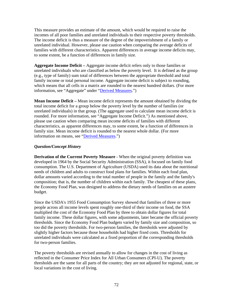This measure provides an estimate of the amount, which would be required to raise the incomes of all poor families and unrelated individuals to their respective poverty thresholds. The income deficit is thus a measure of the degree of the impoverishment of a family or unrelated individual. However, please use caution when comparing the average deficits of families with different characteristics. Apparent differences in average income deficits may, to some extent, be a function of differences in family size.

**Aggregate Income Deficit –** Aggregate income deficit refers only to those families or unrelated individuals who are classified as below the poverty level. It is defined as the group (e.g., type of family) sum total of differences between the appropriate threshold and total family income or total personal income. Aggregate income deficit is subject to rounding, which means that all cells in a matrix are rounded to the nearest hundred dollars. (For more information, see "Aggregate" under "[Derived Measures.](#page-87-0)")

**Mean Income Deficit –** Mean income deficit represents the amount obtained by dividing the total income deficit for a group below the poverty level by the number of families (or unrelated individuals) in that group. (The aggregate used to calculate mean income deficit is rounded. For more information, see "Aggregate Income Deficit.") As mentioned above, please use caution when comparing mean income deficits of families with different characteristics, as apparent differences may, to some extent, be a function of differences in family size. Mean income deficit is rounded to the nearest whole dollar. (For more information on means, see ["Derived Measures](#page-87-0).")

#### *Question/Concept History*

**Derivation of the Current Poverty Measure** - When the original poverty definition was developed in 1964 by the Social Security Administration (SSA), it focused on family food consumption. The U.S. Department of Agriculture (USDA) used its data about the nutritional needs of children and adults to construct food plans for families. Within each food plan, dollar amounts varied according to the total number of people in the family and the family's composition; that is, the number of children within each family. The cheapest of these plans, the Economy Food Plan, was designed to address the dietary needs of families on an austere budget.

Since the USDA's 1955 Food Consumption Survey showed that families of three or more people across all income levels spent roughly one-third of their income on food, the SSA multiplied the cost of the Economy Food Plan by three to obtain dollar figures for total family income. These dollar figures, with some adjustments, later became the official poverty thresholds. Since the Economy Food Plan budgets varied by family size and composition, so too did the poverty thresholds. For two-person families, the thresholds were adjusted by slightly higher factors because those households had higher fixed costs. Thresholds for unrelated individuals were calculated as a fixed proportion of the corresponding thresholds for two-person families.

The poverty thresholds are revised annually to allow for changes in the cost of living as reflected in the Consumer Price Index for All Urban Consumers (CPI-U). The poverty thresholds are the same for all parts of the country; they are not adjusted for regional, state, or local variations in the cost of living*.*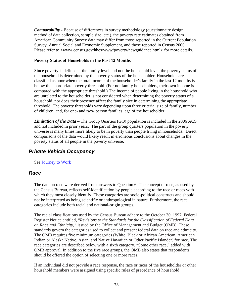*Comparability* **-** Because of differences in survey methodology (questionnaire design, method of data collection, sample size, etc.), the poverty rate estimates obtained from American Community Survey data may differ from those reported in the Current Population Survey, Annual Social and Economic Supplement, and those reported in Census 2000. Please refer to <www.census.gov/hhes/www/poverty/newguidance.html> for more details.

## **Poverty Status of Households in the Past 12 Months**

Since poverty is defined at the family level and not the household level, the poverty status of the household is determined by the poverty status of the householder. Households are classified as poor when the total income of the householder's family in the last 12 months is below the appropriate poverty threshold. (For nonfamily householders, their own income is compared with the appropriate threshold.) The income of people living in the household who are unrelated to the householder is not considered when determining the poverty status of a household, nor does their presence affect the family size in determining the appropriate threshold. The poverty thresholds vary depending upon three criteria: size of family, number of children, and, for one- and two- person families, age of the householder.

*Limitation of the Data* – The Group Quarters (GQ) population is included in the 2006 ACS and not included in prior years. The part of the group quarters population in the poverty universe is many times more likely to be in poverty than people living in households. Direct comparisons of the data would likely result in erroneous conclusions about changes in the poverty status of all people in the poverty universe.

# *Private Vehicle Occupancy*

See [Journey to Work](#page-55-0)

# *Race*

The data on race were derived from answers to Question 6. The concept of race, as used by the Census Bureau, reflects self-identification by people according to the race or races with which they most closely identify. These categories are socio-political constructs and should not be interpreted as being scientific or anthropological in nature. Furthermore, the race categories include both racial and national-origin groups.

The racial classifications used by the Census Bureau adhere to the October 30, 1997, Federal Register Notice entitled, "*Revisions to the Standards for the Classification of Federal Data on Race and Ethnicity,"* issued by the Office of Management and Budget (OMB). These standards govern the categories used to collect and present federal data on race and ethnicity. The OMB requires five minimum categories (White, Black or African American, American Indian or Alaska Native, Asian, and Native Hawaiian or Other Pacific Islander) for race. The race categories are described below with a sixth category, "Some other race," added with OMB approval. In addition to the five race groups, the OMB also states that respondents should be offered the option of selecting one or more races.

If an individual did not provide a race response, the race or races of the householder or other household members were assigned using specific rules of precedence of household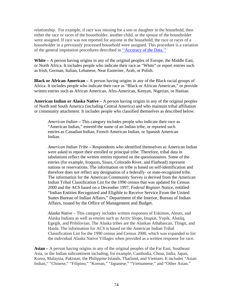relationship. For example, if race was missing for a son or daughter in the household, then either the race or races of the householder, another child, or the spouse of the householder were assigned. If race was not reported for anyone in the household, the race or races of a householder in a previously processed household were assigned. This procedure is a variation of the general imputation procedures described in [''Accuracy of the Data.''](http://www.census.gov/acs/www/Downloads/ACS/accuracy2006.pdf)

**White –** A person having origins in any of the original peoples of Europe, the Middle East, or North Africa. It includes people who indicate their race as "White" or report entries such as Irish, German, Italian, Lebanese, Near Easterner, Arab, or Polish.

**Black or African American –** A person having origins in any of the Black racial groups of Africa. It includes people who indicate their race as "Black or African American," or provide written entries such as African American, Afro-American, Kenyan, Nigerian, or Haitian.

**American Indian or Alaska Native –** A person having origins in any of the original peoples of North and South America (including Central America) and who maintain tribal affiliation or community attachment. It includes people who classified themselves as described below.

*American Indian* **–** This category includes people who indicate their race as "American Indian," entered the name of an Indian tribe, or reported such entries as Canadian Indian, French American Indian, or Spanish American Indian.

*American Indian Tribe* **–** Respondents who identified themselves as American Indian were asked to report their enrolled or principal tribe. Therefore, tribal data in tabulations reflect the written entries reported on the questionnaires. Some of the entries (for example, Iroquois, Sioux, Colorado River, and Flathead) represent nations or reservations. The information on tribe is based on self-identification and therefore does not reflect any designation of a federally- or state-recognized tribe. The information for the American Community Survey is derived from the American Indian Tribal Classification List for the 1990 census that was updated for Census 2000 and the ACS based on a December 1997, *Federal Register* Notice, entitled "Indian Entities Recognized and Eligible to Receive Service From the United States Bureau of Indian Affairs," Department of the Interior, Bureau of Indian Affairs, issued by the Office of Management and Budget.

*Alaska Native –* This category includes written responses of Eskimos, Aleuts, and Alaska Indians as well as entries such as Arctic Slope, Inupiat, Yupik, Alutiiq, Egegik, and Pribilovian. The Alaska tribes are the Alaskan Athabascan, Tlingit, and Haida. The information for ACS is based on the American Indian Tribal Classification List for the 1990 census and Census 2000, which was expanded to list the individual Alaska Native Villages when provided as a written response for race.

**Asian –** A person having origins in any of the original peoples of the Far East, Southeast Asia, or the Indian subcontinent including, for example, Cambodia, China, India, Japan, Korea, Malaysia, Pakistan, the Philippine Islands, Thailand, and Vietnam. It includes "Asian Indian," "Chinese," "Filipino," "Korean," "Japanese," "Vietnamese," and "Other Asian."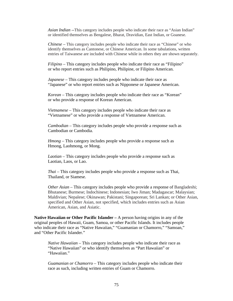*Asian Indian --*This category includes people who indicate their race as "Asian Indian" or identified themselves as Bengalese, Bharat, Dravidian, East Indian, or Goanese.

*Chinese –* This category includes people who indicate their race as "Chinese" or who identify themselves as Cantonese, or Chinese American. In some tabulations, written entries of Taiwanese are included with Chinese while in others they are shown separately.

*Filipino –* This category includes people who indicate their race as "Filipino" or who report entries such as Philipino, Philipine, or Filipino American.

*Japanese –* This category includes people who indicate their race as "Japanese" or who report entries such as Nipponese or Japanese American.

*Korean* – This category includes people who indicate their race as "Korean" or who provide a response of Korean American.

*Vietnamese* – This category includes people who indicate their race as "Vietnamese" or who provide a response of Vietnamese American.

*Cambodian –* This category includes people who provide a response such as Cambodian or Cambodia.

*Hmong* – This category includes people who provide a response such as Hmong, Laohmong, or Mong.

*Laotian* – This category includes people who provide a response such as Laotian, Laos, or Lao.

*Thai –* This category includes people who provide a response such as Thai, Thailand, or Siamese.

*Other Asian – This category includes people who provide a response of Bangladeshi;* Bhutanese; Burmese; Indochinese; Indonesian; Iwo Jiman; Madagascar; Malaysian; Maldivian; Nepalese; Okinawan; Pakistani; Singaporean; Sri Lankan; or Other Asian, specified and Other Asian, not specified, which includes entries such as Asian American, Asian, and Asiatic.

**Native Hawaiian or Other Pacific Islander –** A person having origins in any of the original peoples of Hawaii, Guam, Samoa, or other Pacific Islands. It includes people who indicate their race as "Native Hawaiian," "Guamanian or Chamorro," "Samoan," and "Other Pacific Islander."

*Native Hawaiian –* This category includes people who indicate their race as "Native Hawaiian" or who identify themselves as "Part Hawaiian" or "Hawaiian."

*Guamanian or Chamorro –* This category includes people who indicate their race as such, including written entries of Guam or Chamorro.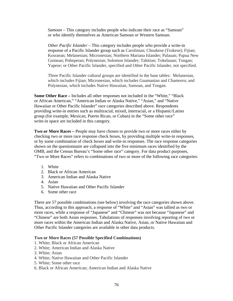*Samoan* – This category includes people who indicate their race as "Samoan" or who identify themselves as American Samoan or Western Samoan.

*Other Pacific Islander* – This category includes people who provide a write-in response of a Pacific Islander group such as Carolinian; Chuukese (Trukese); Fijian; Kosraean; Melanesian; Micronesian; Northern Mariana Islander; Palauan; Papua New Guinean; Pohnpeian; Polynesian; Solomon Islander; Tahitian; Tokelauan; Tongan; Yapese; or Other Pacific Islander, specified and Other Pacific Islander, not specified.

Three Pacific Islander cultural groups are identified in the base tables: Melanesian, which includes Fijian; Micronesian, which includes Guamanian and Chamorro; and Polynesian, which includes Native Hawaiian, Samoan, and Tongan.

**Some Other Race –** Includes all other responses not included in the "White," "Black or African American," "American Indian or Alaska Native," "Asian," and "Native Hawaiian or Other Pacific Islander" race categories described above. Respondents providing write-in entries such as multiracial, mixed, interracial, or a Hispanic/Latino group (for example, Mexican, Puerto Rican, or Cuban) in the "Some other race" write-in space are included in this category.

**Two or More Races –** People may have chosen to provide two or more races either by checking two or more race response check boxes, by providing multiple write-in responses, or by some combination of check boxes and write-in responses. The race response categories shown on the questionnaire are collapsed into the five minimum races identified by the OMB, and the Census Bureau's "Some other race" category. For data product purposes, "Two or More Races" refers to combinations of two or more of the following race categories:

- 1. White
- 2. Black or African American
- 3. American Indian and Alaska Native
- 4. Asian
- 5. Native Hawaiian and Other Pacific Islander
- 6. Some other race

There are 57 possible combinations (see below) involving the race categories shown above. Thus, according to this approach, a response of "White" and "Asian" was tallied as two or more races, while a response of "Japanese" and "Chinese" was not because "Japanese" and "Chinese" are both Asian responses. Tabulations of responses involving reporting of two or more races within the American Indian and Alaska Native, Asian, or Native Hawaiian and Other Pacific Islander categories are available in other data products.

#### **Two or More Races (57 Possible Specified Combinations)**

- 1. White; Black or African American
- 2. White; American Indian and Alaska Native
- 3. White; Asian
- 4. White; Native Hawaiian and Other Pacific Islander
- 5. White; Some other race
- 6. Black or African American; American Indian and Alaska Native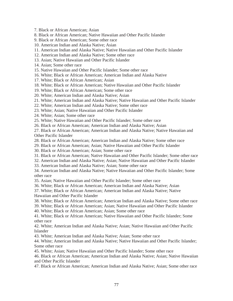- 7. Black or African American; Asian
- 8. Black or African American; Native Hawaiian and Other Pacific Islander
- 9. Black or African American; Some other race
- 10. American Indian and Alaska Native; Asian
- 11. American Indian and Alaska Native; Native Hawaiian and Other Pacific Islander
- 12. American Indian and Alaska Native; Some other race
- 13. Asian; Native Hawaiian and Other Pacific Islander
- 14. Asian; Some other race
- 15. Native Hawaiian and Other Pacific Islander; Some other race
- 16. White; Black or African American; American Indian and Alaska Native
- 17. White; Black or African American; Asian
- 18. White; Black or African American; Native Hawaiian and Other Pacific Islander
- 19. White; Black or African American; Some other race
- 20. White; American Indian and Alaska Native; Asian
- 21. White; American Indian and Alaska Native; Native Hawaiian and Other Pacific Islander
- 22. White; American Indian and Alaska Native; Some other race
- 23. White; Asian; Native Hawaiian and Other Pacific Islander
- 24. White; Asian; Some other race
- 25. White; Native Hawaiian and Other Pacific Islander; Some other race
- 26. Black or African American; American Indian and Alaska Native; Asian

27. Black or African American; American Indian and Alaska Native; Native Hawaiian and Other Pacific Islander

- 28. Black or African American; American Indian and Alaska Native; Some other race
- 29. Black or African American; Asian; Native Hawaiian and Other Pacific Islander
- 30. Black or African American; Asian; Some other race
- 31. Black or African American; Native Hawaiian and Other Pacific Islander; Some other race
- 32. American Indian and Alaska Native; Asian; Native Hawaiian and Other Pacific Islander
- 33. American Indian and Alaska Native; Asian; Some other race
- 34. American Indian and Alaska Native; Native Hawaiian and Other Pacific Islander; Some other race
- 35. Asian; Native Hawaiian and Other Pacific Islander; Some other race
- 36. White; Black or African American; American Indian and Alaska Native; Asian

37. White; Black or African American; American Indian and Alaska Native; Native Hawaiian and Other Pacific Islander

- 38. White; Black or African American; American Indian and Alaska Native; Some other race
- 39. White; Black or African American; Asian; Native Hawaiian and Other Pacific Islander
- 40. White; Black or African American; Asian; Some other race

41. White; Black or African American; Native Hawaiian and Other Pacific Islander; Some other race

42. White; American Indian and Alaska Native; Asian; Native Hawaiian and Other Pacific Islander

43. White; American Indian and Alaska Native; Asian; Some other race

44. White; American Indian and Alaska Native; Native Hawaiian and Other Pacific Islander; Some other race

45. White; Asian; Native Hawaiian and Other Pacific Islander; Some other race

46. Black or African American; American Indian and Alaska Native; Asian; Native Hawaiian and Other Pacific Islander

47. Black or African American; American Indian and Alaska Native; Asian; Some other race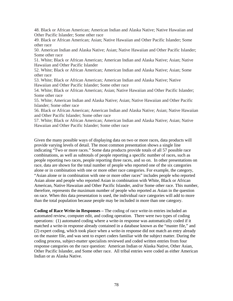48. Black or African American; American Indian and Alaska Native; Native Hawaiian and Other Pacific Islander; Some other race

49. Black or African American; Asian; Native Hawaiian and Other Pacific Islander; Some other race

50. American Indian and Alaska Native; Asian; Native Hawaiian and Other Pacific Islander; Some other race

51. White; Black or African American; American Indian and Alaska Native; Asian; Native Hawaiian and Other Pacific Islander

52. White; Black or African American; American Indian and Alaska Native; Asian; Some other race

53. White; Black or African American; American Indian and Alaska Native; Native Hawaiian and Other Pacific Islander; Some other race

54. White; Black or African American; Asian; Native Hawaiian and Other Pacific Islander; Some other race

55. White; American Indian and Alaska Native; Asian; Native Hawaiian and Other Pacific Islander; Some other race

56. Black or African American; American Indian and Alaska Native; Asian; Native Hawaiian and Other Pacific Islander; Some other race

57. White; Black or African American; American Indian and Alaska Native; Asian; Native Hawaiian and Other Pacific Islander; Some other race

Given the many possible ways of displaying data on two or more races, data products will provide varying levels of detail. The most common presentation shows a single line indicating "Two or more races." Some data products provide totals of all 57 possible race combinations, as well as subtotals of people reporting a specific number of races, such as people reporting two races, people reporting three races, and so on. In other presentations on race, data are shown for the total number of people who reported one of the six categories alone or in combination with one or more other race categories. For example, the category, "Asian alone or in combination with one or more other races" includes people who reported Asian alone and people who reported Asian in combination with White, Black or African American, Native Hawaiian and Other Pacific Islander, and/or Some other race. This number, therefore, represents the maximum number of people who reported as Asian in the question on race. When this data presentation is used, the individual race categories will add to more than the total population because people may be included in more than one category.

**Coding of Race Write-in Responses –** The coding of race write-in entries included an automated review, computer edit, and coding operation. There were two types of coding operations: (1) automated coding where a write-in response was automatically coded if it matched a write-in response already contained in a database known as the "master file," and (2) expert coding, which took place when a write-in response did not match an entry already on the master file, and was sent to expert coders familiar with the subject matter. During the coding process, subject-matter specialists reviewed and coded written entries from four response categories on the race question: American Indian or Alaska Native, Other Asian, Other Pacific Islander, and Some other race. All tribal entries were coded as either American Indian or as Alaska Native.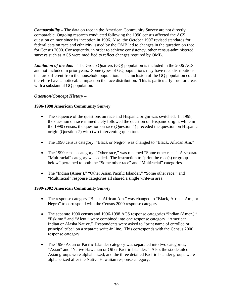*Comparability –* The data on race in the American Community Survey are not directly comparable. Ongoing research conducted following the 1990 census affected the ACS question on race since its inception in 1996. Also, the October 1997 revised standards for federal data on race and ethnicity issued by the OMB led to changes in the question on race for Census 2000. Consequently, in order to achieve consistency, other census-administered surveys such as ACS were modified to reflect changes required by OMB.

*Limitation of the data – The Group Quarters (GQ) population is included in the 2006 ACS* and not included in prior years. Some types of GQ populations may have race distributions that are different from the household population. The inclusion of the GQ population could therefore have a noticeable impact on the race distribution. This is particularly true for areas with a substantial GQ population.

## *Question/Concept History –*

## **1996-1998 American Community Survey**

- The sequence of the questions on race and Hispanic origin was switched. In 1998, the question on race immediately followed the question on Hispanic origin, while in the 1990 census, the question on race (Question 4) preceded the question on Hispanic origin (Question 7) with two intervening questions.
- The 1990 census category, "Black or Negro" was changed to "Black, African Am."
- The 1990 census category, "Other race," was renamed "Some other race." A separate "Multiracial" category was added. The instruction to "print the race(s) or group below" pertained to both the "Some other race" and "Multiracial" categories.
- The "Indian (Amer.)," "Other Asian/Pacific Islander," "Some other race," and "Multiracial" response categories all shared a single write-in area.

## **1999-2002 American Community Survey**

- The response category "Black, African Am." was changed to "Black, African Am., or Negro" to correspond with the Census 2000 response category.
- The separate 1990 census and 1996-1998 ACS response categories "Indian (Amer.)," "Eskimo," and "Aleut," were combined into one response category, "American Indian or Alaska Native." Respondents were asked to "print name of enrolled or principal tribe" on a separate write-in line. This corresponds with the Census 2000 response category.
- The 1990 Asian or Pacific Islander category was separated into two categories, "Asian" and "Native Hawaiian or Other Pacific Islander." Also, the six detailed Asian groups were alphabetized; and the three detailed Pacific Islander groups were alphabetized after the Native Hawaiian response category.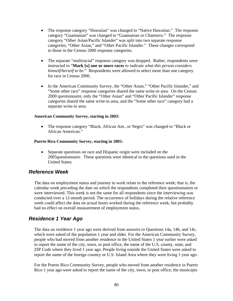- The response category "Hawaiian" was changed to "Native Hawaiian." The response category "Guamanian" was changed to "Guamanian or Chamorro." The response category "Other Asian/Pacific Islander" was split into two separate response categories, "Other Asian," and "Other Pacific Islander." These changes correspond to those in the Census 2000 response categories.
- The separate "multiracial" response category was dropped. Rather, respondents were instructed to "**Mark [x] one or more races** *to indicate what this person considers himself/herself to be.*" Respondents were allowed to select more than one category for race in Census 2000.
- In the American Community Survey, the "Other Asian," "Other Pacific Islander," and "Some other race" response categories shared the same write-in area. On the Census 2000 questionnaire, only the "Other Asian" and "Other Pacific Islander" response categories shared the same write-in area, and the "Some other race" category had a separate write-in area.

### **American Community Survey, starting in 2003:**

• The response category "Black, African Am., or Negro" was changed to "Black or African American."

### **Puerto Rico Community Survey, starting in 2005:**

• Separate questions on race and Hispanic origin were included on the 2005questionnaire. These questions were identical to the questions used in the United States.

# *Reference Week*

The data on employment status and journey to work relate to the reference week; that is, the calendar week preceding the date on which the respondents completed their questionnaires or were interviewed. This week is not the same for all respondents since the interviewing was conducted over a 12-month period. The occurrence of holidays during the relative reference week could affect the data on actual hours worked during the reference week, but probably had no effect on overall measurement of employment status.

# *Residence 1 Year Ago*

The data on residence 1 year ago were derived from answers to Questions 14a, 14b, and 14c, which were asked of the population 1 year and older. For the American Community Survey, people who had moved from another residence in the United States 1 year earlier were asked to report the name of the city, town, or post office, the name of the U.S. county, state, and ZIP Code where they lived 1 year ago. People living outside the United States were asked to report the name of the foreign country or U.S. Island Area where they were living 1 year ago.

For the Puerto Rico Community Survey, people who moved from another residence in Puerto Rico 1 year ago were asked to report the name of the city, town, or post office; the municipio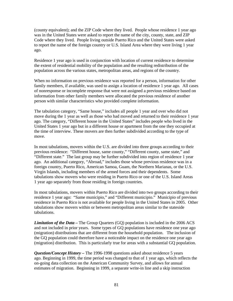(county equivalent); and the ZIP Code where they lived. People whose residence 1 year ago was in the United States were asked to report the name of the city, county, state, and ZIP Code where they lived. People living outside Puerto Rico and the United States were asked to report the name of the foreign country or U.S. Island Area where they were living 1 year ago.

Residence 1 year ago is used in conjunction with location of current residence to determine the extent of residential mobility of the population and the resulting redistribution of the population across the various states, metropolitan areas, and regions of the country.

When no information on previous residence was reported for a person, information for other family members, if available, was used to assign a location of residence 1 year ago. All cases of nonresponse or incomplete response that were not assigned a previous residence based on information from other family members were allocated the previous residence of another person with similar characteristics who provided complete information.

The tabulation category, "Same house," includes all people 1 year and over who did not move during the 1 year as well as those who had moved and returned to their residence 1 year ago. The category, "Different house in the United States" includes people who lived in the United States 1 year ago but in a different house or apartment from the one they occupied at the time of interview. These movers are then further subdivided according to the type of move.

In most tabulations, movers within the U.S. are divided into three groups according to their previous residence: "Different house, same county," "Different county, same state," and "Different state." The last group may be further subdivided into region of residence 1 year ago. An additional category, "Abroad," includes those whose previous residence was in a foreign country, Puerto Rico, American Samoa, Guam, the Northern Marianas, or the U.S. Virgin Islands, including members of the armed forces and their dependents. Some tabulations show movers who were residing in Puerto Rico or one of the U.S. Island Areas 1 year ago separately from those residing in foreign countries.

In most tabulations, movers within Puerto Rico are divided into two groups according to their residence 1 year ago: "Same municipio," and "Different municipio." Municipio of previous residence in Puerto Rico is not available for people living in the United States in 2005. Other tabulations show movers within or between metropolitan areas similar to the stateside tabulations.

*Limitation of the Data* – The Group Quarters (GQ) population is included in the 2006 ACS and not included in prior years. Some types of GQ populations have residence one year ago (migration) distributions that are different from the household population. The inclusion of the GQ population could therefore have a noticeable impact on the residence one year ago (migration) distribution. This is particularly true for areas with a substantial GQ population.

*Question/Concept History –* The 1996-1998 questions asked about residence 5 years ago. Beginning in 1999, the time period was changed to that of 1 year ago, which reflects the on-going data collection on the American Community Survey, and allows for annual estimates of migration. Beginning in 1999, a separate write-in line and a skip instruction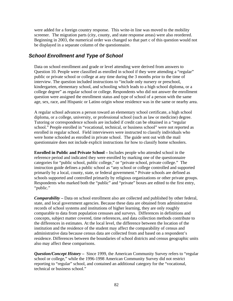<span id="page-81-0"></span>were added for a foreign country response. This write-in line was moved to the mobility screener. The migration parts (city, county, and state response areas) were also reordered. Beginning in 2003, the numerical order was changed so that part c of this question would not be displayed in a separate column of the questionnaire.

# *School Enrollment and Type of School*

Data on school enrollment and grade or level attending were derived from answers to Question 10. People were classified as enrolled in school if they were attending a "regular" public or private school or college at any time during the 3 months prior to the time of interview. The question included instructions to "include only nursery or preschool, kindergarten, elementary school, and schooling which leads to a high school diploma, or a college degree" as regular school or college. Respondents who did not answer the enrollment question were assigned the enrollment status and type of school of a person with the same age, sex, race, and Hispanic or Latino origin whose residence was in the same or nearby area.

A regular school advances a person toward an elementary school certificate, a high school diploma, or a college, university, or professional school (such as law or medicine) degree. Tutoring or correspondence schools are included if credit can be obtained in a "regular school." People enrolled in "vocational, technical, or business school" were not reported as enrolled in regular school. Field interviewers were instructed to classify individuals who were home schooled as enrolled in private school. The guide sent out with the mail questionnaire does not include explicit instructions for how to classify home schoolers.

**Enrolled in Public and Private School –** Includes people who attended school in the reference period and indicated they were enrolled by marking one of the questionnaire categories for "public school, public college," or "private school, private college." The instruction guide defines a public school as "any school or college controlled and supported primarily by a local, county, state, or federal government." Private schools are defined as schools supported and controlled primarily by religious organizations or other private groups. Respondents who marked both the "public" and "private" boxes are edited to the first entry, "public."

*Comparability* **–** Data on school enrollment also are collected and published by other federal, state, and local government agencies. Because these data are obtained from administrative records of school systems and institutions of higher learning, they are only roughly comparable to data from population censuses and surveys. Differences in definitions and concepts, subject matter covered, time references, and data collection methods contribute to the differences in estimates. At the local level, the difference between the location of the institution and the residence of the student may affect the comparability of census and administrative data because census data are collected from and based on a respondent's residence. Differences between the boundaries of school districts and census geographic units also may affect these comparisons.

*Question/Concept History – Since 1999, the American Community Survey refers to "regular"* school or college," while the 1996-1998 American Community Survey did not restrict reporting to "regular" school, and contained an additional category for the "vocational, technical or business school."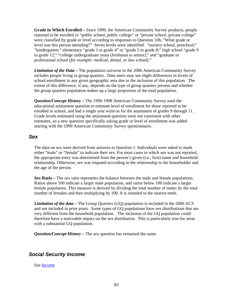**Grade in Which Enrolled –** Since 1999, the American Community Survey products, people reported to be enrolled in "public school, public college" or "private school, private college" were classified by grade or level according to responses to Question 10b, "What grade or level was this person attending?" Seven levels were identified: "nursery school, preschool;" "kindergarten;" elementary "grade 1 to grade 4" or "grade 5 to grade 8;" high school "grade 9 to grade 12;" "college undergraduate years (freshman to senior);" and "graduate or professional school (*for example: medical, dental, or law school*)."

*Limitation of the Data –* The population universe in the 2006 American Community Survey includes people living in group quarters. Data users may see slight differences in levels of school enrollment in any given geographic area due to the inclusion of this population. The extent of this difference, if any, depends on the type of group quarters present and whether the group quarters population makes up a large proportion of the total population.

*Question/Concept History –* The 1996-1998 American Community Survey used the educational attainment question to estimate level of enrollment for those reported to be enrolled in school, and had a single year write-in for the attainment of grades 9 through 11. Grade levels estimated using the attainment question were not consistent with other estimates, so a new question specifically asking grade or level of enrollment was added starting with the 1999 American Community Survey questionnaire.

# *Sex*

The data on sex were derived from answers to Question 1. Individuals were asked to mark either "male" or "female" to indicate their sex. For most cases in which sex was not reported, the appropriate entry was determined from the person's given (i.e., first) name and household relationship. Otherwise, sex was imputed according to the relationship to the householder and the age of the person.

**Sex Ratio** – The sex ratio represents the balance between the male and female populations. Ratios above 100 indicate a larger male population, and ratios below 100 indicate a larger female population. This measure is derived by dividing the total number of males by the total number of females and then multiplying by 100. It is rounded to the nearest tenth.

*Limitation of the data –* The Group Quarters (GQ) population is included in the 2006 ACS and not included in prior years. Some types of GQ populations have sex distributions that are very different from the household population. The inclusion of the GQ population could therefore have a noticeable impact on the sex distribution. This is particularly true for areas with a substantial GQ population.

*Question/Concept History –* The sex question has remained the same.

# *Social Security Income*

See [Income](#page-46-0)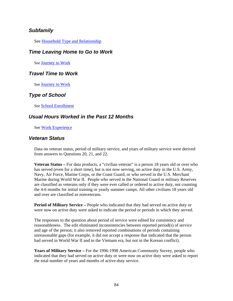# <span id="page-83-0"></span>*Subfamily*

See [Household Type and Relationship](#page-43-0)

# *Time Leaving Home to Go to Work*

See [Journey to Work](#page-55-0)

## *Travel Time to Work*

See [Journey to Work](#page-55-0)

# *Type of School*

See [School Enrollment](#page-81-0)

# *Usual Hours Worked in the Past 12 Months*

See [Work Experience](#page-85-0)

## *Veteran Status*

Data on veteran status, period of military service, and years of military service were derived from answers to Questions 20, 21, and 22.

**Veteran Status** – For data products, a "civilian veteran" is a person 18 years old or over who has served (even for a short time), but is not now serving, on active duty in the U.S. Army, Navy, Air Force, Marine Corps, or the Coast Guard, or who served in the U.S. Merchant Marine during World War II. People who served in the National Guard or military Reserves are classified as veterans only if they were ever called or ordered to active duty, not counting the 4-6 months for initial training or yearly summer camps. All other civilians 18 years old and over are classified as nonveterans.

**Period of Military Service –** People who indicated that they had served on active duty or were now on active duty were asked to indicate the period or periods in which they served.

The responses to the question about period of service were edited for consistency and reasonableness. The edit eliminated inconsistencies between reported period(s) of service and age of the person; it also removed reported combinations of periods containing unreasonable gaps (for example, it did not accept a response that indicated that the person had served in World War II and in the Vietnam era, but not in the Korean conflict).

**Years of Military Service –** For the 1996-1998 American Community Survey, people who indicated that they had served on active duty or were now on active duty were asked to report the total number of years and months of active-duty service.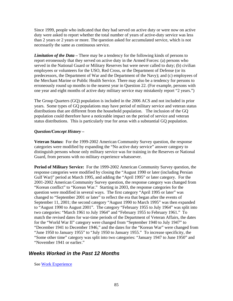Since 1999, people who indicated that they had served on active duty or were now on active duty were asked to report whether the total number of years of active-duty service was less than 2 years or 2 years or more. The question asked for accumulated service, which is not necessarily the same as continuous service.

*Limitation of the Data* – There may be a tendency for the following kinds of persons to report erroneously that they served on active duty in the Armed Forces: (a) persons who served in the National Guard or Military Reserves but were never called to duty; (b) civilian employees or volunteers for the USO, Red Cross, or the Department of Defense (or its predecessors, the Department of War and the Department of the Navy); and (c) employees of the Merchant Marine or Public Health Service. There may also be a tendency for persons to erroneously round up months to the nearest year in Question 22. (For example, persons with one year and eight months of active duty military service may mistakenly report "2 years.")

The Group Quarters (GQ) population is included in the 2006 ACS and not included in prior years. Some types of GQ populations may have period of military service and veteran status distributions that are different from the household population. The inclusion of the GQ population could therefore have a noticeable impact on the period of service and veteran status distributions. This is particularly true for areas with a substantial GQ population.

## *Question/Concept History –*

**Veteran Status:** For the 1999-2002 American Community Survey question, the response categories were modified by expanding the "No active duty service" answer category to distinguish persons whose only military service was for training in the Reserves or National Guard, from persons with no military experience whatsoever.

**Period of Military Service:** For the 1999-2002 American Community Survey question, the response categories were modified by closing the "August 1990 or later (including Persian Gulf War)" period at March 1995, and adding the "April 1995" or later category. For the 2001-2002 American Community Survey question, the response category was changed from "Korean conflict" to "Korean War." Starting in 2003, the response categories for the question were modified in several ways. The first category "April 1995 or later" was changed to "September 2001 or later" to reflect the era that began after the events of September 11, 2001; the second category "August 1990 to March 1995" was then expanded to "August 1990 to August 2001". The category "February 1955 to July 1964" was split into two categories: "March 1961 to July 1964" and "February 1955 to February 1961." To match the revised dates for war-time periods of the Department of Veteran Affairs, the dates for the "World War II" category were changed from "September 1940 to July 1947" to "December 1941 to December 1946," and the dates for the "Korean War" were changed from "June 1950 to January 1955" to "July 1950 to January 1955." To increase specificity, the "Some other time" category was split into two categories: "January 1947 to June 1950" and "November 1941 or earlier."

# *Weeks Worked in the Past 12 Months*

See [Work Experience](#page-85-0)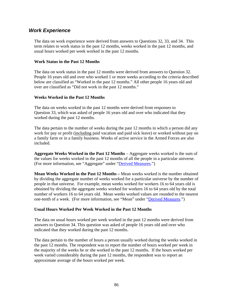# <span id="page-85-0"></span>*Work Experience*

The data on work experience were derived from answers to Questions 32, 33, and 34. This term relates to work status in the past 12 months, weeks worked in the past 12 months, and usual hours worked per week worked in the past 12 months.

### **Work Status in the Past 12 Months**

The data on work status in the past 12 months were derived from answers to Question 32. People 16 years old and over who worked 1 or more weeks according to the criteria described below are classified as "Worked in the past 12 months." All other people 16 years old and over are classified as "Did not work in the past 12 months."

### **Weeks Worked in the Past 12 Months**

The data on weeks worked in the past 12 months were derived from responses to Question 33, which was asked of people 16 years old and over who indicated that they worked during the past 12 months.

The data pertain to the number of weeks during the past 12 months in which a person did any work for pay or profit (including paid vacation and paid sick leave) or worked without pay on a family farm or in a family business. Weeks of active service in the Armed Forces are also included.

**Aggregate Weeks Worked in the Past 12 Months** – Aggregate weeks worked is the sum of the values for weeks worked in the past 12 months of all the people in a particular universe. (For more information, see "Aggregate" under "[Derived Measures.](#page-87-0)")

**Mean Weeks Worked in the Past 12 Months –** Mean weeks worked is the number obtained by dividing the aggregate number of weeks worked for a particular universe by the number of people in that universe. For example, mean weeks worked for workers 16 to 64 years old is obtained by dividing the aggregate weeks worked for workers 16 to 64 years old by the total number of workers 16 to 64 years old. Mean weeks worked values are rounded to the nearest one-tenth of a week. (For more information, see "Mean" under "[Derived Measures.](#page-87-0)")

## **Usual Hours Worked Per Week Worked in the Past 12 Months**

The data on usual hours worked per week worked in the past 12 months were derived from answers to Question 34. This question was asked of people 16 years old and over who indicated that they worked during the past 12 months.

The data pertain to the number of hours a person usually worked during the weeks worked in the past 12 months. The respondent was to report the number of hours worked per week in the majority of the weeks he or she worked in the past 12 months. If the hours worked per week varied considerably during the past 12 months, the respondent was to report an approximate average of the hours worked per week.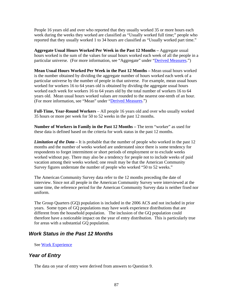People 16 years old and over who reported that they usually worked 35 or more hours each week during the weeks they worked are classified as "Usually worked full time;" people who reported that they usually worked 1 to 34 hours are classified as "Usually worked part time."

**Aggregate Usual Hours Worked Per Week in the Past 12 Months –** Aggregate usual hours worked is the sum of the values for usual hours worked each week of all the people in a particular universe. (For more information, see "Aggregate" under ["Derived Measures](#page-87-0).")

**Mean Usual Hours Worked Per Week in the Past 12 Months –** Mean usual hours worked is the number obtained by dividing the aggregate number of hours worked each week of a particular universe by the number of people in that universe. For example, mean usual hours worked for workers 16 to 64 years old is obtained by dividing the aggregate usual hours worked each week for workers 16 to 64 years old by the total number of workers 16 to 64 years old. Mean usual hours worked values are rounded to the nearest one-tenth of an hour. (For more information, see "Mean" under ["Derived Measures](#page-87-0).")

**Full-Time, Year-Round Workers** – All people 16 years old and over who usually worked 35 hours or more per week for 50 to 52 weeks in the past 12 months.

**Number of Workers in Family in the Past 12 Months – The term "worker" as used for** these data is defined based on the criteria for work status in the past 12 months.

*Limitation of the Data* – It is probable that the number of people who worked in the past 12 months and the number of weeks worked are understated since there is some tendency for respondents to forget intermittent or short periods of employment or to exclude weeks worked without pay. There may also be a tendency for people not to include weeks of paid vacation among their weeks worked; one result may be that the American Community Survey figures understate the number of people who worked "50 to 52 weeks."

The American Community Survey data refer to the 12 months preceding the date of interview. Since not all people in the American Community Survey were interviewed at the same time, the reference period for the American Community Survey data is neither fixed nor uniform.

The Group Quarters (GQ) population is included in the 2006 ACS and not included in prior years. Some types of GQ populations may have work experience distributions that are different from the household population. The inclusion of the GQ population could therefore have a noticeable impact on the year of entry distribution. This is particularly true for areas with a substantial GQ population.

# *Work Status in the Past 12 Months*

See [Work Experience](#page-85-0)

# *Year of Entry*

The data on year of entry were derived from answers to Question 9.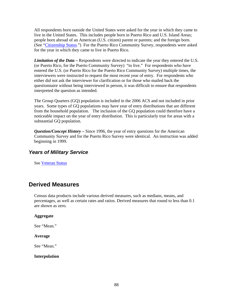<span id="page-87-0"></span>All respondents born outside the United States were asked for the year in which they came to live in the United States. This includes people born in Puerto Rico and U.S. Island Areas; people born abroad of an American (U.S. citizen) parent or parents; and the foreign born. (See ["Citizenship Status.](#page-31-0)") For the Puerto Rico Community Survey, respondents were asked for the year in which they came to live in Puerto Rico.

*Limitation of the Data* **–** Respondents were directed to indicate the year they entered the U.S. (or Puerto Rico, for the Puerto Community Survey) "to live." For respondents who have entered the U.S. (or Puerto Rico for the Puerto Rico Community Survey) multiple times, the interviewers were instructed to request the most recent year of entry. For respondents who either did not ask the interviewer for clarification or for those who mailed back the questionnaire without being interviewed in person, it was difficult to ensure that respondents interpreted the question as intended.

The Group Quarters (GQ) population is included in the 2006 ACS and not included in prior years. Some types of GQ populations may have year of entry distributions that are different from the household population. The inclusion of the GQ population could therefore have a noticeable impact on the year of entry distribution. This is particularly true for areas with a substantial GQ population.

*Question/Concept History –* Since 1996, the year of entry questions for the American Community Survey and for the Puerto Rico Survey were identical. An instruction was added beginning in 1999.

# *Years of Military Service*

See [Veteran Status](#page-83-0)

# **Derived Measures**

Census data products include various derived measures, such as medians, means, and percentages, as well as certain rates and ratios. Derived measures that round to less than 0.1 are shown as zero.

#### **Aggregate**

See "Mean."

### **Average**

See "Mean."

#### **Interpolation**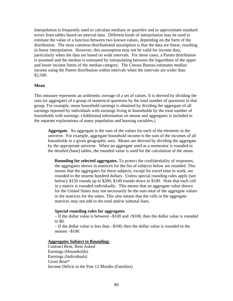Interpolation is frequently used to calculate medians or quartiles and to approximate standard errors from tables based on interval data. Different kinds of interpolation may be used to estimate the value of a function between two known values, depending on the form of the distribution. The most common distributional assumption is that the data are linear, resulting in linear interpolation. However, this assumption may not be valid for income data, particularly when the data are based on wide intervals. For these cases, a Pareto distribution is assumed and the median is estimated by interpolating between the logarithms of the upper and lower income limits of the median category. The Census Bureau estimates median income using the Pareto distribution within intervals when the intervals are wider than \$2,500.

#### **Mean**

This measure represents an arithmetic average of a set of values. It is derived by dividing the sum (or aggregate) of a group of numerical questions by the total number of questions in that group. For example, mean household earnings is obtained by dividing the aggregate of all earnings reported by individuals with earnings living in households by the total number of households with earnings. (Additional information on means and aggregates is included in the separate explanations of many population and housing variables.)

**Aggregate.** An aggregate is the sum of the values for each of the elements in the universe. For example, aggregate household income is the sum of the incomes of all households in a given geographic area. Means are derived by dividing the aggregate by the appropriate universe. When an aggregate used as a numerator is rounded in the detailed (base) tables, the rounded value is used for the calculation of the mean.

**Rounding for selected aggregates.** To protect the confidentiality of responses, the aggregates shown in matrices for the list of subjects below are rounded. This means that the aggregates for these subjects, except for travel time to work, are rounded to the nearest hundred dollars. Unless special rounding rules apply (see below); \$150 rounds up to \$200; \$149 rounds down to \$100. Note that each cell in a matrix is rounded individually. This means that an aggregate value shown for the United States may not necessarily be the sum total of the aggregate values in the matrices for the states. This also means that the cells in the aggregate matrices may not add to the total and/or subtotal lines.

#### **Special rounding rules for aggregates**.

– If the dollar value is between  $-\$100$  and  $+\$100$ , then the dollar value is rounded to \$0.

 $-$  If the dollar value is less than  $-$ \$100, then the dollar value is rounded to the nearest –\$100.

#### **Aggregates Subject to Rounding:**

Contract Rent, Rent Asked Earnings (Households) Earnings (Individuals) Gross Rent\* Income Deficit in the Past 12 Months (Families)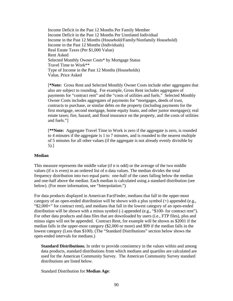Income Deficit in the Past 12 Months Per Family Member Income Deficit in the Past 12 Months Per Unrelated Individual Income in the Past 12 Months (Household/Family/Nonfamily Household) Income in the Past 12 Months (Individuals) Real Estate Taxes (Per \$1,000 Value) Rent Asked Selected Monthly Owner Costs\* by Mortgage Status Travel Time to Work\*\* Type of Income in the Past 12 Months (Households) Value, Price Asked

[**\*Note:** Gross Rent and Selected Monthly Owner Costs include other aggregates that also are subject to rounding. For example, Gross Rent includes aggregates of payments for "contract rent" and the "costs of utilities and fuels." Selected Monthly Owner Costs includes aggregates of payments for "mortgages, deeds of trust, contracts to purchase, or similar debts on the property (including payments for the first mortgage, second mortgage, home equity loans, and other junior mortgages); real estate taxes; fire, hazard, and flood insurance on the property, and the costs of utilities and fuels."]

[**\*\*Note:** Aggregate Travel Time to Work is zero if the aggregate is zero, is rounded to 4 minutes if the aggregate is 1 to 7 minutes, and is rounded to the nearest multiple of 5 minutes for all other values (if the aggregate is not already evenly divisible by 5).]

#### **Median**

This measure represents the middle value (if n is odd) or the average of the two middle values (if n is even) in an ordered list of n data values. The median divides the total frequency distribution into two equal parts: one-half of the cases falling below the median and one-half above the median. Each median is calculated using a standard distribution (see below). (For more information, see "Interpolation.")

For data products displayed in American FactFinder, medians that fall in the upper-most category of an open-ended distribution will be shown with a plus symbol  $(+)$  appended  $(e.g.,)$ "\$2,000+" for contract rent), and medians that fall in the lowest category of an open-ended distribution will be shown with a minus symbol (-) appended (e.g., "\$100- for contract rent"). For other data products and data files that are downloaded by users (i.e., FTP files), plus and minus signs will not be appended. Contract Rent, for example will be shown as \$2001 if the median falls in the upper-most category (\$2,000 or more) and \$99 if the median falls in the lowest category (Less than \$100). (The "Standard Distributions" section below shows the open-ended intervals for medians.)

**Standard Distributions.** In order to provide consistency in the values within and among data products, standard distributions from which medians and quartiles are calculated are used for the American Community Survey. The American Community Survey standard distributions are listed below.

Standard Distribution for **Median Age**: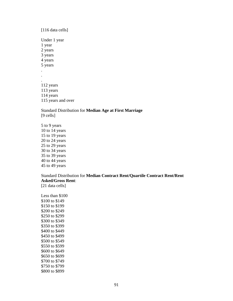[116 data cells]

Under 1 year 1 year 2 years 3 years 4 years 5 years . . . 112 years 113 years 114 years 115 years and over

Standard Distribution for **Median Age at First Marriage** [9 cells]

5 to 9 years 10 to 14 years 15 to 19 years 20 to 24 years 25 to 29 years 30 to 34 years 35 to 39 years 40 to 44 years 45 to 49 years

# Standard Distribution for **Median Contract Rent/Quartile Contract Rent/Rent Asked/Gross Rent**:

[21 data cells]

Less than \$100 \$100 to \$149 \$150 to \$199 \$200 to \$249 \$250 to \$299 \$300 to \$349 \$350 to \$399 \$400 to \$449 \$450 to \$499 \$500 to \$549 \$550 to \$599 \$600 to \$649 \$650 to \$699 \$700 to \$749 \$750 to \$799 \$800 to \$899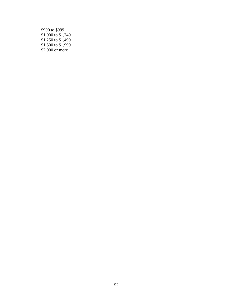\$900 to \$999 \$1,000 to \$1,249 \$1,250 to \$1,499 \$1,500 to \$1,999 \$2,000 or more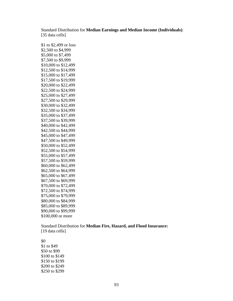Standard Distribution for **Median Earnings and Median Income (Individuals)**: [35 data cells]

\$1 to \$2,499 or loss \$2,500 to \$4,999 \$5,000 to \$7,499 \$7,500 to \$9,999 \$10,000 to \$12,499 \$12,500 to \$14,999 \$15,000 to \$17,499 \$17,500 to \$19,999 \$20,000 to \$22,499 \$22,500 to \$24,999 \$25,000 to \$27,499 \$27,500 to \$29,999 \$30,000 to \$32,499 \$32,500 to \$34,999 \$35,000 to \$37,499 \$37,500 to \$39,999 \$40,000 to \$42,499 \$42,500 to \$44,999 \$45,000 to \$47,499 \$47,500 to \$49,999 \$50,000 to \$52,499 \$52,500 to \$54,999 \$55,000 to \$57,499 \$57,500 to \$59,999 \$60,000 to \$62,499 \$62,500 to \$64,999 \$65,000 to \$67,499 \$67,500 to \$69,999 \$70,000 to \$72,499 \$72,500 to \$74,999 \$75,000 to \$79,999 \$80,000 to \$84,999 \$85,000 to \$89,999 \$90,000 to \$99,999 \$100,000 or more

 Standard Distribution for **Median Fire, Hazard, and Flood Insurance:**  [19 data cells]

#### \$0

 \$1 to \$49 \$50 to \$99 \$100 to \$149 \$150 to \$199 \$200 to \$249 \$250 to \$299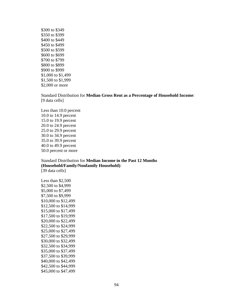\$300 to \$349 \$350 to \$399 \$400 to \$449 \$450 to \$499 \$500 to \$599 \$600 to \$699 \$700 to \$799 \$800 to \$899 \$900 to \$999 \$1,000 to \$1,499 \$1,500 to \$1,999 \$2,000 or more

Standard Distribution for **Median Gross Rent as a Percentage of Household Income**: [9 data cells]

Less than 10.0 percent 10.0 to 14.9 percent 15.0 to 19.9 percent 20.0 to 24.9 percent 25.0 to 29.9 percent 30.0 to 34.9 percent 35.0 to 39.9 percent 40.0 to 49.9 percent 50.0 percent or more

#### Standard Distribution for **Median Income in the Past 12 Months (Household/Family/Nonfamily Household)**: [39 data cells]

Less than \$2,500 \$2,500 to \$4,999 \$5,000 to \$7,499 \$7,500 to \$9,999 \$10,000 to \$12,499 \$12,500 to \$14,999 \$15,000 to \$17,499 \$17,500 to \$19,999 \$20,000 to \$22,499 \$22,500 to \$24,999 \$25,000 to \$27,499 \$27,500 to \$29,999 \$30,000 to \$32,499 \$32,500 to \$34,999 \$35,000 to \$37,499 \$37,500 to \$39,999 \$40,000 to \$42,499 \$42,500 to \$44,999 \$45,000 to \$47,499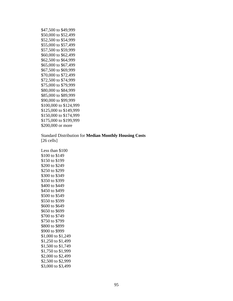| \$47,500 to \$49,999   |
|------------------------|
| \$50,000 to \$52,499   |
| \$52,500 to \$54,999   |
| \$55,000 to \$57,499   |
| \$57,500 to \$59,999   |
| \$60,000 to \$62,499   |
| \$62,500 to \$64,999   |
| \$65,000 to \$67,499   |
| \$67,500 to \$69,999   |
| \$70,000 to \$72,499   |
| \$72,500 to \$74,999   |
| \$75,000 to \$79,999   |
| \$80,000 to \$84,999   |
| \$85,000 to \$89,999   |
| \$90,000 to \$99,999   |
| \$100,000 to \$124,999 |
| \$125,000 to \$149,999 |
| \$150,000 to \$174,999 |
| \$175,000 to \$199,999 |
| \$200,000 or more      |

Standard Distribution for **Median Monthly Housing Costs**  [26 cells]

Less than \$100 \$100 to \$149 \$150 to \$199 \$200 to \$249 \$250 to \$299 \$300 to \$349 \$350 to \$399 \$400 to \$449 \$450 to \$499 \$500 to \$549 \$550 to \$599 \$600 to \$649 \$650 to \$699 \$700 to \$749 \$750 to \$799 \$800 to \$899 \$900 to \$999 \$1,000 to \$1,249 \$1,250 to \$1,499 \$1,500 to \$1,749 \$1,750 to \$1,999 \$2,000 to \$2,499 \$2,500 to \$2,999 \$3,000 to \$3,499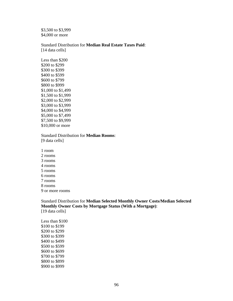\$3,500 to \$3,999 \$4,000 or more

Standard Distribution for **Median Real Estate Taxes Paid**: [14 data cells]

Less than \$200 \$200 to \$299 \$300 to \$399 \$400 to \$599 \$600 to \$799 \$800 to \$999 \$1,000 to \$1,499 \$1,500 to \$1,999 \$2,000 to \$2,999 \$3,000 to \$3,999 \$4,000 to \$4,999 \$5,000 to \$7,499 \$7,500 to \$9,999 \$10,000 or more

Standard Distribution for **Median Rooms**:

[9 data cells]

1 room 2 rooms 3 rooms 4 rooms 5 rooms 6 rooms 7 rooms 8 rooms 9 or more rooms

### Standard Distribution for **Median Selected Monthly Owner Costs/Median Selected Monthly Owner Costs by Mortgage Status (With a Mortgage)**: [19 data cells]

Less than \$100 \$100 to \$199 \$200 to \$299 \$300 to \$399 \$400 to \$499 \$500 to \$599 \$600 to \$699 \$700 to \$799 \$800 to \$899 \$900 to \$999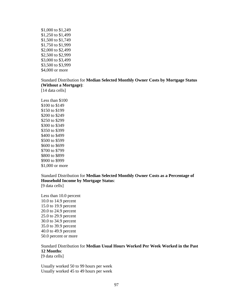\$1,000 to \$1,249 \$1,250 to \$1,499 \$1,500 to \$1,749 \$1,750 to \$1,999 \$2,000 to \$2,499 \$2,500 to \$2,999 \$3,000 to \$3,499 \$3,500 to \$3,999 \$4,000 or more

### Standard Distribution for **Median Selected Monthly Owner Costs by Mortgage Status (Without a Mortgage)**:

[14 data cells]

Less than \$100 \$100 to \$149 \$150 to \$199 \$200 to \$249 \$250 to \$299 \$300 to \$349 \$350 to \$399 \$400 to \$499 \$500 to \$599 \$600 to \$699 \$700 to \$799 \$800 to \$899 \$900 to \$999 \$1,000 or more

# Standard Distribution for **Median Selected Monthly Owner Costs as a Percentage of Household Income by Mortgage Status**:

[9 data cells]

Less than 10.0 percent 10.0 to 14.9 percent 15.0 to 19.9 percent 20.0 to 24.9 percent 25.0 to 29.9 percent 30.0 to 34.9 percent 35.0 to 39.9 percent 40.0 to 49.9 percent 50.0 percent or more

### Standard Distribution for **Median Usual Hours Worked Per Week Worked in the Past 12 Months**: [9 data cells]

Usually worked 50 to 99 hours per week Usually worked 45 to 49 hours per week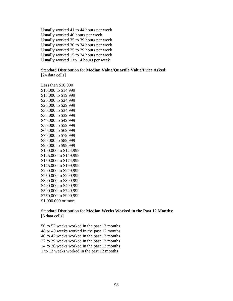Usually worked 41 to 44 hours per week Usually worked 40 hours per week Usually worked 35 to 39 hours per week Usually worked 30 to 34 hours per week Usually worked 25 to 29 hours per week Usually worked 15 to 24 hours per week Usually worked 1 to 14 hours per week

Standard Distribution for **Median Value/Quartile Value/Price Asked**: [24 data cells]

Less than \$10,000 \$10,000 to \$14,999 \$15,000 to \$19,999 \$20,000 to \$24,999 \$25,000 to \$29,999 \$30,000 to \$34,999 \$35,000 to \$39,999 \$40,000 to \$49,999 \$50,000 to \$59,999 \$60,000 to \$69,999 \$70,000 to \$79,999 \$80,000 to \$89,999 \$90,000 to \$99,999 \$100,000 to \$124,999 \$125,000 to \$149,999 \$150,000 to \$174,999 \$175,000 to \$199,999 \$200,000 to \$249,999 \$250,000 to \$299,999 \$300,000 to \$399,999 \$400,000 to \$499,999 \$500,000 to \$749,999 \$750,000 to \$999,999 \$1,000,000 or more

Standard Distribution for **Median Weeks Worked in the Past 12 Months**: [6 data cells]

50 to 52 weeks worked in the past 12 months 48 or 49 weeks worked in the past 12 months 40 to 47 weeks worked in the past 12 months 27 to 39 weeks worked in the past 12 months 14 to 26 weeks worked in the past 12 months 1 to 13 weeks worked in the past 12 months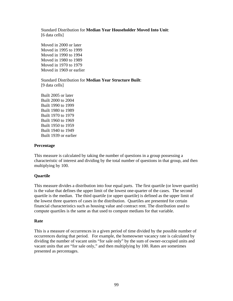Standard Distribution for **Median Year Householder Moved Into Unit**: [6 data cells]

Moved in 2000 or later Moved in 1995 to 1999 Moved in 1990 to 1994 Moved in 1980 to 1989 Moved in 1970 to 1979 Moved in 1969 or earlier

Standard Distribution for **Median Year Structure Built**: [9 data cells]

Built 2005 or later Built 2000 to 2004 Built 1990 to 1999 Built 1980 to 1989 Built 1970 to 1979 Built 1960 to 1969 Built 1950 to 1959 Built 1940 to 1949 Built 1939 or earlier

### **Percentage**

This measure is calculated by taking the number of questions in a group possessing a characteristic of interest and dividing by the total number of questions in that group, and then multiplying by 100.

## **Quartile**

This measure divides a distribution into four equal parts. The first quartile (or lower quartile) is the value that defines the upper limit of the lowest one-quarter of the cases. The second quartile is the median. The third quartile (or upper quartile) is defined as the upper limit of the lowest three quarters of cases in the distribution. Quartiles are presented for certain financial characteristics such as housing value and contract rent. The distribution used to compute quartiles is the same as that used to compute medians for that variable.

## **Rate**

This is a measure of occurrences in a given period of time divided by the possible number of occurrences during that period. For example, the homeowner vacancy rate is calculated by dividing the number of vacant units "for sale only" by the sum of owner-occupied units and vacant units that are "for sale only," and then multiplying by 100. Rates are sometimes presented as percentages.